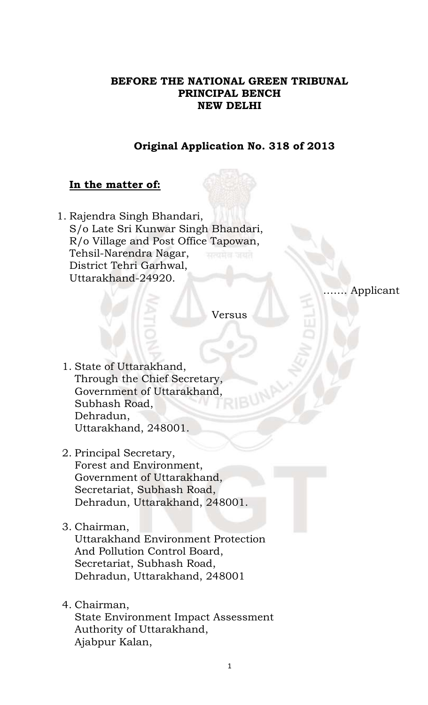#### **BEFORE THE NATIONAL GREEN TRIBUNAL PRINCIPAL BENCH NEW DELHI**

# **Original Application No. 318 of 2013**

## **In the matter of:**

1. Rajendra Singh Bhandari, S/o Late Sri Kunwar Singh Bhandari, R/o Village and Post Office Tapowan, Tehsil-Narendra Nagar, District Tehri Garhwal, Uttarakhand-24920.

Versus

……. Applicant

- 1. State of Uttarakhand, Through the Chief Secretary, Government of Uttarakhand, Subhash Road, Dehradun, Uttarakhand, 248001.
- 2. Principal Secretary, Forest and Environment, Government of Uttarakhand, Secretariat, Subhash Road, Dehradun, Uttarakhand, 248001.
- 3. Chairman,

Uttarakhand Environment Protection And Pollution Control Board, Secretariat, Subhash Road, Dehradun, Uttarakhand, 248001

4. Chairman, State Environment Impact Assessment Authority of Uttarakhand, Ajabpur Kalan,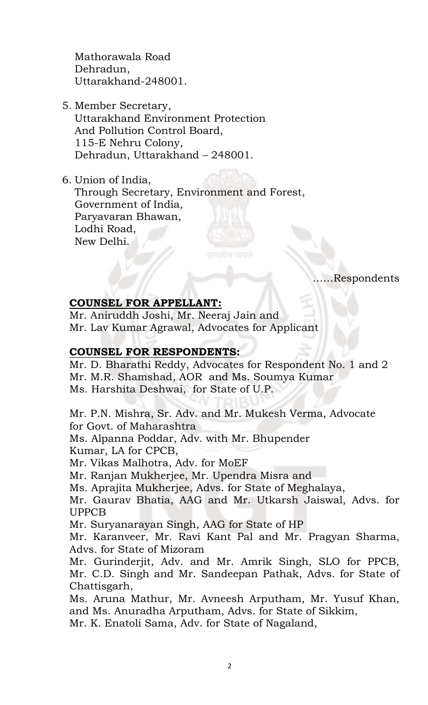Mathorawala Road Dehradun, Uttarakhand-248001.

5. Member Secretary, Uttarakhand Environment Protection And Pollution Control Board, 115-E Nehru Colony, Dehradun, Uttarakhand – 248001.

6. Union of India, Through Secretary, Environment and Forest, Government of India, Paryavaran Bhawan, Lodhi Road, New Delhi.

……Respondents

## **COUNSEL FOR APPELLANT:**

Mr. Aniruddh Joshi, Mr. Neeraj Jain and Mr. Lav Kumar Agrawal, Advocates for Applicant

#### **COUNSEL FOR RESPONDENTS:**

Mr. D. Bharathi Reddy, Advocates for Respondent No. 1 and 2 Mr. M.R. Shamshad, AOR and Ms. Soumya Kumar Ms. Harshita Deshwai, for State of U.P.

Mr. P.N. Mishra, Sr. Adv. and Mr. Mukesh Verma, Advocate for Govt. of Maharashtra

Ms. Alpanna Poddar, Adv. with Mr. Bhupender Kumar, LA for CPCB,

Mr. Vikas Malhotra, Adv. for MoEF

Mr. Ranjan Mukherjee, Mr. Upendra Misra and

Ms. Aprajita Mukherjee, Advs. for State of Meghalaya,

Mr. Gaurav Bhatia, AAG and Mr. Utkarsh Jaiswal, Advs. for UPPCB

Mr. Suryanarayan Singh, AAG for State of HP

Mr. Karanveer, Mr. Ravi Kant Pal and Mr. Pragyan Sharma, Advs. for State of Mizoram

Mr. Gurinderjit, Adv. and Mr. Amrik Singh, SLO for PPCB, Mr. C.D. Singh and Mr. Sandeepan Pathak, Advs. for State of Chattisgarh,

Ms. Aruna Mathur, Mr. Avneesh Arputham, Mr. Yusuf Khan, and Ms. Anuradha Arputham, Advs. for State of Sikkim,

Mr. K. Enatoli Sama, Adv. for State of Nagaland,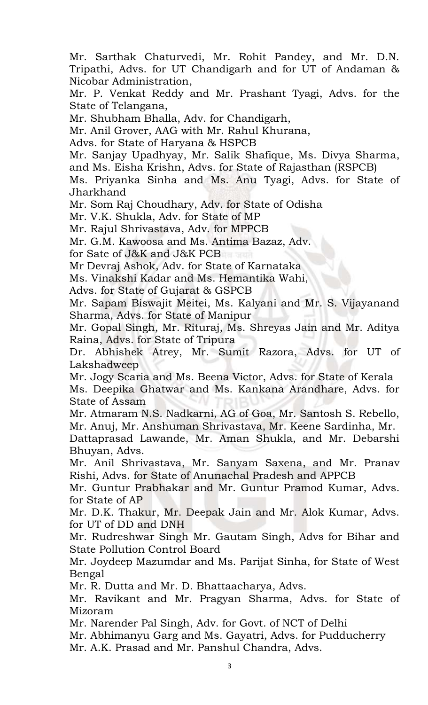Mr. Sarthak Chaturvedi, Mr. Rohit Pandey, and Mr. D.N. Tripathi, Advs. for UT Chandigarh and for UT of Andaman & Nicobar Administration,

Mr. P. Venkat Reddy and Mr. Prashant Tyagi, Advs. for the State of Telangana,

Mr. Shubham Bhalla, Adv. for Chandigarh,

Mr. Anil Grover, AAG with Mr. Rahul Khurana,

Advs. for State of Haryana & HSPCB

Mr. Sanjay Upadhyay, Mr. Salik Shafique, Ms. Divya Sharma, and Ms. Eisha Krishn, Advs. for State of Rajasthan (RSPCB)

Ms. Priyanka Sinha and Ms. Anu Tyagi, Advs. for State of Jharkhand

Mr. Som Raj Choudhary, Adv. for State of Odisha

Mr. V.K. Shukla, Adv. for State of MP

Mr. Rajul Shrivastava, Adv. for MPPCB

Mr. G.M. Kawoosa and Ms. Antima Bazaz, Adv.

for Sate of J&K and J&K PCB

Mr Devraj Ashok, Adv. for State of Karnataka

Ms. Vinakshi Kadar and Ms. Hemantika Wahi,

Advs. for State of Gujarat & GSPCB

Mr. Sapam Biswajit Meitei, Ms. Kalyani and Mr. S. Vijayanand Sharma, Advs. for State of Manipur

Mr. Gopal Singh, Mr. Rituraj, Ms. Shreyas Jain and Mr. Aditya Raina, Advs. for State of Tripura

Dr. Abhishek Atrey, Mr. Sumit Razora, Advs. for UT of Lakshadweep

Mr. Jogy Scaria and Ms. Beena Victor, Advs. for State of Kerala Ms. Deepika Ghatwar and Ms. Kankana Arandhare, Advs. for State of Assam

Mr. Atmaram N.S. Nadkarni, AG of Goa, Mr. Santosh S. Rebello, Mr. Anuj, Mr. Anshuman Shrivastava, Mr. Keene Sardinha, Mr. Dattaprasad Lawande, Mr. Aman Shukla, and Mr. Debarshi

Bhuyan, Advs.

Mr. Anil Shrivastava, Mr. Sanyam Saxena, and Mr. Pranav Rishi, Advs. for State of Anunachal Pradesh and APPCB

Mr. Guntur Prabhakar and Mr. Guntur Pramod Kumar, Advs. for State of AP

Mr. D.K. Thakur, Mr. Deepak Jain and Mr. Alok Kumar, Advs. for UT of DD and DNH

Mr. Rudreshwar Singh Mr. Gautam Singh, Advs for Bihar and State Pollution Control Board

Mr. Joydeep Mazumdar and Ms. Parijat Sinha, for State of West Bengal

Mr. R. Dutta and Mr. D. Bhattaacharya, Advs.

Mr. Ravikant and Mr. Pragyan Sharma, Advs. for State of Mizoram

Mr. Narender Pal Singh, Adv. for Govt. of NCT of Delhi

Mr. Abhimanyu Garg and Ms. Gayatri, Advs. for Pudducherry

Mr. A.K. Prasad and Mr. Panshul Chandra, Advs.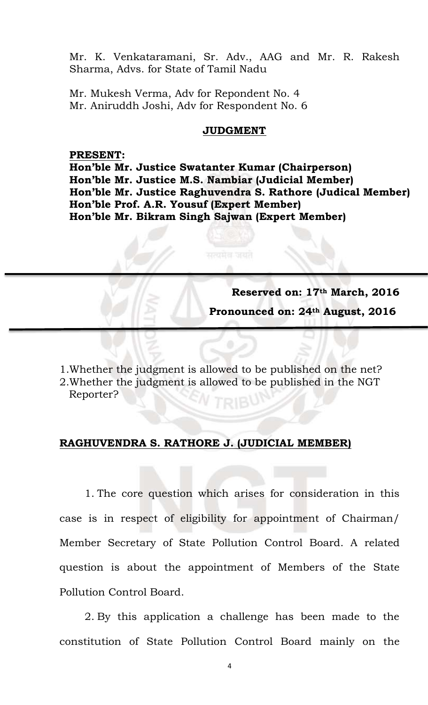Mr. K. Venkataramani, Sr. Adv., AAG and Mr. R. Rakesh Sharma, Advs. for State of Tamil Nadu

Mr. Mukesh Verma, Adv for Repondent No. 4 Mr. Aniruddh Joshi, Adv for Respondent No. 6

#### **JUDGMENT**

**PRESENT: Hon'ble Mr. Justice Swatanter Kumar (Chairperson) Hon'ble Mr. Justice M.S. Nambiar (Judicial Member) Hon'ble Mr. Justice Raghuvendra S. Rathore (Judical Member) Hon'ble Prof. A.R. Yousuf (Expert Member) Hon'ble Mr. Bikram Singh Sajwan (Expert Member)**

> **Reserved on: 17th March, 2016 Pronounced on: 24th August, 2016**

1.Whether the judgment is allowed to be published on the net? 2.Whether the judgment is allowed to be published in the NGT Reporter?

#### **RAGHUVENDRA S. RATHORE J. (JUDICIAL MEMBER)**

1. The core question which arises for consideration in this case is in respect of eligibility for appointment of Chairman/ Member Secretary of State Pollution Control Board. A related question is about the appointment of Members of the State Pollution Control Board.

2. By this application a challenge has been made to the constitution of State Pollution Control Board mainly on the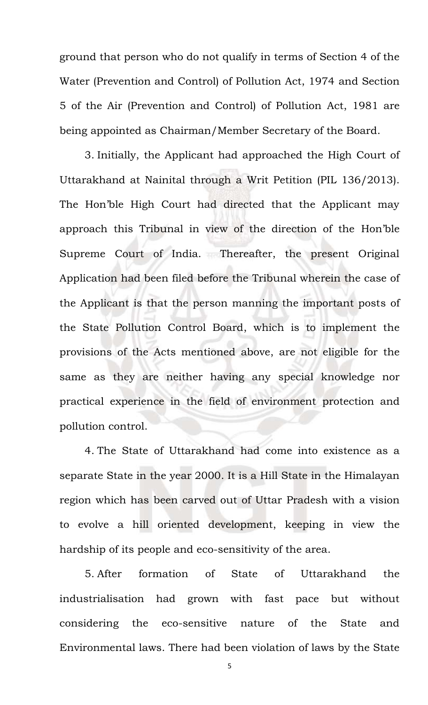ground that person who do not qualify in terms of Section 4 of the Water (Prevention and Control) of Pollution Act, 1974 and Section 5 of the Air (Prevention and Control) of Pollution Act, 1981 are being appointed as Chairman/Member Secretary of the Board.

3. Initially, the Applicant had approached the High Court of Uttarakhand at Nainital through a Writ Petition (PIL 136/2013). The Hon'ble High Court had directed that the Applicant may approach this Tribunal in view of the direction of the Hon'ble Supreme Court of India. Thereafter, the present Original Application had been filed before the Tribunal wherein the case of the Applicant is that the person manning the important posts of the State Pollution Control Board, which is to implement the provisions of the Acts mentioned above, are not eligible for the same as they are neither having any special knowledge nor practical experience in the field of environment protection and pollution control.

4. The State of Uttarakhand had come into existence as a separate State in the year 2000. It is a Hill State in the Himalayan region which has been carved out of Uttar Pradesh with a vision to evolve a hill oriented development, keeping in view the hardship of its people and eco-sensitivity of the area.

5. After formation of State of Uttarakhand the industrialisation had grown with fast pace but without considering the eco-sensitive nature of the State and Environmental laws. There had been violation of laws by the State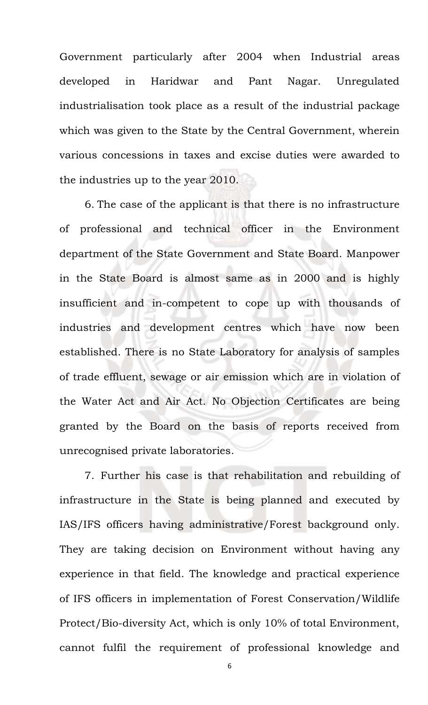Government particularly after 2004 when Industrial areas developed in Haridwar and Pant Nagar. Unregulated industrialisation took place as a result of the industrial package which was given to the State by the Central Government, wherein various concessions in taxes and excise duties were awarded to the industries up to the year 2010.

6. The case of the applicant is that there is no infrastructure of professional and technical officer in the Environment department of the State Government and State Board. Manpower in the State Board is almost same as in 2000 and is highly insufficient and in-competent to cope up with thousands of industries and development centres which have now been established. There is no State Laboratory for analysis of samples of trade effluent, sewage or air emission which are in violation of the Water Act and Air Act. No Objection Certificates are being granted by the Board on the basis of reports received from unrecognised private laboratories.

7. Further his case is that rehabilitation and rebuilding of infrastructure in the State is being planned and executed by IAS/IFS officers having administrative/Forest background only. They are taking decision on Environment without having any experience in that field. The knowledge and practical experience of IFS officers in implementation of Forest Conservation/Wildlife Protect/Bio-diversity Act, which is only 10% of total Environment, cannot fulfil the requirement of professional knowledge and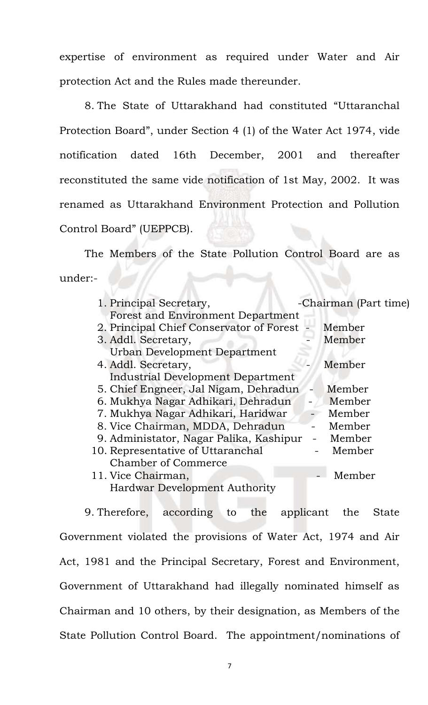expertise of environment as required under Water and Air protection Act and the Rules made thereunder.

8. The State of Uttarakhand had constituted "Uttaranchal Protection Board", under Section 4 (1) of the Water Act 1974, vide notification dated 16th December, 2001 and thereafter reconstituted the same vide notification of 1st May, 2002. It was renamed as Uttarakhand Environment Protection and Pollution Control Board" (UEPPCB).

The Members of the State Pollution Control Board are as under:-

| 1. Principal Secretary,                  |                          | -Chairman (Part time) |
|------------------------------------------|--------------------------|-----------------------|
| <b>Forest and Environment Department</b> |                          |                       |
| 2. Principal Chief Conservator of Forest |                          | Member                |
| 3. Addl. Secretary,                      |                          | Member                |
| Urban Development Department             |                          |                       |
| 4. Addl. Secretary,                      |                          | Member                |
| Industrial Development Department        |                          |                       |
| 5. Chief Engneer, Jal Nigam, Dehradun    |                          | Member                |
| 6. Mukhya Nagar Adhikari, Dehradun       |                          | Member                |
| 7. Mukhya Nagar Adhikari, Haridwar       |                          | Member                |
| 8. Vice Chairman, MDDA, Dehradun         |                          | Member                |
| 9. Administator, Nagar Palika, Kashipur  | $\overline{\phantom{0}}$ | Member                |
| 10. Representative of Uttaranchal        |                          | Member                |
| <b>Chamber of Commerce</b>               |                          |                       |
| 11. Vice Chairman,                       |                          | Member                |
| <b>Hardwar Development Authority</b>     |                          |                       |
|                                          |                          |                       |

9. Therefore, according to the applicant the State Government violated the provisions of Water Act, 1974 and Air Act, 1981 and the Principal Secretary, Forest and Environment, Government of Uttarakhand had illegally nominated himself as Chairman and 10 others, by their designation, as Members of the State Pollution Control Board. The appointment/nominations of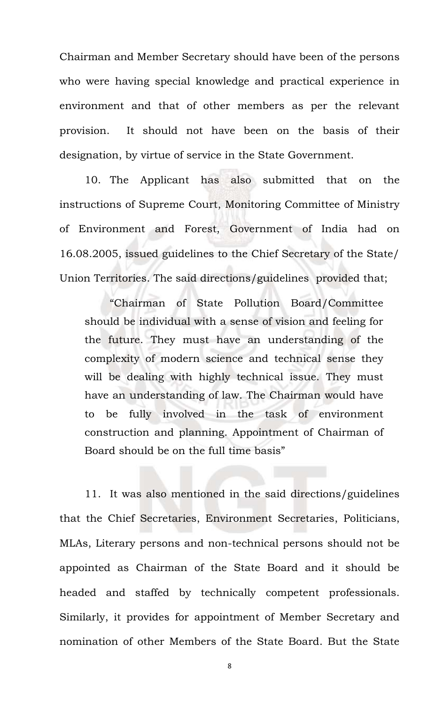Chairman and Member Secretary should have been of the persons who were having special knowledge and practical experience in environment and that of other members as per the relevant provision. It should not have been on the basis of their designation, by virtue of service in the State Government.

10. The Applicant has also submitted that on the instructions of Supreme Court, Monitoring Committee of Ministry of Environment and Forest, Government of India had on 16.08.2005, issued guidelines to the Chief Secretary of the State/ Union Territories. The said directions/guidelines provided that;

"Chairman of State Pollution Board/Committee should be individual with a sense of vision and feeling for the future. They must have an understanding of the complexity of modern science and technical sense they will be dealing with highly technical issue. They must have an understanding of law. The Chairman would have to be fully involved in the task of environment construction and planning. Appointment of Chairman of Board should be on the full time basis"

11. It was also mentioned in the said directions/guidelines that the Chief Secretaries, Environment Secretaries, Politicians, MLAs, Literary persons and non-technical persons should not be appointed as Chairman of the State Board and it should be headed and staffed by technically competent professionals. Similarly, it provides for appointment of Member Secretary and nomination of other Members of the State Board. But the State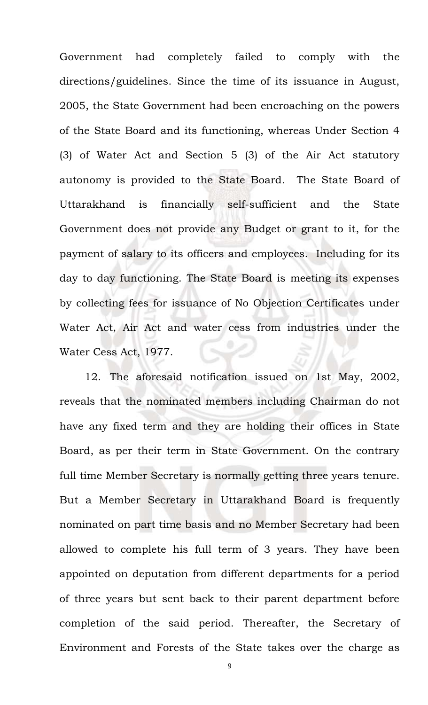Government had completely failed to comply with the directions/guidelines. Since the time of its issuance in August, 2005, the State Government had been encroaching on the powers of the State Board and its functioning, whereas Under Section 4 (3) of Water Act and Section 5 (3) of the Air Act statutory autonomy is provided to the State Board. The State Board of Uttarakhand is financially self-sufficient and the State Government does not provide any Budget or grant to it, for the payment of salary to its officers and employees. Including for its day to day functioning. The State Board is meeting its expenses by collecting fees for issuance of No Objection Certificates under Water Act, Air Act and water cess from industries under the Water Cess Act, 1977.

12. The aforesaid notification issued on 1st May, 2002, reveals that the nominated members including Chairman do not have any fixed term and they are holding their offices in State Board, as per their term in State Government. On the contrary full time Member Secretary is normally getting three years tenure. But a Member Secretary in Uttarakhand Board is frequently nominated on part time basis and no Member Secretary had been allowed to complete his full term of 3 years. They have been appointed on deputation from different departments for a period of three years but sent back to their parent department before completion of the said period. Thereafter, the Secretary of Environment and Forests of the State takes over the charge as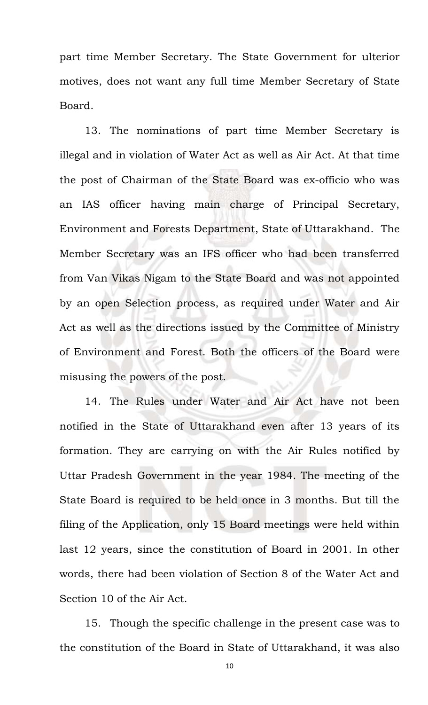part time Member Secretary. The State Government for ulterior motives, does not want any full time Member Secretary of State Board.

13. The nominations of part time Member Secretary is illegal and in violation of Water Act as well as Air Act. At that time the post of Chairman of the State Board was ex-officio who was an IAS officer having main charge of Principal Secretary, Environment and Forests Department, State of Uttarakhand. The Member Secretary was an IFS officer who had been transferred from Van Vikas Nigam to the State Board and was not appointed by an open Selection process, as required under Water and Air Act as well as the directions issued by the Committee of Ministry of Environment and Forest. Both the officers of the Board were misusing the powers of the post.

14. The Rules under Water and Air Act have not been notified in the State of Uttarakhand even after 13 years of its formation. They are carrying on with the Air Rules notified by Uttar Pradesh Government in the year 1984. The meeting of the State Board is required to be held once in 3 months. But till the filing of the Application, only 15 Board meetings were held within last 12 years, since the constitution of Board in 2001. In other words, there had been violation of Section 8 of the Water Act and Section 10 of the Air Act.

15. Though the specific challenge in the present case was to the constitution of the Board in State of Uttarakhand, it was also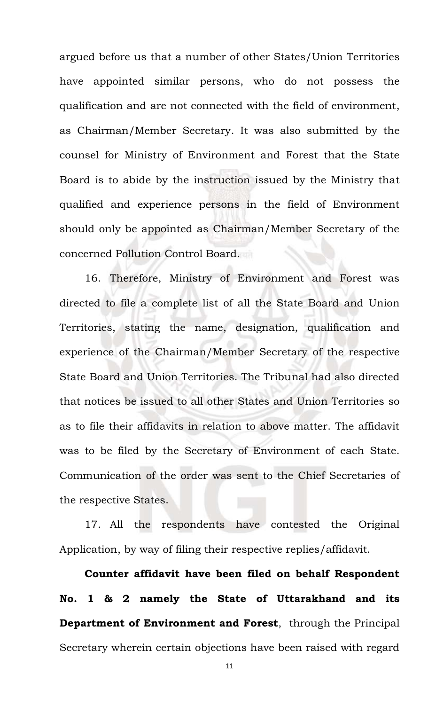argued before us that a number of other States/Union Territories have appointed similar persons, who do not possess the qualification and are not connected with the field of environment, as Chairman/Member Secretary. It was also submitted by the counsel for Ministry of Environment and Forest that the State Board is to abide by the instruction issued by the Ministry that qualified and experience persons in the field of Environment should only be appointed as Chairman/Member Secretary of the concerned Pollution Control Board.

16. Therefore, Ministry of Environment and Forest was directed to file a complete list of all the State Board and Union Territories, stating the name, designation, qualification and experience of the Chairman/Member Secretary of the respective State Board and Union Territories. The Tribunal had also directed that notices be issued to all other States and Union Territories so as to file their affidavits in relation to above matter. The affidavit was to be filed by the Secretary of Environment of each State. Communication of the order was sent to the Chief Secretaries of the respective States.

17. All the respondents have contested the Original Application, by way of filing their respective replies/affidavit.

**Counter affidavit have been filed on behalf Respondent No. 1 & 2 namely the State of Uttarakhand and its Department of Environment and Forest**, through the Principal Secretary wherein certain objections have been raised with regard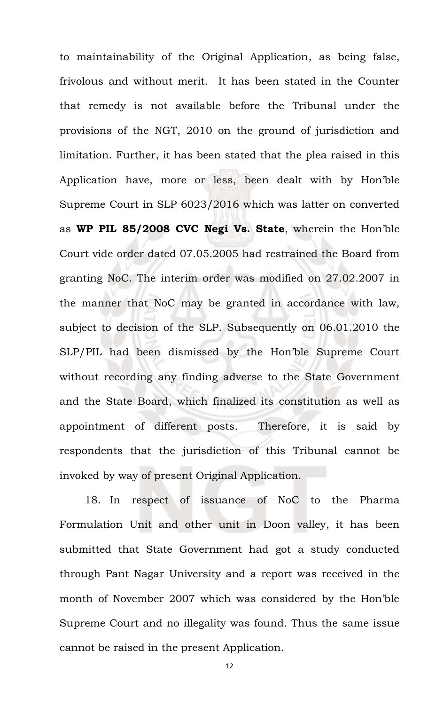to maintainability of the Original Application, as being false, frivolous and without merit. It has been stated in the Counter that remedy is not available before the Tribunal under the provisions of the NGT, 2010 on the ground of jurisdiction and limitation. Further, it has been stated that the plea raised in this Application have, more or less, been dealt with by Hon'ble Supreme Court in SLP 6023/2016 which was latter on converted as **WP PIL 85/2008 CVC Negi Vs. State**, wherein the Hon'ble Court vide order dated 07.05.2005 had restrained the Board from granting NoC. The interim order was modified on 27.02.2007 in the manner that NoC may be granted in accordance with law, subject to decision of the SLP. Subsequently on 06.01.2010 the SLP/PIL had been dismissed by the Hon'ble Supreme Court without recording any finding adverse to the State Government and the State Board, which finalized its constitution as well as appointment of different posts. Therefore, it is said by respondents that the jurisdiction of this Tribunal cannot be invoked by way of present Original Application.

18. In respect of issuance of NoC to the Pharma Formulation Unit and other unit in Doon valley, it has been submitted that State Government had got a study conducted through Pant Nagar University and a report was received in the month of November 2007 which was considered by the Hon'ble Supreme Court and no illegality was found. Thus the same issue cannot be raised in the present Application.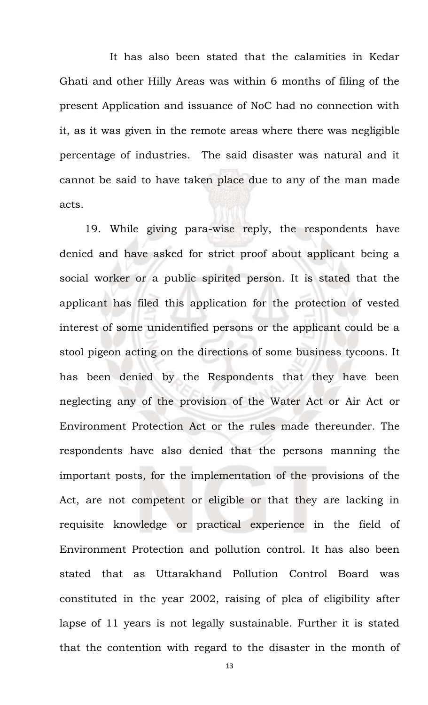It has also been stated that the calamities in Kedar Ghati and other Hilly Areas was within 6 months of filing of the present Application and issuance of NoC had no connection with it, as it was given in the remote areas where there was negligible percentage of industries. The said disaster was natural and it cannot be said to have taken place due to any of the man made acts.

19. While giving para-wise reply, the respondents have denied and have asked for strict proof about applicant being a social worker or a public spirited person. It is stated that the applicant has filed this application for the protection of vested interest of some unidentified persons or the applicant could be a stool pigeon acting on the directions of some business tycoons. It has been denied by the Respondents that they have been neglecting any of the provision of the Water Act or Air Act or Environment Protection Act or the rules made thereunder. The respondents have also denied that the persons manning the important posts, for the implementation of the provisions of the Act, are not competent or eligible or that they are lacking in requisite knowledge or practical experience in the field of Environment Protection and pollution control. It has also been stated that as Uttarakhand Pollution Control Board was constituted in the year 2002, raising of plea of eligibility after lapse of 11 years is not legally sustainable. Further it is stated that the contention with regard to the disaster in the month of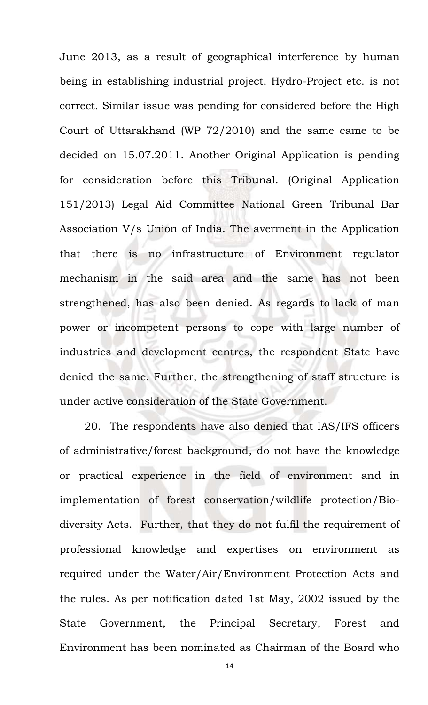June 2013, as a result of geographical interference by human being in establishing industrial project, Hydro-Project etc. is not correct. Similar issue was pending for considered before the High Court of Uttarakhand (WP 72/2010) and the same came to be decided on 15.07.2011. Another Original Application is pending for consideration before this Tribunal. (Original Application 151/2013) Legal Aid Committee National Green Tribunal Bar Association V/s Union of India. The averment in the Application that there is no infrastructure of Environment regulator mechanism in the said area and the same has not been strengthened, has also been denied. As regards to lack of man power or incompetent persons to cope with large number of industries and development centres, the respondent State have denied the same. Further, the strengthening of staff structure is under active consideration of the State Government.

20. The respondents have also denied that IAS/IFS officers of administrative/forest background, do not have the knowledge or practical experience in the field of environment and in implementation of forest conservation/wildlife protection/Biodiversity Acts. Further, that they do not fulfil the requirement of professional knowledge and expertises on environment as required under the Water/Air/Environment Protection Acts and the rules. As per notification dated 1st May, 2002 issued by the State Government, the Principal Secretary, Forest and Environment has been nominated as Chairman of the Board who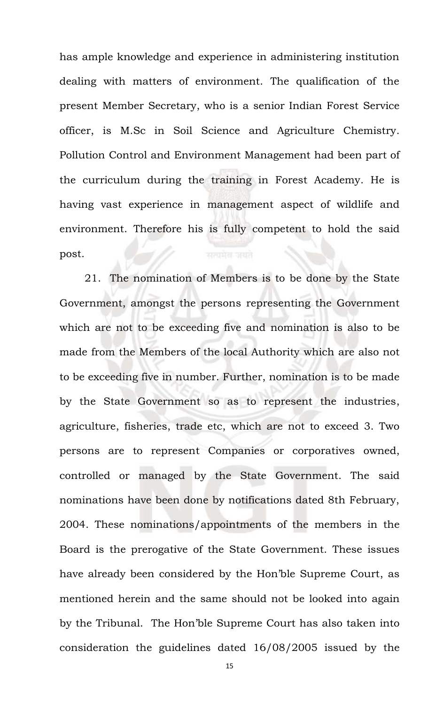has ample knowledge and experience in administering institution dealing with matters of environment. The qualification of the present Member Secretary, who is a senior Indian Forest Service officer, is M.Sc in Soil Science and Agriculture Chemistry. Pollution Control and Environment Management had been part of the curriculum during the training in Forest Academy. He is having vast experience in management aspect of wildlife and environment. Therefore his is fully competent to hold the said post.

21. The nomination of Members is to be done by the State Government, amongst the persons representing the Government which are not to be exceeding five and nomination is also to be made from the Members of the local Authority which are also not to be exceeding five in number. Further, nomination is to be made by the State Government so as to represent the industries, agriculture, fisheries, trade etc, which are not to exceed 3. Two persons are to represent Companies or corporatives owned, controlled or managed by the State Government. The said nominations have been done by notifications dated 8th February, 2004. These nominations/appointments of the members in the Board is the prerogative of the State Government. These issues have already been considered by the Hon'ble Supreme Court, as mentioned herein and the same should not be looked into again by the Tribunal. The Hon'ble Supreme Court has also taken into consideration the guidelines dated 16/08/2005 issued by the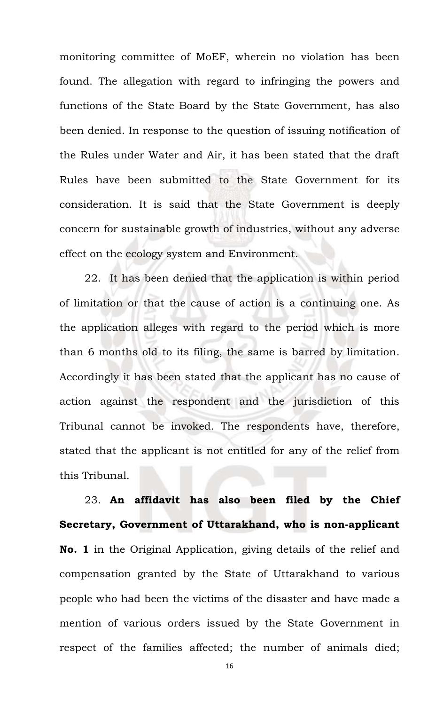monitoring committee of MoEF, wherein no violation has been found. The allegation with regard to infringing the powers and functions of the State Board by the State Government, has also been denied. In response to the question of issuing notification of the Rules under Water and Air, it has been stated that the draft Rules have been submitted to the State Government for its consideration. It is said that the State Government is deeply concern for sustainable growth of industries, without any adverse effect on the ecology system and Environment.

22. It has been denied that the application is within period of limitation or that the cause of action is a continuing one. As the application alleges with regard to the period which is more than 6 months old to its filing, the same is barred by limitation. Accordingly it has been stated that the applicant has no cause of action against the respondent and the jurisdiction of this Tribunal cannot be invoked. The respondents have, therefore, stated that the applicant is not entitled for any of the relief from this Tribunal.

23. **An affidavit has also been filed by the Chief Secretary, Government of Uttarakhand, who is non-applicant No. 1** in the Original Application, giving details of the relief and compensation granted by the State of Uttarakhand to various people who had been the victims of the disaster and have made a mention of various orders issued by the State Government in respect of the families affected; the number of animals died;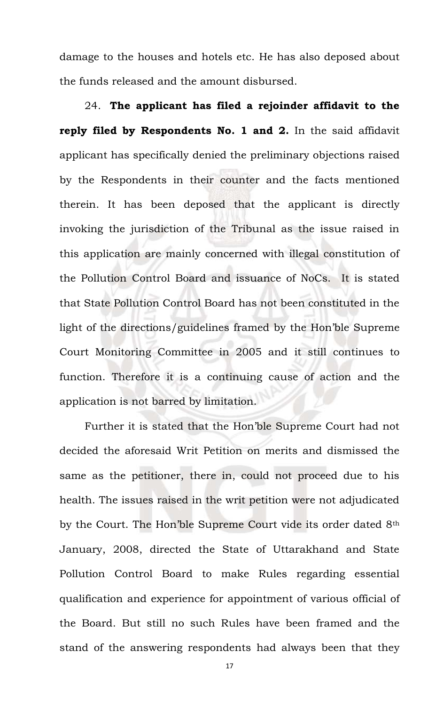damage to the houses and hotels etc. He has also deposed about the funds released and the amount disbursed.

24. **The applicant has filed a rejoinder affidavit to the reply filed by Respondents No. 1 and 2.** In the said affidavit applicant has specifically denied the preliminary objections raised by the Respondents in their counter and the facts mentioned therein. It has been deposed that the applicant is directly invoking the jurisdiction of the Tribunal as the issue raised in this application are mainly concerned with illegal constitution of the Pollution Control Board and issuance of NoCs. It is stated that State Pollution Control Board has not been constituted in the light of the directions/guidelines framed by the Hon'ble Supreme Court Monitoring Committee in 2005 and it still continues to function. Therefore it is a continuing cause of action and the application is not barred by limitation.

Further it is stated that the Hon'ble Supreme Court had not decided the aforesaid Writ Petition on merits and dismissed the same as the petitioner, there in, could not proceed due to his health. The issues raised in the writ petition were not adjudicated by the Court. The Hon'ble Supreme Court vide its order dated 8th January, 2008, directed the State of Uttarakhand and State Pollution Control Board to make Rules regarding essential qualification and experience for appointment of various official of the Board. But still no such Rules have been framed and the stand of the answering respondents had always been that they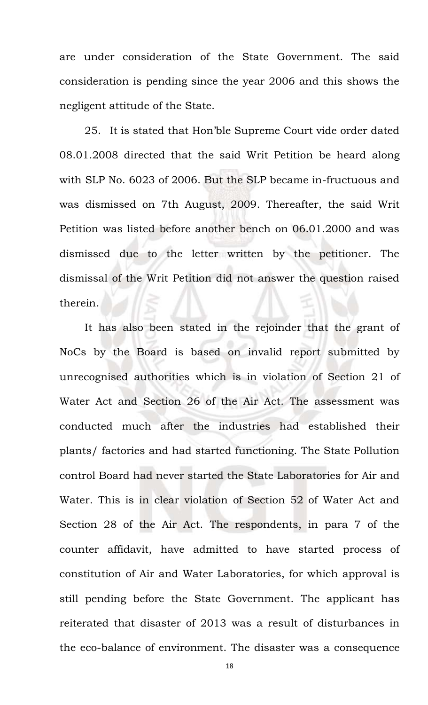are under consideration of the State Government. The said consideration is pending since the year 2006 and this shows the negligent attitude of the State.

25. It is stated that Hon'ble Supreme Court vide order dated 08.01.2008 directed that the said Writ Petition be heard along with SLP No. 6023 of 2006. But the SLP became in-fructuous and was dismissed on 7th August, 2009. Thereafter, the said Writ Petition was listed before another bench on 06.01.2000 and was dismissed due to the letter written by the petitioner. The dismissal of the Writ Petition did not answer the question raised therein.

It has also been stated in the rejoinder that the grant of NoCs by the Board is based on invalid report submitted by unrecognised authorities which is in violation of Section 21 of Water Act and Section 26 of the Air Act. The assessment was conducted much after the industries had established their plants/ factories and had started functioning. The State Pollution control Board had never started the State Laboratories for Air and Water. This is in clear violation of Section 52 of Water Act and Section 28 of the Air Act. The respondents, in para 7 of the counter affidavit, have admitted to have started process of constitution of Air and Water Laboratories, for which approval is still pending before the State Government. The applicant has reiterated that disaster of 2013 was a result of disturbances in the eco-balance of environment. The disaster was a consequence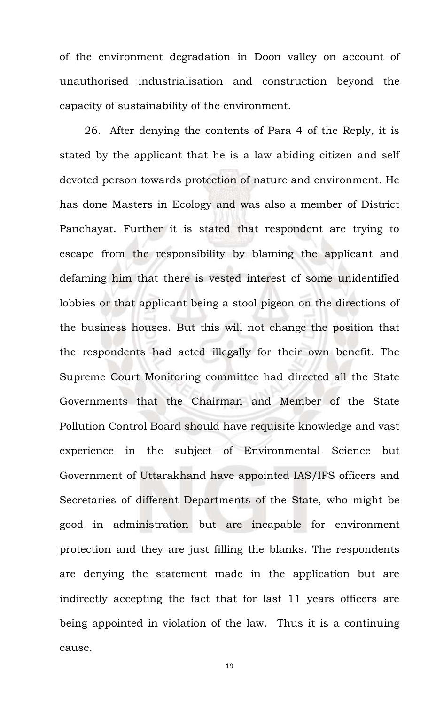of the environment degradation in Doon valley on account of unauthorised industrialisation and construction beyond the capacity of sustainability of the environment.

26. After denying the contents of Para 4 of the Reply, it is stated by the applicant that he is a law abiding citizen and self devoted person towards protection of nature and environment. He has done Masters in Ecology and was also a member of District Panchayat. Further it is stated that respondent are trying to escape from the responsibility by blaming the applicant and defaming him that there is vested interest of some unidentified lobbies or that applicant being a stool pigeon on the directions of the business houses. But this will not change the position that the respondents had acted illegally for their own benefit. The Supreme Court Monitoring committee had directed all the State Governments that the Chairman and Member of the State Pollution Control Board should have requisite knowledge and vast experience in the subject of Environmental Science but Government of Uttarakhand have appointed IAS/IFS officers and Secretaries of different Departments of the State, who might be good in administration but are incapable for environment protection and they are just filling the blanks. The respondents are denying the statement made in the application but are indirectly accepting the fact that for last 11 years officers are being appointed in violation of the law. Thus it is a continuing cause.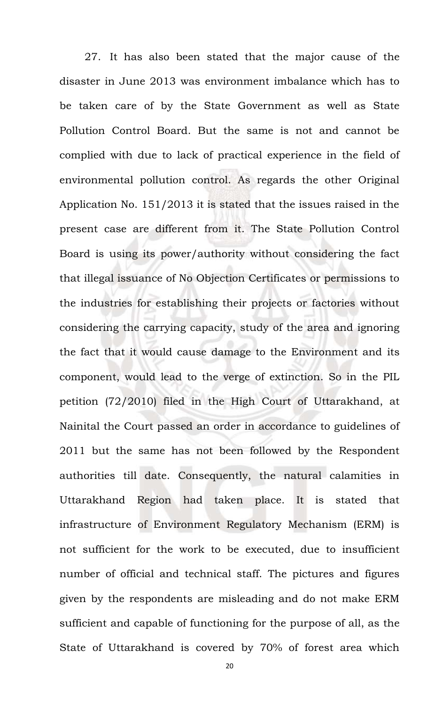27. It has also been stated that the major cause of the disaster in June 2013 was environment imbalance which has to be taken care of by the State Government as well as State Pollution Control Board. But the same is not and cannot be complied with due to lack of practical experience in the field of environmental pollution control. As regards the other Original Application No. 151/2013 it is stated that the issues raised in the present case are different from it. The State Pollution Control Board is using its power/authority without considering the fact that illegal issuance of No Objection Certificates or permissions to the industries for establishing their projects or factories without considering the carrying capacity, study of the area and ignoring the fact that it would cause damage to the Environment and its component, would lead to the verge of extinction. So in the PIL petition (72/2010) filed in the High Court of Uttarakhand, at Nainital the Court passed an order in accordance to guidelines of 2011 but the same has not been followed by the Respondent authorities till date. Consequently, the natural calamities in Uttarakhand Region had taken place. It is stated that infrastructure of Environment Regulatory Mechanism (ERM) is not sufficient for the work to be executed, due to insufficient number of official and technical staff. The pictures and figures given by the respondents are misleading and do not make ERM sufficient and capable of functioning for the purpose of all, as the State of Uttarakhand is covered by 70% of forest area which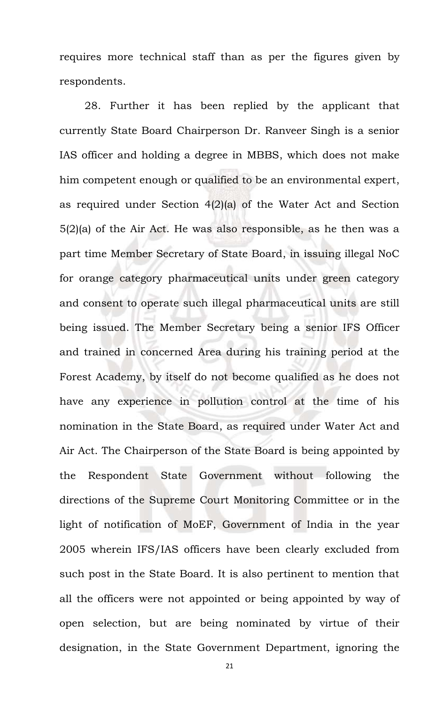requires more technical staff than as per the figures given by respondents.

28. Further it has been replied by the applicant that currently State Board Chairperson Dr. Ranveer Singh is a senior IAS officer and holding a degree in MBBS, which does not make him competent enough or qualified to be an environmental expert, as required under Section 4(2)(a) of the Water Act and Section 5(2)(a) of the Air Act. He was also responsible, as he then was a part time Member Secretary of State Board, in issuing illegal NoC for orange category pharmaceutical units under green category and consent to operate such illegal pharmaceutical units are still being issued. The Member Secretary being a senior IFS Officer and trained in concerned Area during his training period at the Forest Academy, by itself do not become qualified as he does not have any experience in pollution control at the time of his nomination in the State Board, as required under Water Act and Air Act. The Chairperson of the State Board is being appointed by the Respondent State Government without following the directions of the Supreme Court Monitoring Committee or in the light of notification of MoEF, Government of India in the year 2005 wherein IFS/IAS officers have been clearly excluded from such post in the State Board. It is also pertinent to mention that all the officers were not appointed or being appointed by way of open selection, but are being nominated by virtue of their designation, in the State Government Department, ignoring the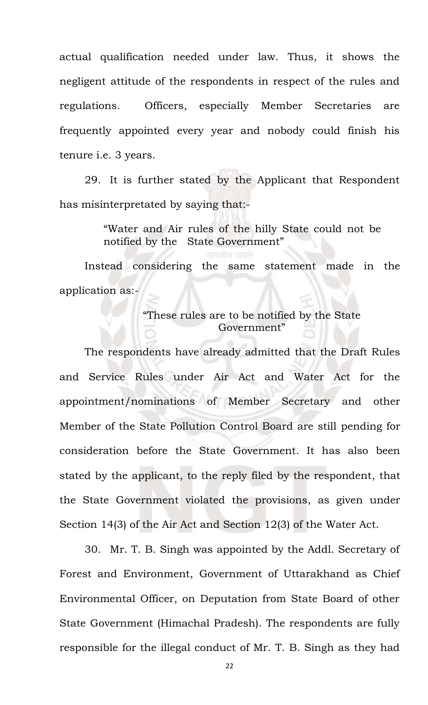actual qualification needed under law. Thus, it shows the negligent attitude of the respondents in respect of the rules and regulations. Officers, especially Member Secretaries are frequently appointed every year and nobody could finish his tenure i.e. 3 years.

29. It is further stated by the Applicant that Respondent has misinterpretated by saying that:-

> "Water and Air rules of the hilly State could not be notified by the State Government"

Instead considering the same statement made in the application as:-

## "These rules are to be notified by the State Government"

The respondents have already admitted that the Draft Rules and Service Rules under Air Act and Water Act for the appointment/nominations of Member Secretary and other Member of the State Pollution Control Board are still pending for consideration before the State Government. It has also been stated by the applicant, to the reply filed by the respondent, that the State Government violated the provisions, as given under Section 14(3) of the Air Act and Section 12(3) of the Water Act.

30. Mr. T. B. Singh was appointed by the Addl. Secretary of Forest and Environment, Government of Uttarakhand as Chief Environmental Officer, on Deputation from State Board of other State Government (Himachal Pradesh). The respondents are fully responsible for the illegal conduct of Mr. T. B. Singh as they had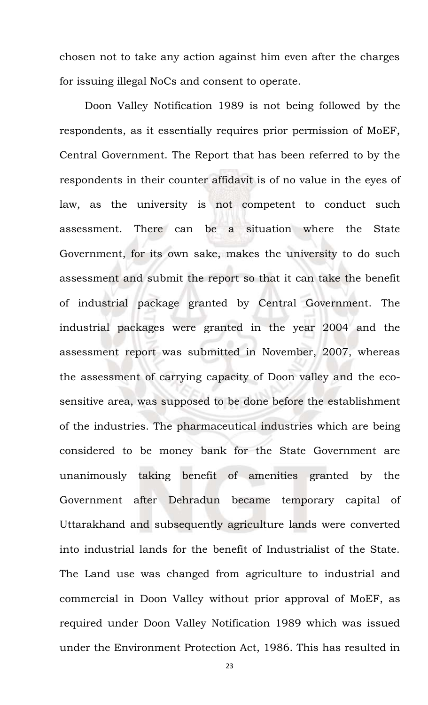chosen not to take any action against him even after the charges for issuing illegal NoCs and consent to operate.

Doon Valley Notification 1989 is not being followed by the respondents, as it essentially requires prior permission of MoEF, Central Government. The Report that has been referred to by the respondents in their counter affidavit is of no value in the eyes of law, as the university is not competent to conduct such assessment. There can be a situation where the State Government, for its own sake, makes the university to do such assessment and submit the report so that it can take the benefit of industrial package granted by Central Government. The industrial packages were granted in the year 2004 and the assessment report was submitted in November, 2007, whereas the assessment of carrying capacity of Doon valley and the ecosensitive area, was supposed to be done before the establishment of the industries. The pharmaceutical industries which are being considered to be money bank for the State Government are unanimously taking benefit of amenities granted by the Government after Dehradun became temporary capital of Uttarakhand and subsequently agriculture lands were converted into industrial lands for the benefit of Industrialist of the State. The Land use was changed from agriculture to industrial and commercial in Doon Valley without prior approval of MoEF, as required under Doon Valley Notification 1989 which was issued under the Environment Protection Act, 1986. This has resulted in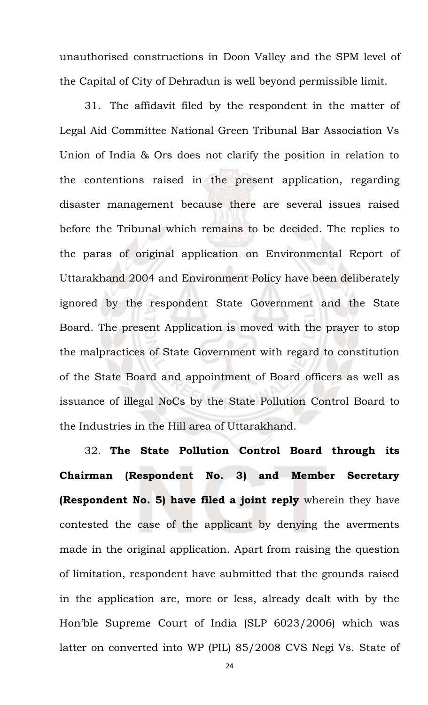unauthorised constructions in Doon Valley and the SPM level of the Capital of City of Dehradun is well beyond permissible limit.

31. The affidavit filed by the respondent in the matter of Legal Aid Committee National Green Tribunal Bar Association Vs Union of India & Ors does not clarify the position in relation to the contentions raised in the present application, regarding disaster management because there are several issues raised before the Tribunal which remains to be decided. The replies to the paras of original application on Environmental Report of Uttarakhand 2004 and Environment Policy have been deliberately ignored by the respondent State Government and the State Board. The present Application is moved with the prayer to stop the malpractices of State Government with regard to constitution of the State Board and appointment of Board officers as well as issuance of illegal NoCs by the State Pollution Control Board to the Industries in the Hill area of Uttarakhand.

32. **The State Pollution Control Board through its Chairman (Respondent No. 3) and Member Secretary (Respondent No. 5) have filed a joint reply** wherein they have contested the case of the applicant by denying the averments made in the original application. Apart from raising the question of limitation, respondent have submitted that the grounds raised in the application are, more or less, already dealt with by the Hon'ble Supreme Court of India (SLP 6023/2006) which was latter on converted into WP (PIL) 85/2008 CVS Negi Vs. State of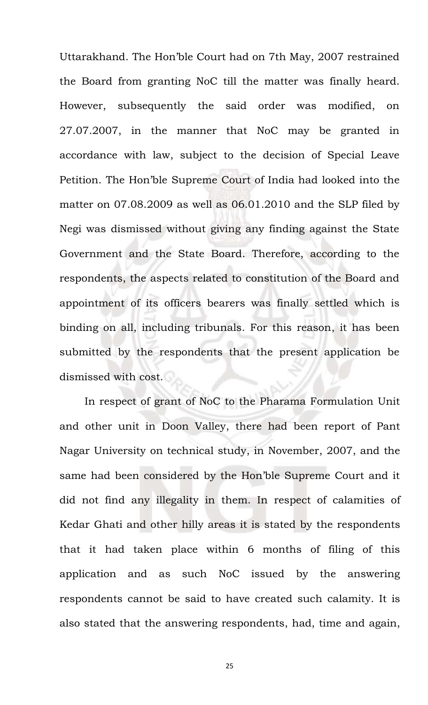Uttarakhand. The Hon'ble Court had on 7th May, 2007 restrained the Board from granting NoC till the matter was finally heard. However, subsequently the said order was modified, on 27.07.2007, in the manner that NoC may be granted in accordance with law, subject to the decision of Special Leave Petition. The Hon'ble Supreme Court of India had looked into the matter on 07.08.2009 as well as 06.01.2010 and the SLP filed by Negi was dismissed without giving any finding against the State Government and the State Board. Therefore, according to the respondents, the aspects related to constitution of the Board and appointment of its officers bearers was finally settled which is binding on all, including tribunals. For this reason, it has been submitted by the respondents that the present application be dismissed with cost.

In respect of grant of NoC to the Pharama Formulation Unit and other unit in Doon Valley, there had been report of Pant Nagar University on technical study, in November, 2007, and the same had been considered by the Hon'ble Supreme Court and it did not find any illegality in them. In respect of calamities of Kedar Ghati and other hilly areas it is stated by the respondents that it had taken place within 6 months of filing of this application and as such NoC issued by the answering respondents cannot be said to have created such calamity. It is also stated that the answering respondents, had, time and again,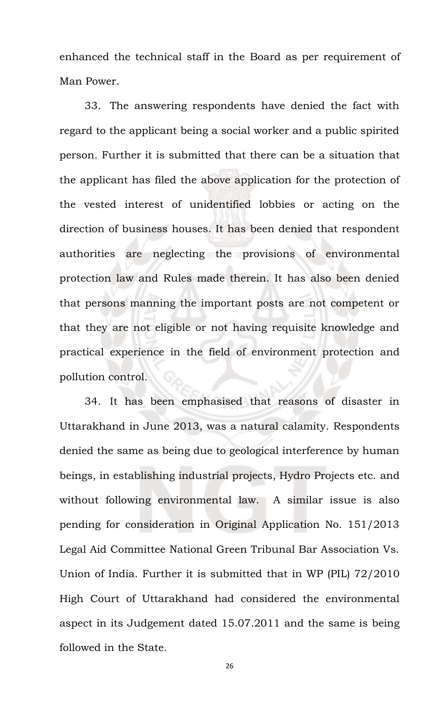enhanced the technical staff in the Board as per requirement of Man Power.

33. The answering respondents have denied the fact with regard to the applicant being a social worker and a public spirited person. Further it is submitted that there can be a situation that the applicant has filed the above application for the protection of the vested interest of unidentified lobbies or acting on the direction of business houses. It has been denied that respondent authorities are neglecting the provisions of environmental protection law and Rules made therein. It has also been denied that persons manning the important posts are not competent or that they are not eligible or not having requisite knowledge and practical experience in the field of environment protection and pollution control.

34. It has been emphasised that reasons of disaster in Uttarakhand in June 2013, was a natural calamity. Respondents denied the same as being due to geological interference by human beings, in establishing industrial projects, Hydro Projects etc. and without following environmental law. A similar issue is also pending for consideration in Original Application No. 151/2013 Legal Aid Committee National Green Tribunal Bar Association Vs. Union of India. Further it is submitted that in WP (PIL) 72/2010 High Court of Uttarakhand had considered the environmental aspect in its Judgement dated 15.07.2011 and the same is being followed in the State.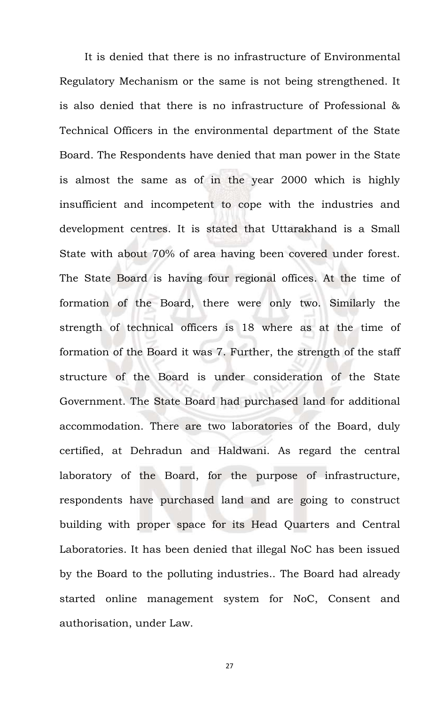It is denied that there is no infrastructure of Environmental Regulatory Mechanism or the same is not being strengthened. It is also denied that there is no infrastructure of Professional & Technical Officers in the environmental department of the State Board. The Respondents have denied that man power in the State is almost the same as of in the year 2000 which is highly insufficient and incompetent to cope with the industries and development centres. It is stated that Uttarakhand is a Small State with about 70% of area having been covered under forest. The State Board is having four regional offices. At the time of formation of the Board, there were only two. Similarly the strength of technical officers is 18 where as at the time of formation of the Board it was 7. Further, the strength of the staff structure of the Board is under consideration of the State Government. The State Board had purchased land for additional accommodation. There are two laboratories of the Board, duly certified, at Dehradun and Haldwani. As regard the central laboratory of the Board, for the purpose of infrastructure, respondents have purchased land and are going to construct building with proper space for its Head Quarters and Central Laboratories. It has been denied that illegal NoC has been issued by the Board to the polluting industries.. The Board had already started online management system for NoC, Consent and authorisation, under Law.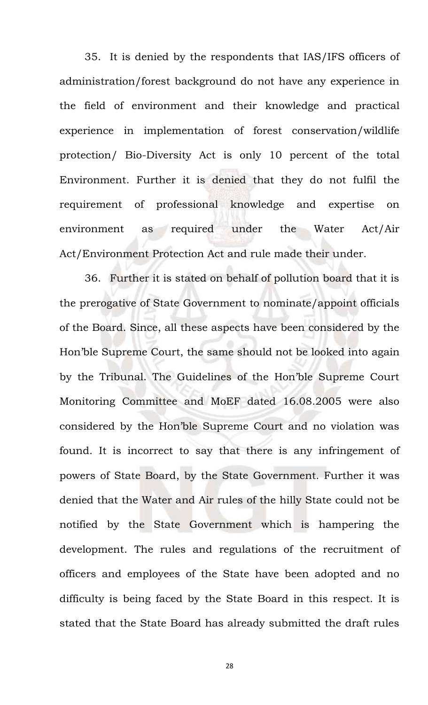35. It is denied by the respondents that IAS/IFS officers of administration/forest background do not have any experience in the field of environment and their knowledge and practical experience in implementation of forest conservation/wildlife protection/ Bio-Diversity Act is only 10 percent of the total Environment. Further it is denied that they do not fulfil the requirement of professional knowledge and expertise on environment as required under the Water Act/Air Act/Environment Protection Act and rule made their under.

36. Further it is stated on behalf of pollution board that it is the prerogative of State Government to nominate/appoint officials of the Board. Since, all these aspects have been considered by the Hon'ble Supreme Court, the same should not be looked into again by the Tribunal. The Guidelines of the Hon'ble Supreme Court Monitoring Committee and MoEF dated 16.08.2005 were also considered by the Hon'ble Supreme Court and no violation was found. It is incorrect to say that there is any infringement of powers of State Board, by the State Government. Further it was denied that the Water and Air rules of the hilly State could not be notified by the State Government which is hampering the development. The rules and regulations of the recruitment of officers and employees of the State have been adopted and no difficulty is being faced by the State Board in this respect. It is stated that the State Board has already submitted the draft rules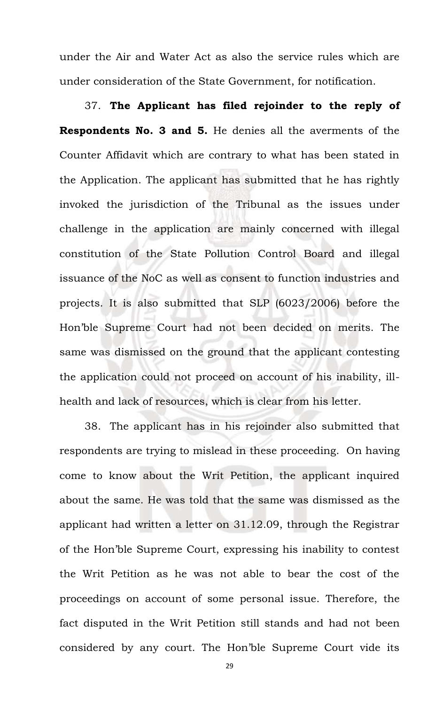under the Air and Water Act as also the service rules which are under consideration of the State Government, for notification.

37. **The Applicant has filed rejoinder to the reply of Respondents No. 3 and 5.** He denies all the averments of the Counter Affidavit which are contrary to what has been stated in the Application. The applicant has submitted that he has rightly invoked the jurisdiction of the Tribunal as the issues under challenge in the application are mainly concerned with illegal constitution of the State Pollution Control Board and illegal issuance of the NoC as well as consent to function industries and projects. It is also submitted that SLP (6023/2006) before the Hon'ble Supreme Court had not been decided on merits. The same was dismissed on the ground that the applicant contesting the application could not proceed on account of his inability, illhealth and lack of resources, which is clear from his letter.

38. The applicant has in his rejoinder also submitted that respondents are trying to mislead in these proceeding. On having come to know about the Writ Petition, the applicant inquired about the same. He was told that the same was dismissed as the applicant had written a letter on 31.12.09, through the Registrar of the Hon'ble Supreme Court, expressing his inability to contest the Writ Petition as he was not able to bear the cost of the proceedings on account of some personal issue. Therefore, the fact disputed in the Writ Petition still stands and had not been considered by any court. The Hon'ble Supreme Court vide its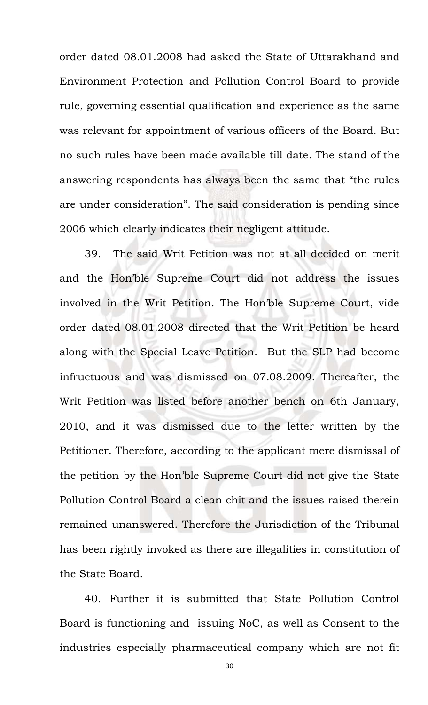order dated 08.01.2008 had asked the State of Uttarakhand and Environment Protection and Pollution Control Board to provide rule, governing essential qualification and experience as the same was relevant for appointment of various officers of the Board. But no such rules have been made available till date. The stand of the answering respondents has always been the same that "the rules are under consideration". The said consideration is pending since 2006 which clearly indicates their negligent attitude.

39. The said Writ Petition was not at all decided on merit and the Hon'ble Supreme Court did not address the issues involved in the Writ Petition. The Hon'ble Supreme Court, vide order dated 08.01.2008 directed that the Writ Petition be heard along with the Special Leave Petition. But the SLP had become infructuous and was dismissed on 07.08.2009. Thereafter, the Writ Petition was listed before another bench on 6th January, 2010, and it was dismissed due to the letter written by the Petitioner. Therefore, according to the applicant mere dismissal of the petition by the Hon'ble Supreme Court did not give the State Pollution Control Board a clean chit and the issues raised therein remained unanswered. Therefore the Jurisdiction of the Tribunal has been rightly invoked as there are illegalities in constitution of the State Board.

40. Further it is submitted that State Pollution Control Board is functioning and issuing NoC, as well as Consent to the industries especially pharmaceutical company which are not fit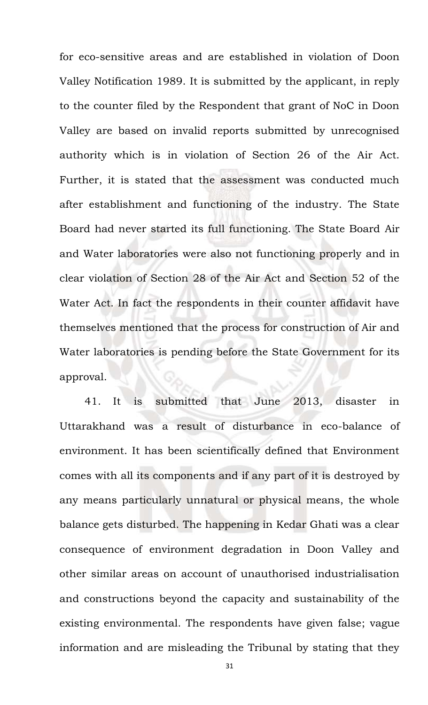for eco-sensitive areas and are established in violation of Doon Valley Notification 1989. It is submitted by the applicant, in reply to the counter filed by the Respondent that grant of NoC in Doon Valley are based on invalid reports submitted by unrecognised authority which is in violation of Section 26 of the Air Act. Further, it is stated that the assessment was conducted much after establishment and functioning of the industry. The State Board had never started its full functioning. The State Board Air and Water laboratories were also not functioning properly and in clear violation of Section 28 of the Air Act and Section 52 of the Water Act. In fact the respondents in their counter affidavit have themselves mentioned that the process for construction of Air and Water laboratories is pending before the State Government for its approval.

41. It is submitted that June 2013, disaster in Uttarakhand was a result of disturbance in eco-balance of environment. It has been scientifically defined that Environment comes with all its components and if any part of it is destroyed by any means particularly unnatural or physical means, the whole balance gets disturbed. The happening in Kedar Ghati was a clear consequence of environment degradation in Doon Valley and other similar areas on account of unauthorised industrialisation and constructions beyond the capacity and sustainability of the existing environmental. The respondents have given false; vague information and are misleading the Tribunal by stating that they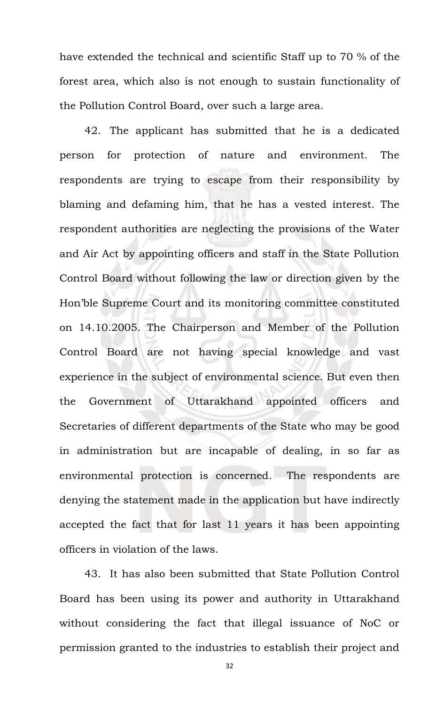have extended the technical and scientific Staff up to 70 % of the forest area, which also is not enough to sustain functionality of the Pollution Control Board, over such a large area.

42. The applicant has submitted that he is a dedicated person for protection of nature and environment. The respondents are trying to escape from their responsibility by blaming and defaming him, that he has a vested interest. The respondent authorities are neglecting the provisions of the Water and Air Act by appointing officers and staff in the State Pollution Control Board without following the law or direction given by the Hon'ble Supreme Court and its monitoring committee constituted on 14.10.2005. The Chairperson and Member of the Pollution Control Board are not having special knowledge and vast experience in the subject of environmental science. But even then the Government of Uttarakhand appointed officers and Secretaries of different departments of the State who may be good in administration but are incapable of dealing, in so far as environmental protection is concerned. The respondents are denying the statement made in the application but have indirectly accepted the fact that for last 11 years it has been appointing officers in violation of the laws.

43. It has also been submitted that State Pollution Control Board has been using its power and authority in Uttarakhand without considering the fact that illegal issuance of NoC or permission granted to the industries to establish their project and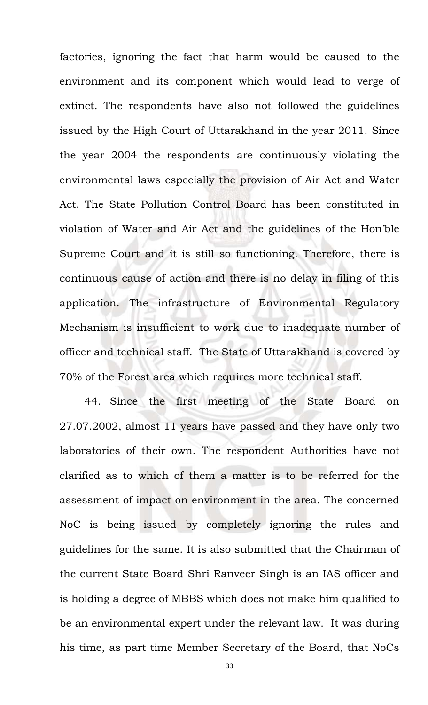factories, ignoring the fact that harm would be caused to the environment and its component which would lead to verge of extinct. The respondents have also not followed the guidelines issued by the High Court of Uttarakhand in the year 2011. Since the year 2004 the respondents are continuously violating the environmental laws especially the provision of Air Act and Water Act. The State Pollution Control Board has been constituted in violation of Water and Air Act and the guidelines of the Hon'ble Supreme Court and it is still so functioning. Therefore, there is continuous cause of action and there is no delay in filing of this application. The infrastructure of Environmental Regulatory Mechanism is insufficient to work due to inadequate number of officer and technical staff. The State of Uttarakhand is covered by 70% of the Forest area which requires more technical staff.

44. Since the first meeting of the State Board on 27.07.2002, almost 11 years have passed and they have only two laboratories of their own. The respondent Authorities have not clarified as to which of them a matter is to be referred for the assessment of impact on environment in the area. The concerned NoC is being issued by completely ignoring the rules and guidelines for the same. It is also submitted that the Chairman of the current State Board Shri Ranveer Singh is an IAS officer and is holding a degree of MBBS which does not make him qualified to be an environmental expert under the relevant law. It was during his time, as part time Member Secretary of the Board, that NoCs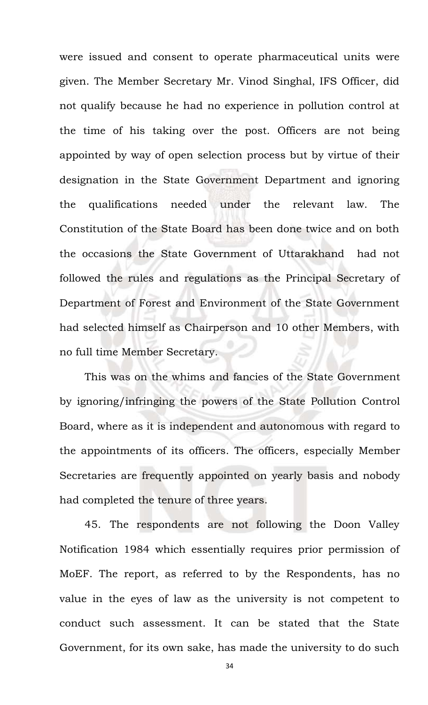were issued and consent to operate pharmaceutical units were given. The Member Secretary Mr. Vinod Singhal, IFS Officer, did not qualify because he had no experience in pollution control at the time of his taking over the post. Officers are not being appointed by way of open selection process but by virtue of their designation in the State Government Department and ignoring the qualifications needed under the relevant law. The Constitution of the State Board has been done twice and on both the occasions the State Government of Uttarakhand had not followed the rules and regulations as the Principal Secretary of Department of Forest and Environment of the State Government had selected himself as Chairperson and 10 other Members, with no full time Member Secretary.

This was on the whims and fancies of the State Government by ignoring/infringing the powers of the State Pollution Control Board, where as it is independent and autonomous with regard to the appointments of its officers. The officers, especially Member Secretaries are frequently appointed on yearly basis and nobody had completed the tenure of three years.

45. The respondents are not following the Doon Valley Notification 1984 which essentially requires prior permission of MoEF. The report, as referred to by the Respondents, has no value in the eyes of law as the university is not competent to conduct such assessment. It can be stated that the State Government, for its own sake, has made the university to do such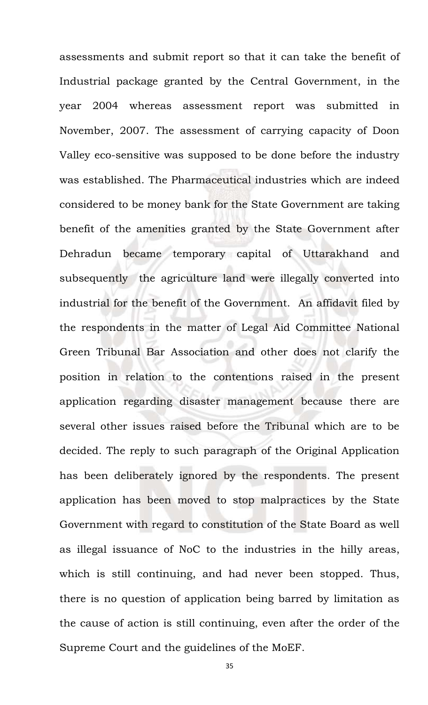assessments and submit report so that it can take the benefit of Industrial package granted by the Central Government, in the year 2004 whereas assessment report was submitted in November, 2007. The assessment of carrying capacity of Doon Valley eco-sensitive was supposed to be done before the industry was established. The Pharmaceutical industries which are indeed considered to be money bank for the State Government are taking benefit of the amenities granted by the State Government after Dehradun became temporary capital of Uttarakhand and subsequently the agriculture land were illegally converted into industrial for the benefit of the Government. An affidavit filed by the respondents in the matter of Legal Aid Committee National Green Tribunal Bar Association and other does not clarify the position in relation to the contentions raised in the present application regarding disaster management because there are several other issues raised before the Tribunal which are to be decided. The reply to such paragraph of the Original Application has been deliberately ignored by the respondents. The present application has been moved to stop malpractices by the State Government with regard to constitution of the State Board as well as illegal issuance of NoC to the industries in the hilly areas, which is still continuing, and had never been stopped. Thus, there is no question of application being barred by limitation as the cause of action is still continuing, even after the order of the Supreme Court and the guidelines of the MoEF.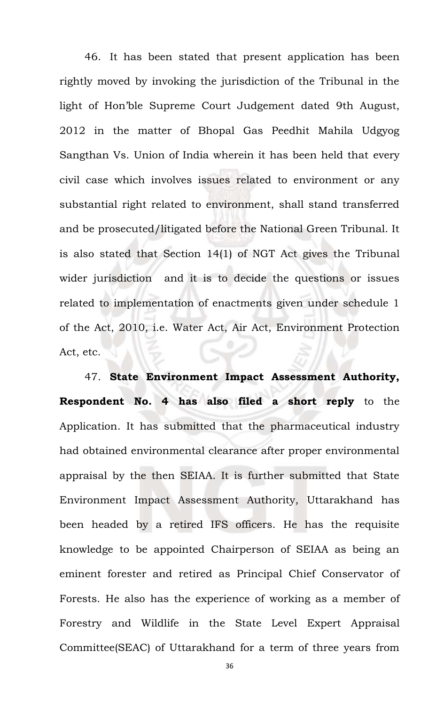46. It has been stated that present application has been rightly moved by invoking the jurisdiction of the Tribunal in the light of Hon'ble Supreme Court Judgement dated 9th August, 2012 in the matter of Bhopal Gas Peedhit Mahila Udgyog Sangthan Vs. Union of India wherein it has been held that every civil case which involves issues related to environment or any substantial right related to environment, shall stand transferred and be prosecuted/litigated before the National Green Tribunal. It is also stated that Section 14(1) of NGT Act gives the Tribunal wider jurisdiction and it is to decide the questions or issues related to implementation of enactments given under schedule 1 of the Act, 2010, i.e. Water Act, Air Act, Environment Protection Act, etc.

47. **State Environment Impact Assessment Authority, Respondent No. 4 has also filed a short reply** to the Application. It has submitted that the pharmaceutical industry had obtained environmental clearance after proper environmental appraisal by the then SEIAA. It is further submitted that State Environment Impact Assessment Authority, Uttarakhand has been headed by a retired IFS officers. He has the requisite knowledge to be appointed Chairperson of SEIAA as being an eminent forester and retired as Principal Chief Conservator of Forests. He also has the experience of working as a member of Forestry and Wildlife in the State Level Expert Appraisal Committee(SEAC) of Uttarakhand for a term of three years from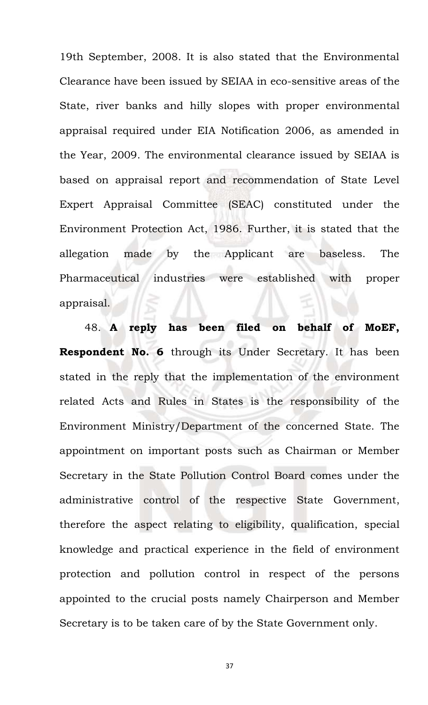19th September, 2008. It is also stated that the Environmental Clearance have been issued by SEIAA in eco-sensitive areas of the State, river banks and hilly slopes with proper environmental appraisal required under EIA Notification 2006, as amended in the Year, 2009. The environmental clearance issued by SEIAA is based on appraisal report and recommendation of State Level Expert Appraisal Committee (SEAC) constituted under the Environment Protection Act, 1986. Further, it is stated that the allegation made by the Applicant are baseless. The Pharmaceutical industries were established with proper appraisal.

48. **A reply has been filed on behalf of MoEF, Respondent No. 6** through its Under Secretary. It has been stated in the reply that the implementation of the environment related Acts and Rules in States is the responsibility of the Environment Ministry/Department of the concerned State. The appointment on important posts such as Chairman or Member Secretary in the State Pollution Control Board comes under the administrative control of the respective State Government, therefore the aspect relating to eligibility, qualification, special knowledge and practical experience in the field of environment protection and pollution control in respect of the persons appointed to the crucial posts namely Chairperson and Member Secretary is to be taken care of by the State Government only.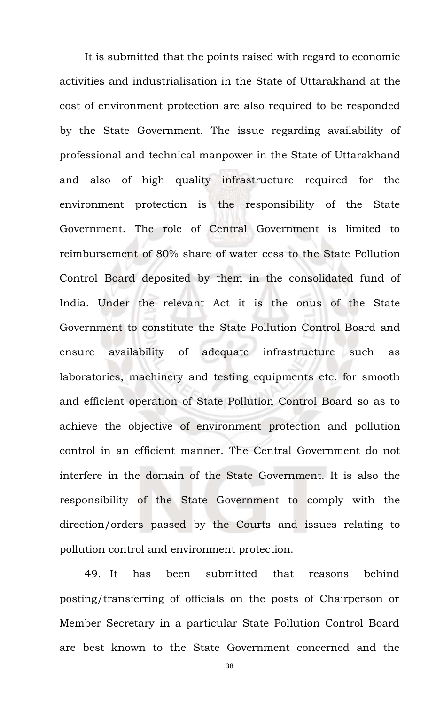It is submitted that the points raised with regard to economic activities and industrialisation in the State of Uttarakhand at the cost of environment protection are also required to be responded by the State Government. The issue regarding availability of professional and technical manpower in the State of Uttarakhand and also of high quality infrastructure required for the environment protection is the responsibility of the State Government. The role of Central Government is limited to reimbursement of 80% share of water cess to the State Pollution Control Board deposited by them in the consolidated fund of India. Under the relevant Act it is the onus of the State Government to constitute the State Pollution Control Board and ensure availability of adequate infrastructure such as laboratories, machinery and testing equipments etc. for smooth and efficient operation of State Pollution Control Board so as to achieve the objective of environment protection and pollution control in an efficient manner. The Central Government do not interfere in the domain of the State Government. It is also the responsibility of the State Government to comply with the direction/orders passed by the Courts and issues relating to pollution control and environment protection.

49. It has been submitted that reasons behind posting/transferring of officials on the posts of Chairperson or Member Secretary in a particular State Pollution Control Board are best known to the State Government concerned and the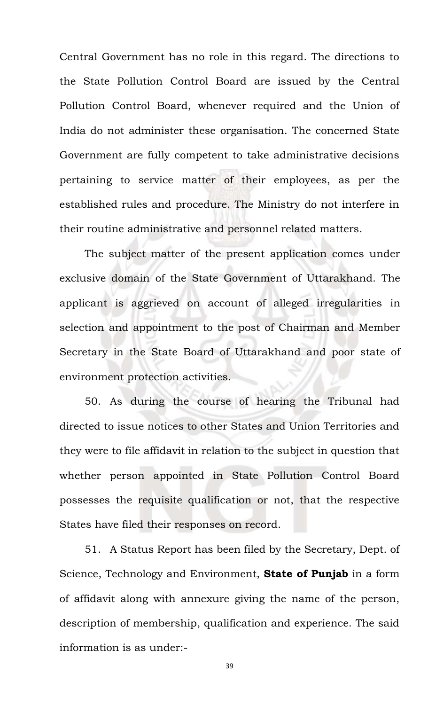Central Government has no role in this regard. The directions to the State Pollution Control Board are issued by the Central Pollution Control Board, whenever required and the Union of India do not administer these organisation. The concerned State Government are fully competent to take administrative decisions pertaining to service matter of their employees, as per the established rules and procedure. The Ministry do not interfere in their routine administrative and personnel related matters.

The subject matter of the present application comes under exclusive domain of the State Government of Uttarakhand. The applicant is aggrieved on account of alleged irregularities in selection and appointment to the post of Chairman and Member Secretary in the State Board of Uttarakhand and poor state of environment protection activities.

50. As during the course of hearing the Tribunal had directed to issue notices to other States and Union Territories and they were to file affidavit in relation to the subject in question that whether person appointed in State Pollution Control Board possesses the requisite qualification or not, that the respective States have filed their responses on record.

51. A Status Report has been filed by the Secretary, Dept. of Science, Technology and Environment, **State of Punjab** in a form of affidavit along with annexure giving the name of the person, description of membership, qualification and experience. The said information is as under:-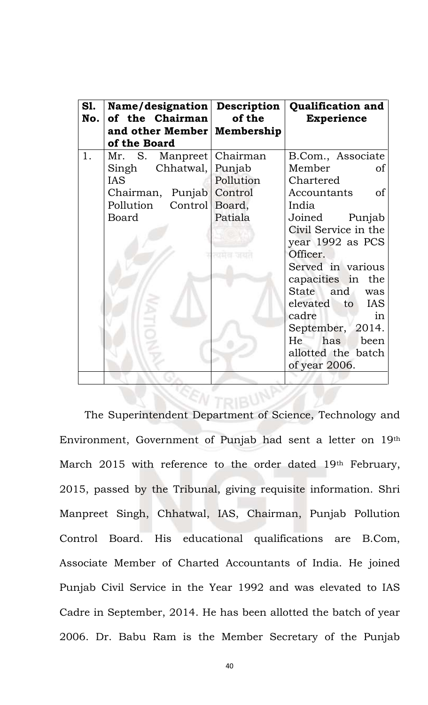| <b>S1.</b> | Name/designation   Description |             | <b>Qualification and</b>     |
|------------|--------------------------------|-------------|------------------------------|
| No.        | of the Chairman                | of the      | <b>Experience</b>            |
|            | and other Member Membership    |             |                              |
|            | of the Board                   |             |                              |
| 1.         | Mr. S. Manpreet   Chairman     |             | B.Com., Associate            |
|            | Chhatwal,<br>Singh             | Punjab      | Member<br><sub>of</sub>      |
|            | <b>IAS</b>                     | Pollution   | Chartered                    |
|            | Chairman, Punjab   Control     |             | Accountants<br><sub>of</sub> |
|            | Pollution<br>Control Board,    |             | India                        |
|            | Board                          | Patiala     | Joined Punjab                |
|            |                                |             | Civil Service in the         |
|            |                                |             | year 1992 as PCS             |
|            |                                | ਲਾ ਲੋਕ ਕਰਦਾ | Officer.                     |
|            |                                |             | Served in various            |
|            |                                |             | capacities in the            |
|            |                                |             | State and<br>was             |
|            |                                |             | elevated to IAS              |
|            |                                |             | cadre<br>in                  |
|            |                                |             | September, 2014.             |
|            |                                |             | He<br>has<br>been            |
|            |                                |             | allotted the batch           |
|            |                                |             | of year 2006.                |
|            |                                |             |                              |

The Superintendent Department of Science, Technology and Environment, Government of Punjab had sent a letter on 19th March 2015 with reference to the order dated 19<sup>th</sup> February, 2015, passed by the Tribunal, giving requisite information. Shri Manpreet Singh, Chhatwal, IAS, Chairman, Punjab Pollution Control Board. His educational qualifications are B.Com, Associate Member of Charted Accountants of India. He joined Punjab Civil Service in the Year 1992 and was elevated to IAS Cadre in September, 2014. He has been allotted the batch of year 2006. Dr. Babu Ram is the Member Secretary of the Punjab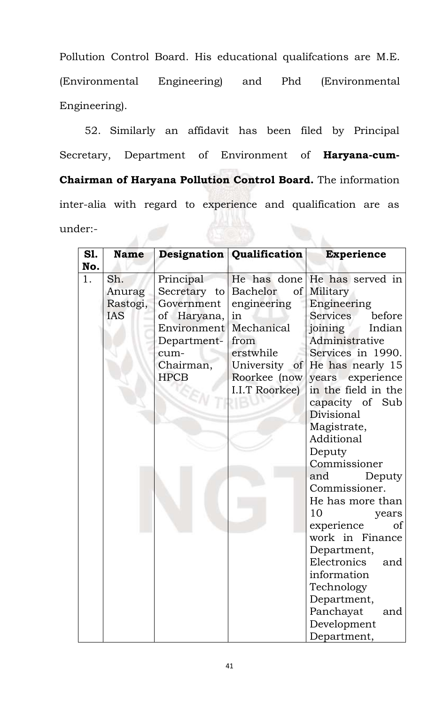Pollution Control Board. His educational qualifcations are M.E. (Environmental Engineering) and Phd (Environmental Engineering).

52. Similarly an affidavit has been filed by Principal Secretary, Department of Environment of **Haryana-cum-Chairman of Haryana Pollution Control Board.** The information inter-alia with regard to experience and qualification are as under:-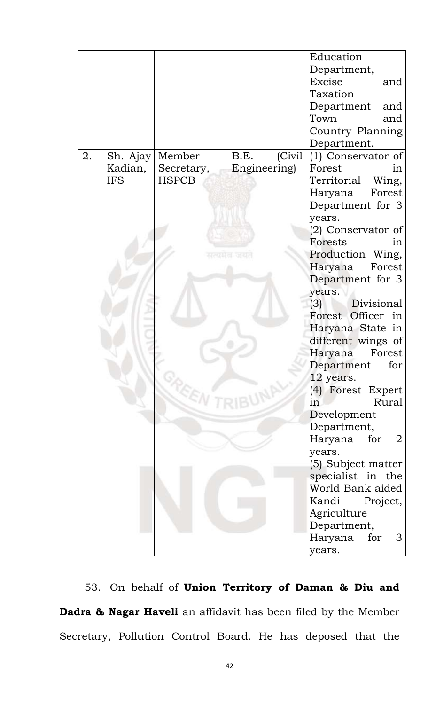|    |            |              |                 | Education           |
|----|------------|--------------|-----------------|---------------------|
|    |            |              |                 |                     |
|    |            |              |                 | Department,         |
|    |            |              |                 | Excise<br>and       |
|    |            |              |                 | Taxation            |
|    |            |              |                 | Department<br>and   |
|    |            |              |                 | Town<br>and         |
|    |            |              |                 | Country Planning    |
|    |            |              |                 | Department.         |
| 2. | Sh. Ajay   | Member       | B.E.<br>(Civil) | (1) Conservator of  |
|    | Kadian,    | Secretary,   | Engineering)    | Forest<br>in        |
|    | <b>IFS</b> | <b>HSPCB</b> |                 | Territorial Wing,   |
|    |            |              |                 | Haryana Forest      |
|    |            |              |                 | Department for 3    |
|    |            |              |                 | years.              |
|    |            |              |                 | (2) Conservator of  |
|    |            |              |                 | Forests<br>in       |
|    |            |              |                 | Production Wing,    |
|    |            |              |                 | Haryana Forest      |
|    |            |              |                 | Department for 3    |
|    |            |              |                 | years.              |
|    |            |              |                 | (3)<br>Divisional   |
|    |            |              |                 | Forest Officer in   |
|    |            |              |                 |                     |
|    |            |              |                 | Haryana State in    |
|    |            |              |                 | different wings of  |
|    |            |              |                 | Haryana Forest      |
|    |            |              |                 | Department<br>for   |
|    |            |              |                 | 12 years.           |
|    |            |              |                 | (4) Forest Expert   |
|    |            |              |                 | Rural<br>in.        |
|    |            |              |                 | Development         |
|    |            |              |                 | Department,         |
|    |            |              |                 | Haryana for<br>2    |
|    |            |              |                 | years.              |
|    |            |              |                 | (5) Subject matter  |
|    |            |              |                 | specialist in the   |
|    |            |              |                 | World Bank aided    |
|    |            |              |                 | Kandi<br>Project,   |
|    |            |              |                 | Agriculture         |
|    |            |              |                 | Department,         |
|    |            |              |                 | Haryana<br>for<br>3 |
|    |            |              |                 | years.              |
|    |            |              |                 |                     |

53. On behalf of **Union Territory of Daman & Diu and Dadra & Nagar Haveli** an affidavit has been filed by the Member Secretary, Pollution Control Board. He has deposed that the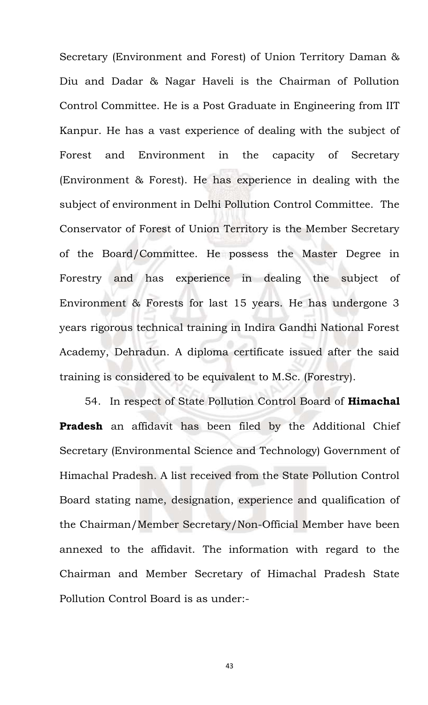Secretary (Environment and Forest) of Union Territory Daman & Diu and Dadar & Nagar Haveli is the Chairman of Pollution Control Committee. He is a Post Graduate in Engineering from IIT Kanpur. He has a vast experience of dealing with the subject of Forest and Environment in the capacity of Secretary (Environment & Forest). He has experience in dealing with the subject of environment in Delhi Pollution Control Committee. The Conservator of Forest of Union Territory is the Member Secretary of the Board/Committee. He possess the Master Degree in Forestry and has experience in dealing the subject of Environment & Forests for last 15 years. He has undergone 3 years rigorous technical training in Indira Gandhi National Forest Academy, Dehradun. A diploma certificate issued after the said training is considered to be equivalent to M.Sc. (Forestry).

54. In respect of State Pollution Control Board of **Himachal Pradesh** an affidavit has been filed by the Additional Chief Secretary (Environmental Science and Technology) Government of Himachal Pradesh. A list received from the State Pollution Control Board stating name, designation, experience and qualification of the Chairman/Member Secretary/Non-Official Member have been annexed to the affidavit. The information with regard to the Chairman and Member Secretary of Himachal Pradesh State Pollution Control Board is as under:-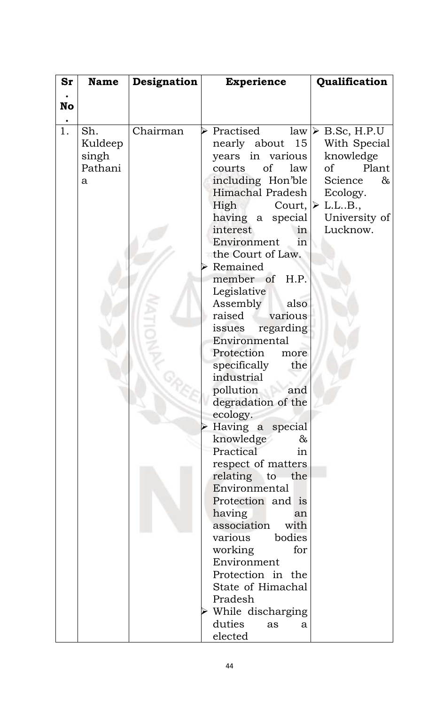| Sr | <b>Name</b> | Designation | <b>Experience</b>                   | Qualification           |
|----|-------------|-------------|-------------------------------------|-------------------------|
|    |             |             |                                     |                         |
| No |             |             |                                     |                         |
|    |             |             |                                     |                         |
| 1. | Sh.         | Chairman    | $\triangleright$ Practised          | $law \geq B. Sc, H.P.U$ |
|    | Kuldeep     |             | nearly about 15                     | With Special            |
|    | singh       |             | years in various                    | knowledge               |
|    | Pathani     |             | courts<br>$\circ$ f<br>law          | Plant<br>$\sigma$       |
|    | a           |             | including Hon'ble                   | Science<br>$\&$         |
|    |             |             | Himachal Pradesh                    | Ecology.                |
|    |             |             | High Court, $\triangleright$ L.LB., |                         |
|    |             |             | having a special                    | University of           |
|    |             |             | interest<br>in                      | Lucknow.                |
|    |             |             | Environment in                      |                         |
|    |             |             | the Court of Law.                   |                         |
|    |             |             | $\triangleright$ Remained           |                         |
|    |             |             | member of H.P.                      |                         |
|    |             |             | Legislative<br>Assembly also        |                         |
|    |             |             | raised<br>various                   |                         |
|    |             |             | issues regarding                    |                         |
|    |             |             | Environmental                       |                         |
|    |             |             | Protection<br>more                  |                         |
|    |             |             | specifically<br>the                 |                         |
|    |             |             | industrial                          |                         |
|    |             |             | and<br>pollution                    |                         |
|    |             |             | degradation of the                  |                         |
|    |             |             | ecology.                            |                         |
|    |             |             | Having a special                    |                         |
|    |             |             | knowledge<br>&                      |                         |
|    |             |             | Practical<br>in                     |                         |
|    |             |             | respect of matters                  |                         |
|    |             |             | relating to the                     |                         |
|    |             |             | Environmental                       |                         |
|    |             |             | Protection and is                   |                         |
|    |             |             | having<br>an                        |                         |
|    |             |             | association<br>with                 |                         |
|    |             |             | bodies<br>various                   |                         |
|    |             |             | working<br>for                      |                         |
|    |             |             | Environment                         |                         |
|    |             |             | Protection in the                   |                         |
|    |             |             | State of Himachal                   |                         |
|    |             |             | Pradesh                             |                         |
|    |             |             | While discharging                   |                         |
|    |             |             |                                     |                         |
|    |             |             | duties<br>as<br>a<br>elected        |                         |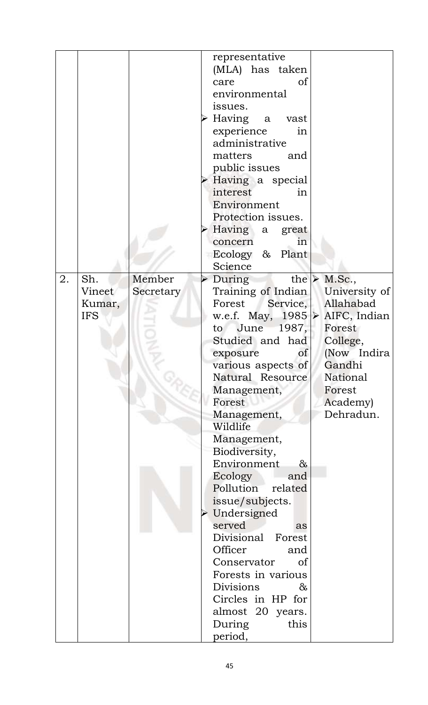|    |                                       |                     | representative<br>(MLA) has taken<br>οf<br>care<br>environmental<br>issues.<br>Having a vast<br>experience<br>in<br>administrative<br>matters<br>and<br>public issues<br>$\triangleright$ Having a special<br>interest<br>in<br>Environment<br>Protection issues.<br>Having a great<br>concern<br>in<br>Ecology & Plant<br>Science                                                                                                                                                                                                                                                                                              |                                                                                                            |
|----|---------------------------------------|---------------------|---------------------------------------------------------------------------------------------------------------------------------------------------------------------------------------------------------------------------------------------------------------------------------------------------------------------------------------------------------------------------------------------------------------------------------------------------------------------------------------------------------------------------------------------------------------------------------------------------------------------------------|------------------------------------------------------------------------------------------------------------|
| 2. | Sh.<br>Vineet<br>Kumar,<br><b>IFS</b> | Member<br>Secretary | $\triangleright$ During<br>Training of Indian University of<br>Forest Service, Allahabad<br>w.e.f. May, $1985 \geq AIFC$ , Indian<br>to June 1987, Forest<br>Studied and had College,<br>of<br>exposure<br>various aspects of<br>Natural Resource<br>Management,<br>Forest<br>Management,<br>Wildlife<br>Management,<br>Biodiversity,<br>Environment<br>&<br>Ecology<br>and<br>Pollution<br>related<br>issue/subjects.<br>Undersigned<br>served<br>as<br>Divisional Forest<br>Officer<br>and<br>Conservator<br>of<br>Forests in various<br>Divisions<br>&<br>Circles in HP for<br>almost 20 years.<br>this<br>During<br>period, | the $\triangleright$ M.Sc.,<br>(Now Indira<br>Gandhi<br><b>National</b><br>Forest<br>Academy)<br>Dehradun. |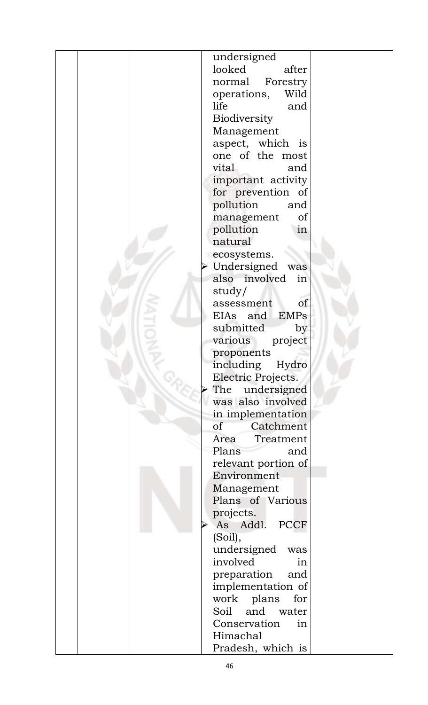| undersigned                      |
|----------------------------------|
| looked<br>after                  |
| normal<br>Forestry               |
|                                  |
| Wild<br>operations,              |
| life<br>and                      |
| Biodiversity                     |
| Management                       |
| aspect, which is                 |
|                                  |
| one of the most                  |
| vital<br>and                     |
| important activity               |
| for prevention of                |
| pollution<br>and                 |
|                                  |
| management<br>of                 |
| pollution<br>in                  |
| natural                          |
| ecosystems.                      |
| $\triangleright$ Undersigned was |
| also involved in                 |
|                                  |
| study/                           |
| of<br>assessment                 |
| EIAs and EMPs                    |
| submitted<br>by                  |
| various project                  |
|                                  |
| proponents                       |
| including<br>Hydro               |
| Electric Projects.               |
| The undersigned                  |
| was also involved                |
| in implementation                |
| Catchment<br>of                  |
|                                  |
| Area Treatment                   |
| Plans<br>and                     |
| relevant portion of              |
| Environment                      |
| Management                       |
| Plans of Various                 |
|                                  |
| projects.                        |
| As Addl. PCCF                    |
| (Soil),                          |
| undersigned<br>was               |
| involved<br>in                   |
| preparation and                  |
| implementation of                |
| work plans<br>for                |
| Soil and water                   |
| Conservation<br>in               |
|                                  |
| Himachal                         |
| Pradesh, which is                |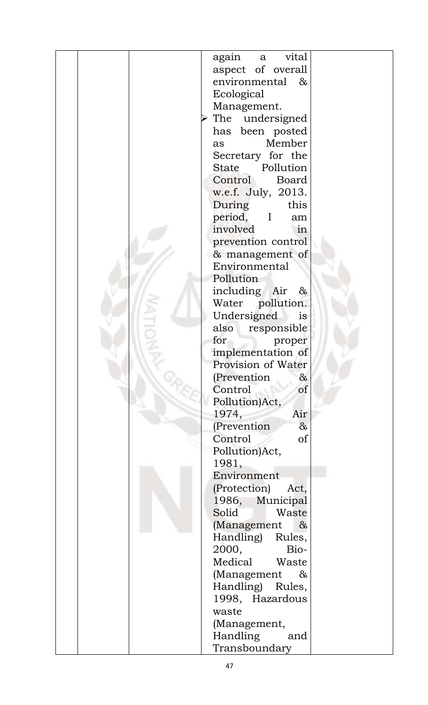|  | again a vital            |  |
|--|--------------------------|--|
|  | aspect of overall        |  |
|  | environmental &          |  |
|  | Ecological               |  |
|  | Management.              |  |
|  | The undersigned          |  |
|  |                          |  |
|  | has been posted          |  |
|  | as Member                |  |
|  | Secretary for the        |  |
|  | State Pollution          |  |
|  | Control Board            |  |
|  | w.e.f. July, 2013.       |  |
|  | During this              |  |
|  | period, I<br>am          |  |
|  | involved<br>in           |  |
|  | prevention control       |  |
|  | & management of          |  |
|  |                          |  |
|  | Environmental            |  |
|  | Pollution                |  |
|  | including Air &          |  |
|  | Water pollution.         |  |
|  | Undersigned is           |  |
|  | also responsible         |  |
|  | for<br>proper            |  |
|  | implementation of        |  |
|  | Provision of Water       |  |
|  | (Prevention<br>&         |  |
|  | of<br>Control            |  |
|  | Pollution)Act,           |  |
|  |                          |  |
|  | 1974,<br>Air             |  |
|  | (Prevention<br>$\infty$  |  |
|  | Control<br><sub>of</sub> |  |
|  | Pollution)Act,           |  |
|  | 1981,                    |  |
|  | Environment              |  |
|  | (Protection)<br>Act,     |  |
|  | 1986, Municipal          |  |
|  | Solid<br>Waste           |  |
|  | (Management $\&$         |  |
|  | Handling) Rules,         |  |
|  | 2000,<br>Bio-            |  |
|  | Medical Waste            |  |
|  |                          |  |
|  | (Management $\&$         |  |
|  | Handling) Rules,         |  |
|  | 1998, Hazardous          |  |
|  | waste                    |  |
|  | (Management,             |  |
|  | Handling<br>and          |  |
|  | Transboundary            |  |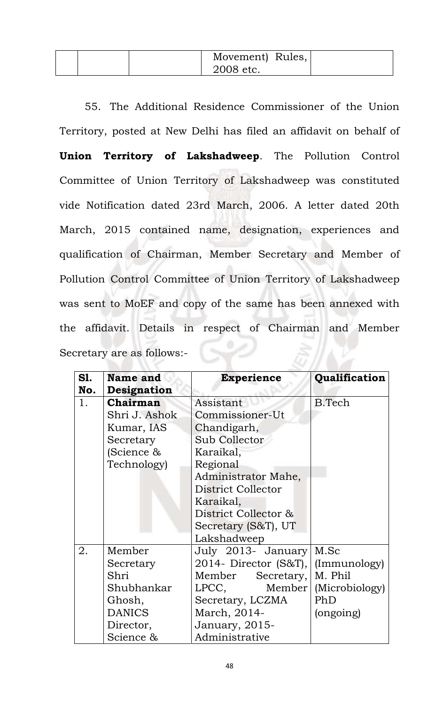|  | Movement) Rules, |  |
|--|------------------|--|
|  | 2008 etc.        |  |

55. The Additional Residence Commissioner of the Union Territory, posted at New Delhi has filed an affidavit on behalf of **Union Territory of Lakshadweep**. The Pollution Control Committee of Union Territory of Lakshadweep was constituted vide Notification dated 23rd March, 2006. A letter dated 20th March, 2015 contained name, designation, experiences and qualification of Chairman, Member Secretary and Member of Pollution Control Committee of Union Territory of Lakshadweep was sent to MoEF and copy of the same has been annexed with the affidavit. Details in respect of Chairman and Member Secretary are as follows:-

| <b>S1.</b><br>No. | Name and<br>Designation | <b>Experience</b>        | Qualification  |
|-------------------|-------------------------|--------------------------|----------------|
| 1.                | Chairman                | Assistant                | <b>B.Tech</b>  |
|                   |                         |                          |                |
|                   | Shri J. Ashok           | Commissioner-Ut          |                |
|                   | Kumar, IAS              | Chandigarh,              |                |
|                   | Secretary               | Sub Collector            |                |
|                   | (Science &              | Karaikal,                |                |
|                   | Technology)             | Regional                 |                |
|                   |                         | Administrator Mahe,      |                |
|                   |                         | District Collector       |                |
|                   |                         | Karaikal,                |                |
|                   |                         | District Collector &     |                |
|                   |                         | Secretary (S&T), UT      |                |
|                   |                         | Lakshadweep              |                |
| 2.                | Member                  | July 2013- January       | M.Sc           |
|                   | Secretary               | 2014- Director $(S&T)$ , | (Immunology)   |
|                   | Shri                    | Member<br>Secretary,     | M. Phil        |
|                   | Shubhankar              | LPCC,<br>Member          | (Microbiology) |
|                   | Ghosh,                  | Secretary, LCZMA         | PhD            |
|                   | <b>DANICS</b>           | March, 2014-             | (ongoing)      |
|                   | Director,               | January, 2015-           |                |
|                   | Science &               | Administrative           |                |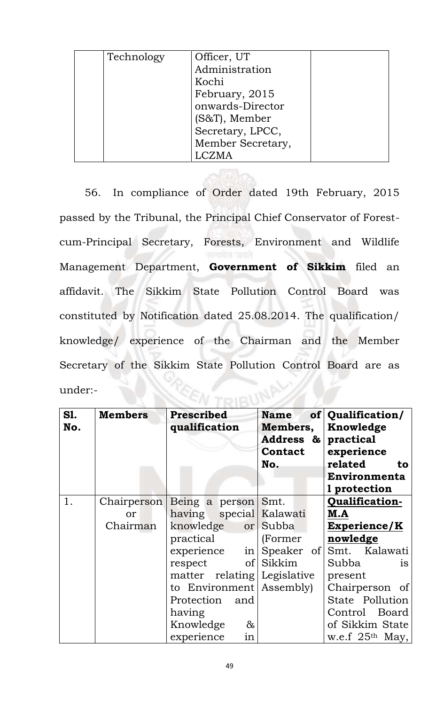| Technology | Officer, UT       |  |
|------------|-------------------|--|
|            | Administration    |  |
|            | Kochi             |  |
|            | February, 2015    |  |
|            | onwards-Director  |  |
|            | (S&T), Member     |  |
|            | Secretary, LPCC,  |  |
|            | Member Secretary, |  |
|            | LCZMA             |  |

56. In compliance of Order dated 19th February, 2015 passed by the Tribunal, the Principal Chief Conservator of Forestcum-Principal Secretary, Forests, Environment and Wildlife Management Department, **Government of Sikkim** filed an affidavit. The Sikkim State Pollution Control Board was constituted by Notification dated 25.08.2014. The qualification/ knowledge/ experience of the Chairman and the Member Secretary of the Sikkim State Pollution Control Board are as W TRIBUNAL under:-

| <b>S1.</b><br>No. | <b>Members</b> | <b>Prescribed</b><br>qualification |      | <b>Name</b><br>Members,<br>Address &<br><b>Contact</b><br>No. | of <sub>l</sub> | Qualification/<br>Knowledge<br>practical<br>experience<br>related<br>Environmenta<br>1 protection | to |
|-------------------|----------------|------------------------------------|------|---------------------------------------------------------------|-----------------|---------------------------------------------------------------------------------------------------|----|
| 1.                |                | Chairperson   Being a person       |      | Smt.                                                          |                 | Qualification-                                                                                    |    |
|                   | or             | having special Kalawati            |      |                                                               |                 | M.A                                                                                               |    |
|                   | Chairman       | knowledge or Subba                 |      |                                                               |                 | Experience/K                                                                                      |    |
|                   |                | practical                          |      | (Former)                                                      |                 | nowledge                                                                                          |    |
|                   |                | $experience$ in                    |      | Speaker of                                                    |                 | Smt. Kalawati                                                                                     |    |
|                   |                | respect                            |      | of Sikkim                                                     |                 | Subba                                                                                             | is |
|                   |                |                                    |      | matter relating Legislative                                   |                 | present                                                                                           |    |
|                   |                |                                    |      | to Environment Assembly                                       |                 | Chairperson of                                                                                    |    |
|                   |                | Protection                         | and  |                                                               |                 | State Pollution                                                                                   |    |
|                   |                | having                             |      |                                                               |                 | Control Board                                                                                     |    |
|                   |                | Knowledge                          | $\&$ |                                                               |                 | of Sikkim State                                                                                   |    |
|                   |                | experience                         | in   |                                                               |                 | w.e.f $25th$ May,                                                                                 |    |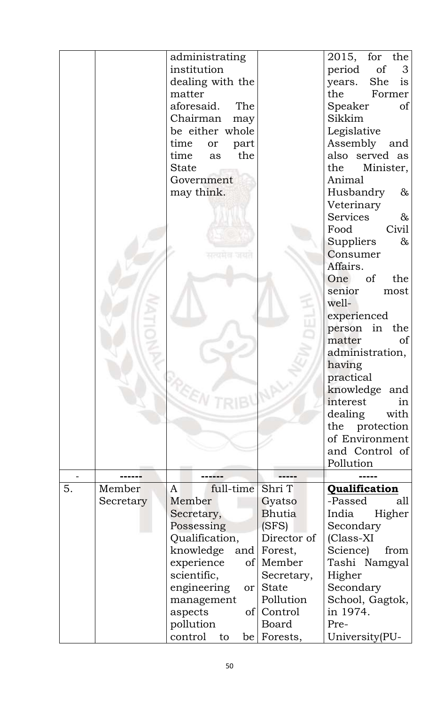|    |           | administrating<br>institution<br>dealing with the<br>matter<br>aforesaid. The<br>Chairman may<br>be either whole<br>time or part<br>time as the<br><b>State</b><br>Government<br>may think. |                         | 2015, for the<br>period of<br>- 3<br>years. She is<br>the Former<br>Speaker<br>of<br>Sikkim<br>Legislative<br>Assembly and<br>also served as<br>the Minister,<br>Animal<br>Husbandry &<br>Veterinary<br>Services<br>$\infty$<br>Food Civil<br>$\&$<br>Suppliers<br>Consumer<br>Affairs.<br>One of<br>the<br>senior<br>most<br>well-<br>experienced<br>person in the<br>matter<br>of<br>administration,<br>having<br>practical<br>knowledge<br>and<br>interest<br>in<br>dealing<br>with<br>the protection<br>of Environment<br>and Control of<br>Pollution |
|----|-----------|---------------------------------------------------------------------------------------------------------------------------------------------------------------------------------------------|-------------------------|-----------------------------------------------------------------------------------------------------------------------------------------------------------------------------------------------------------------------------------------------------------------------------------------------------------------------------------------------------------------------------------------------------------------------------------------------------------------------------------------------------------------------------------------------------------|
|    |           |                                                                                                                                                                                             |                         |                                                                                                                                                                                                                                                                                                                                                                                                                                                                                                                                                           |
| 5. | Member    | full-time<br>A                                                                                                                                                                              | Shri T                  | Qualification                                                                                                                                                                                                                                                                                                                                                                                                                                                                                                                                             |
|    | Secretary | Member                                                                                                                                                                                      | Gyatso                  | -Passed<br>all                                                                                                                                                                                                                                                                                                                                                                                                                                                                                                                                            |
|    |           | Secretary,<br>Possessing                                                                                                                                                                    | <b>Bhutia</b><br>(SFS)  | India<br>Higher<br>Secondary                                                                                                                                                                                                                                                                                                                                                                                                                                                                                                                              |
|    |           | Qualification,                                                                                                                                                                              | Director of             | $(Class-XI)$                                                                                                                                                                                                                                                                                                                                                                                                                                                                                                                                              |
|    |           | knowledge and Forest,                                                                                                                                                                       |                         | Science)<br>from                                                                                                                                                                                                                                                                                                                                                                                                                                                                                                                                          |
|    |           | experience                                                                                                                                                                                  | of Member               | Tashi Namgyal                                                                                                                                                                                                                                                                                                                                                                                                                                                                                                                                             |
|    |           | scientific,                                                                                                                                                                                 | Secretary,              | Higher                                                                                                                                                                                                                                                                                                                                                                                                                                                                                                                                                    |
|    |           | engineering<br>or                                                                                                                                                                           | <b>State</b>            | Secondary                                                                                                                                                                                                                                                                                                                                                                                                                                                                                                                                                 |
|    |           | management<br>aspects                                                                                                                                                                       | Pollution<br>of Control | School, Gagtok,<br>in 1974.                                                                                                                                                                                                                                                                                                                                                                                                                                                                                                                               |
|    |           | pollution                                                                                                                                                                                   | <b>Board</b>            | Pre-                                                                                                                                                                                                                                                                                                                                                                                                                                                                                                                                                      |
|    |           | control<br>to                                                                                                                                                                               | be Forests,             | University(PU-                                                                                                                                                                                                                                                                                                                                                                                                                                                                                                                                            |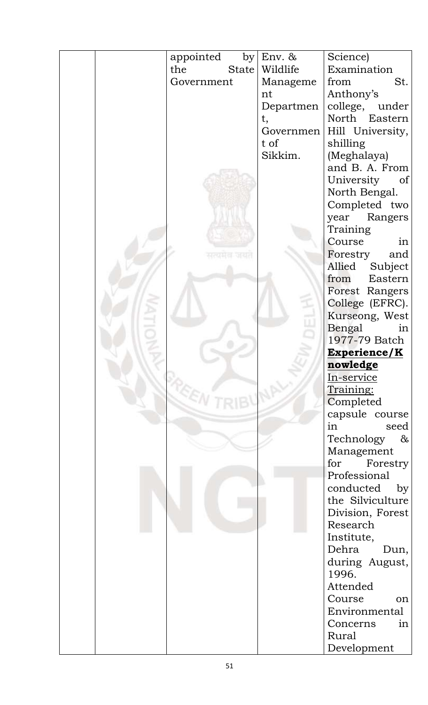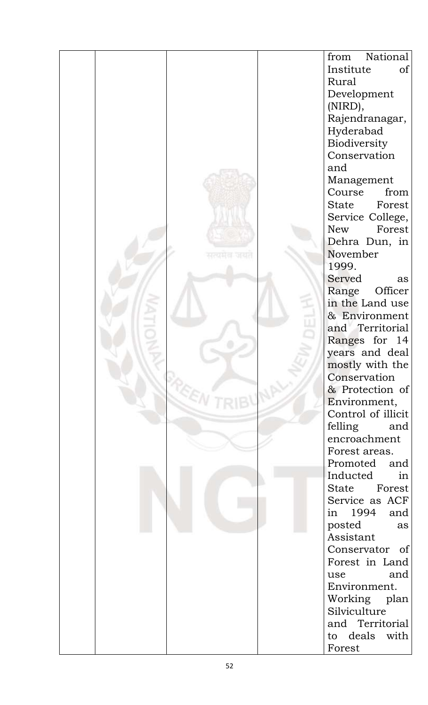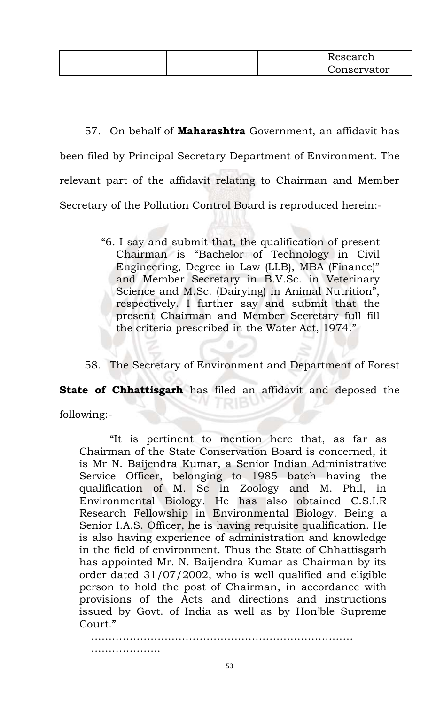|  |  | Research    |
|--|--|-------------|
|  |  | Conservator |

57. On behalf of **Maharashtra** Government, an affidavit has been filed by Principal Secretary Department of Environment. The relevant part of the affidavit relating to Chairman and Member Secretary of the Pollution Control Board is reproduced herein:-

> "6. I say and submit that, the qualification of present Chairman is "Bachelor of Technology in Civil Engineering, Degree in Law (LLB), MBA (Finance)" and Member Secretary in B.V.Sc. in Veterinary Science and M.Sc. (Dairying) in Animal Nutrition", respectively. I further say and submit that the present Chairman and Member Secretary full fill the criteria prescribed in the Water Act, 1974."

58. The Secretary of Environment and Department of Forest

**State of Chhattisgarh** has filed an affidavit and deposed the TRIB

following:-

"It is pertinent to mention here that, as far as Chairman of the State Conservation Board is concerned, it is Mr N. Baijendra Kumar, a Senior Indian Administrative Service Officer, belonging to 1985 batch having the qualification of M. Sc in Zoology and M. Phil, in Environmental Biology. He has also obtained C.S.I.R Research Fellowship in Environmental Biology. Being a Senior I.A.S. Officer, he is having requisite qualification. He is also having experience of administration and knowledge in the field of environment. Thus the State of Chhattisgarh has appointed Mr. N. Baijendra Kumar as Chairman by its order dated 31/07/2002, who is well qualified and eligible person to hold the post of Chairman, in accordance with provisions of the Acts and directions and instructions issued by Govt. of India as well as by Hon'ble Supreme Court."

………………………………………………………………… ……………………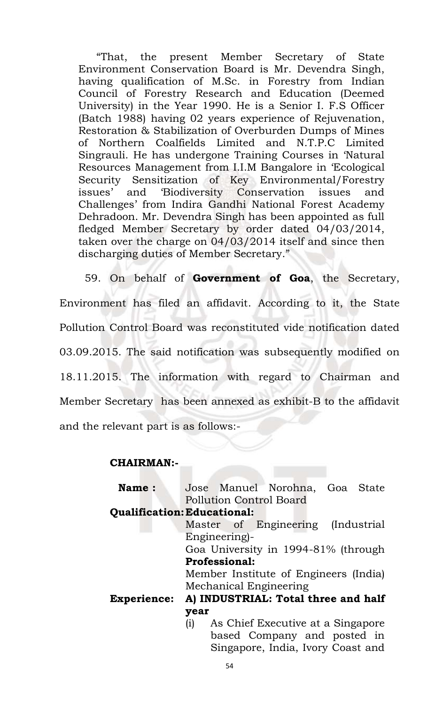"That, the present Member Secretary of State Environment Conservation Board is Mr. Devendra Singh, having qualification of M.Sc. in Forestry from Indian Council of Forestry Research and Education (Deemed University) in the Year 1990. He is a Senior I. F.S Officer (Batch 1988) having 02 years experience of Rejuvenation, Restoration & Stabilization of Overburden Dumps of Mines of Northern Coalfields Limited and N.T.P.C Limited Singrauli. He has undergone Training Courses in 'Natural Resources Management from I.I.M Bangalore in 'Ecological Security Sensitization of Key Environmental/Forestry issues' and 'Biodiversity Conservation issues and Challenges' from Indira Gandhi National Forest Academy Dehradoon. Mr. Devendra Singh has been appointed as full fledged Member Secretary by order dated 04/03/2014, taken over the charge on 04/03/2014 itself and since then discharging duties of Member Secretary."

59. On behalf of **Government of Goa**, the Secretary, Environment has filed an affidavit. According to it, the State Pollution Control Board was reconstituted vide notification dated 03.09.2015. The said notification was subsequently modified on 18.11.2015. The information with regard to Chairman and Member Secretary has been annexed as exhibit-B to the affidavit and the relevant part is as follows:-

### **CHAIRMAN:-**

| Name:                              |                                       |                                | Jose Manuel Norohna, Goa State      |  |  |  |
|------------------------------------|---------------------------------------|--------------------------------|-------------------------------------|--|--|--|
|                                    |                                       | <b>Pollution Control Board</b> |                                     |  |  |  |
| <b>Qualification: Educational:</b> |                                       |                                |                                     |  |  |  |
|                                    |                                       |                                | Master of Engineering (Industrial   |  |  |  |
|                                    |                                       | Engineering)-                  |                                     |  |  |  |
|                                    |                                       |                                | Goa University in 1994-81% (through |  |  |  |
|                                    |                                       | <b>Professional:</b>           |                                     |  |  |  |
|                                    | Member Institute of Engineers (India) |                                |                                     |  |  |  |
|                                    |                                       | Mechanical Engineering         |                                     |  |  |  |
| <b>Experience:</b>                 |                                       |                                | A) INDUSTRIAL: Total three and half |  |  |  |
|                                    | year                                  |                                |                                     |  |  |  |
|                                    | (i)                                   |                                | As Chief Executive at a Singapore   |  |  |  |
|                                    |                                       |                                | based Company and posted in         |  |  |  |

Singapore, India, Ivory Coast and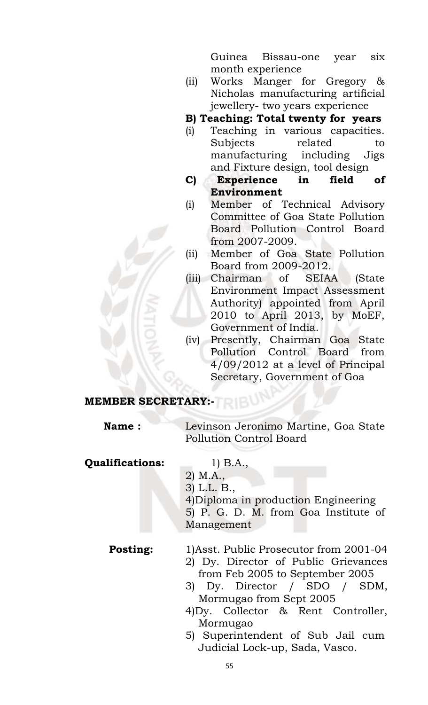Guinea Bissau-one year six month experience

(ii) Works Manger for Gregory & Nicholas manufacturing artificial jewellery- two years experience

### **B) Teaching: Total twenty for years**

- (i) Teaching in various capacities. Subjects related to manufacturing including Jigs and Fixture design, tool design
- **C) Experience in field of Environment**
- (i) Member of Technical Advisory Committee of Goa State Pollution Board Pollution Control Board from 2007-2009.
- (ii) Member of Goa State Pollution Board from 2009-2012.
- (iii) Chairman of SEIAA (State Environment Impact Assessment Authority) appointed from April 2010 to April 2013, by MoEF, Government of India.
- (iv) Presently, Chairman Goa State Pollution Control Board from 4/09/2012 at a level of Principal Secretary, Government of Goa

#### **MEMBER SECRETARY:-**

| Name:                  | Levinson Jeronimo Martine, Goa State<br><b>Pollution Control Board</b>                                                                                                                                                           |  |  |  |
|------------------------|----------------------------------------------------------------------------------------------------------------------------------------------------------------------------------------------------------------------------------|--|--|--|
| <b>Qualifications:</b> | 1) B.A.,<br>$(2)$ M.A.,<br>3) L.L. B.,<br>4) Diploma in production Engineering<br>5) P. G. D. M. from Goa Institute of<br>Management                                                                                             |  |  |  |
| Posting:               | 1) Asst. Public Prosecutor from 2001-04<br>2) Dy. Director of Public Grievances<br>from Feb 2005 to September 2005<br>3) Dy. Director / SDO / SDM,<br>Mormugao from Sept 2005<br>4) Dy. Collector & Rent Controller,<br>Mormugao |  |  |  |

5) Superintendent of Sub Jail cum Judicial Lock-up, Sada, Vasco.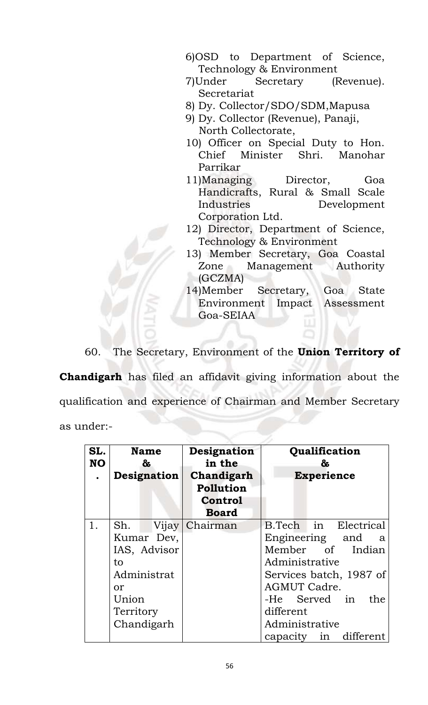- 6)OSD to Department of Science, Technology & Environment
- 7)Under Secretary (Revenue). Secretariat
- 8) Dy. Collector/SDO/SDM,Mapusa
- 9) Dy. Collector (Revenue), Panaji, North Collectorate,
- 10) Officer on Special Duty to Hon. Chief Minister Shri. Manohar Parrikar
- 11)Managing Director, Goa Handicrafts, Rural & Small Scale Industries Development Corporation Ltd.
- 12) Director, Department of Science, Technology & Environment
- 13) Member Secretary, Goa Coastal Zone Management Authority (GCZMA)
- 14)Member Secretary, Goa State Environment Impact Assessment Goa-SEIAA

60. The Secretary, Environment of the **Union Territory of** 

**Chandigarh** has filed an affidavit giving information about the qualification and experience of Chairman and Member Secretary as under:-

| SL.<br><b>NO</b> | <b>Name</b><br><u>&amp;</u><br>Designation |  |            | Designation<br>in the<br>Chandigarh<br>Pollution<br><b>Control</b><br><b>Board</b> | <b>Qualification</b><br><u>&amp;</u><br><b>Experience</b> |
|------------------|--------------------------------------------|--|------------|------------------------------------------------------------------------------------|-----------------------------------------------------------|
| 1.               | Sh.                                        |  | Vijay      | Chairman                                                                           | B.Tech in Electrical                                      |
|                  |                                            |  | Kumar Dev, |                                                                                    | Engineering and<br>a                                      |
|                  | IAS, Advisor                               |  |            |                                                                                    | Member of Indian                                          |
|                  | to                                         |  |            |                                                                                    | Administrative                                            |
|                  | Administrat                                |  |            |                                                                                    | Services batch, 1987 of                                   |
|                  | $\alpha r$                                 |  |            |                                                                                    | <b>AGMUT Cadre.</b>                                       |
|                  | Union                                      |  |            |                                                                                    | -He Served in<br>the                                      |
|                  | Territory                                  |  |            |                                                                                    | different                                                 |
|                  | Chandigarh                                 |  |            |                                                                                    | Administrative                                            |
|                  |                                            |  |            |                                                                                    | capacity in different                                     |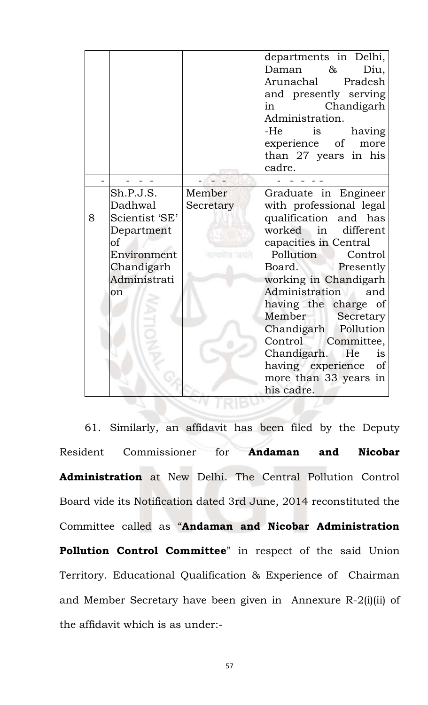|   |                                                                                                                          |                     | departments in Delhi,<br>Daman<br>$\alpha$<br>Diu,<br>Arunachal<br>Pradesh<br>and presently serving<br>Chandigarh<br>in<br>Administration.<br>$-He$<br>having<br>is<br>experience of<br>more<br>than 27 years in his<br>cadre.                                                                                                                                                                                              |
|---|--------------------------------------------------------------------------------------------------------------------------|---------------------|-----------------------------------------------------------------------------------------------------------------------------------------------------------------------------------------------------------------------------------------------------------------------------------------------------------------------------------------------------------------------------------------------------------------------------|
|   |                                                                                                                          |                     |                                                                                                                                                                                                                                                                                                                                                                                                                             |
| 8 | Sh.P.J.S.<br>Dadhwal<br>Scientist 'SE'<br>Department<br><sub>of</sub><br>Environment<br>Chandigarh<br>Administrati<br>on | Member<br>Secretary | Graduate in Engineer<br>with professional legal<br>qualification and has<br>worked in<br>different<br>capacities in Central<br>Pollution Control<br>Board.<br>Presently<br>working in Chandigarh<br>Administration and<br>having the charge of<br>Member<br>Secretary<br>Chandigarh Pollution<br>Control<br>Committee,<br>Chandigarh. He<br>is<br>having experience<br><sub>of</sub><br>more than 33 years in<br>his cadre. |

61. Similarly, an affidavit has been filed by the Deputy Resident Commissioner for **Andaman and Nicobar Administration** at New Delhi. The Central Pollution Control Board vide its Notification dated 3rd June, 2014 reconstituted the Committee called as "**Andaman and Nicobar Administration Pollution Control Committee**" in respect of the said Union Territory. Educational Qualification & Experience of Chairman and Member Secretary have been given in Annexure R-2(i)(ii) of the affidavit which is as under:-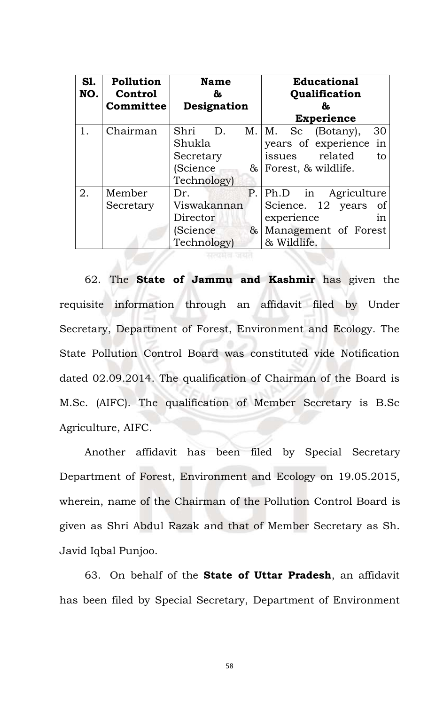| <b>S1.</b><br>NO. | Pollution<br>Control | <b>Name</b><br>රිත                                                                   | <b>Educational</b><br>Qualification                                                                          |
|-------------------|----------------------|--------------------------------------------------------------------------------------|--------------------------------------------------------------------------------------------------------------|
|                   | Committee            | Designation                                                                          | <u>&amp;</u><br><b>Experience</b>                                                                            |
| 1.                | Chairman             | Shri<br>Μ.<br>D.<br>Shukla<br>Secretary<br>(Science<br>$\&$<br>Technology)           | 30<br>M. Sc<br>(Botany),<br>years of experience in<br>related<br>issues<br>tο<br>Forest, & wildlife.         |
| 2.                | Member<br>Secretary  | $P_{\cdot}$<br>Dr.<br>Viswakannan<br>Director<br>(Science<br>$\infty$<br>Technology) | Ph.D in<br>Agriculture<br>Science. 12 years<br>of<br>experience<br>in<br>Management of Forest<br>& Wildlife. |

62. The **State of Jammu and Kashmir** has given the requisite information through an affidavit filed by Under Secretary, Department of Forest, Environment and Ecology. The State Pollution Control Board was constituted vide Notification dated 02.09.2014. The qualification of Chairman of the Board is M.Sc. (AIFC). The qualification of Member Secretary is B.Sc Agriculture, AIFC.

Another affidavit has been filed by Special Secretary Department of Forest, Environment and Ecology on 19.05.2015, wherein, name of the Chairman of the Pollution Control Board is given as Shri Abdul Razak and that of Member Secretary as Sh. Javid Iqbal Punjoo.

63. On behalf of the **State of Uttar Pradesh**, an affidavit has been filed by Special Secretary, Department of Environment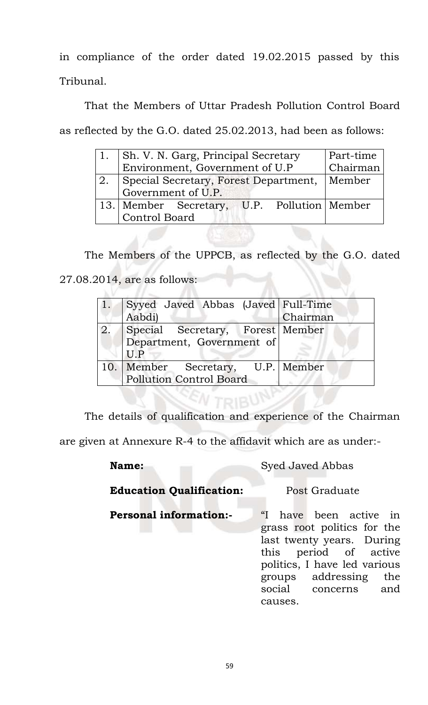in compliance of the order dated 19.02.2015 passed by this Tribunal.

That the Members of Uttar Pradesh Pollution Control Board as reflected by the G.O. dated 25.02.2013, had been as follows:

| 1. Sh. V. N. Garg, Principal Secretary          | Part-time |
|-------------------------------------------------|-----------|
| Environment, Government of U.P                  | Chairman  |
| 2. Special Secretary, Forest Department, Member |           |
| Government of U.P.                              |           |
| 13. Member Secretary, U.P. Pollution Member     |           |
| Control Board                                   |           |

The Members of the UPPCB, as reflected by the G.O. dated

27.08.2014, are as follows:

χV

|    | Syyed Javed Abbas (Javed Full-Time<br>Aabdi)                         | Chairman |
|----|----------------------------------------------------------------------|----------|
| 2. | Special Secretary, Forest Member<br>Department, Government of<br>U.P |          |
|    | 10. Member Secretary, U.P. Member<br><b>Pollution Control Board</b>  |          |

The details of qualification and experience of the Chairman

are given at Annexure R-4 to the affidavit which are as under:-

| <b>Name:</b>                    | Syed Javed Abbas                                                                                                                                                                                       |  |  |
|---------------------------------|--------------------------------------------------------------------------------------------------------------------------------------------------------------------------------------------------------|--|--|
| <b>Education Qualification:</b> | Post Graduate                                                                                                                                                                                          |  |  |
| <b>Personal information:-</b>   | "I have been active in<br>grass root politics for the<br>last twenty years. During<br>this period of active<br>politics, I have led various<br>groups addressing the<br>social concerns and<br>causes. |  |  |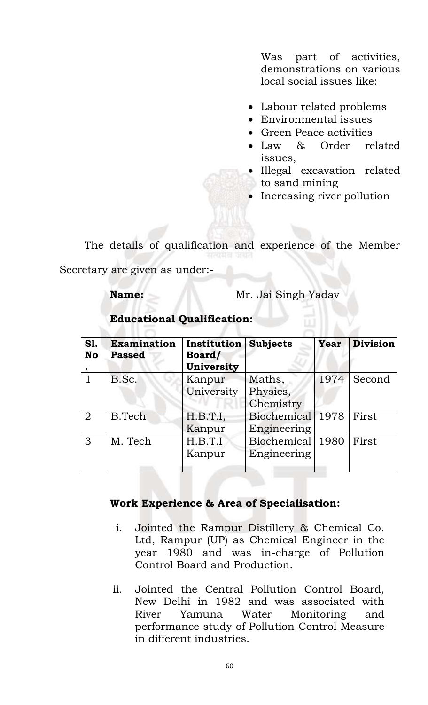Was part of activities, demonstrations on various local social issues like:

- Labour related problems
- Environmental issues
- Green Peace activities
- Law & Order related issues,
- Illegal excavation related to sand mining
- Increasing river pollution

The details of qualification and experience of the Member Secretary are given as under:-

### **Name:** Mr. Jai Singh Yadav

# **Educational Qualification:**

| <b>S1.</b><br><b>No</b> | <b>Examination</b><br><b>Passed</b> | Institution<br><b>Board/</b><br>University | <b>Subjects</b>                   | Year | <b>Division</b> |
|-------------------------|-------------------------------------|--------------------------------------------|-----------------------------------|------|-----------------|
|                         | B.Sc.                               | Kanpur<br>University                       | Maths,<br>Physics,<br>Chemistry   | 1974 | Second          |
| $\overline{2}$          | <b>B.Tech</b>                       | H.B.T.I,<br>Kanpur                         | Biochemical 1978<br>Engineering   |      | First           |
| 3                       | M. Tech                             | H.B.T.I<br>Kanpur                          | Biochemical   1980<br>Engineering |      | First           |

# **Work Experience & Area of Specialisation:**

- i. Jointed the Rampur Distillery & Chemical Co. Ltd, Rampur (UP) as Chemical Engineer in the year 1980 and was in-charge of Pollution Control Board and Production.
- ii. Jointed the Central Pollution Control Board, New Delhi in 1982 and was associated with River Yamuna Water Monitoring and performance study of Pollution Control Measure in different industries.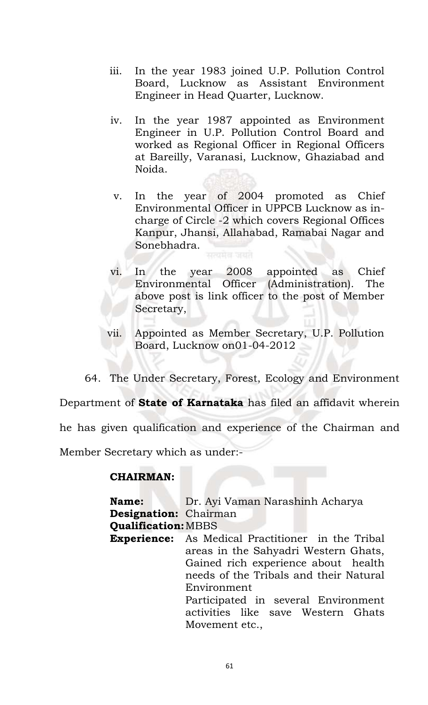- iii. In the year 1983 joined U.P. Pollution Control Board, Lucknow as Assistant Environment Engineer in Head Quarter, Lucknow.
- iv. In the year 1987 appointed as Environment Engineer in U.P. Pollution Control Board and worked as Regional Officer in Regional Officers at Bareilly, Varanasi, Lucknow, Ghaziabad and Noida.
- v. In the year of 2004 promoted as Chief Environmental Officer in UPPCB Lucknow as incharge of Circle -2 which covers Regional Offices Kanpur, Jhansi, Allahabad, Ramabai Nagar and Sonebhadra.
- vi. In the year 2008 appointed as Chief Environmental Officer (Administration). The above post is link officer to the post of Member Secretary,
- vii. Appointed as Member Secretary, U.P. Pollution Board, Lucknow on01-04-2012
- 64. The Under Secretary, Forest, Ecology and Environment

Department of **State of Karnataka** has filed an affidavit wherein

he has given qualification and experience of the Chairman and

Member Secretary which as under:-

### **CHAIRMAN:**

**Name:** Dr. Ayi Vaman Narashinh Acharya **Designation:** Chairman **Qualification:**MBBS **Experience:** As Medical Practitioner in the Tribal areas in the Sahyadri Western Ghats, Gained rich experience about health needs of the Tribals and their Natural Environment Participated in several Environment activities like save Western Ghats Movement etc.,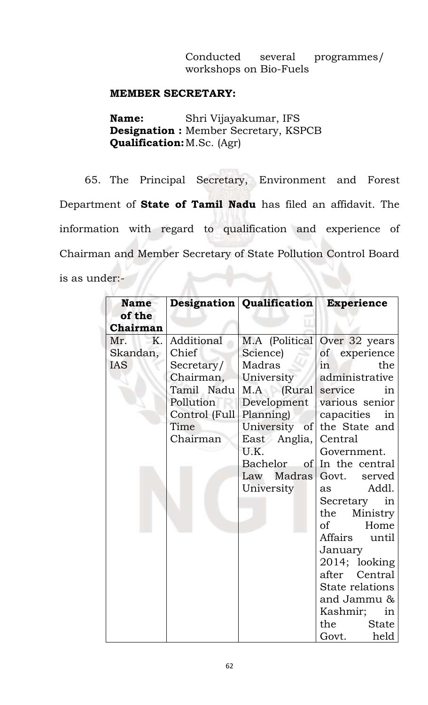Conducted several programmes/ workshops on Bio-Fuels

#### **MEMBER SECRETARY:**

**Name:** Shri Vijayakumar, IFS **Designation :** Member Secretary, KSPCB **Qualification:**M.Sc. (Agr)

65. The Principal Secretary, Environment and Forest Department of **State of Tamil Nadu** has filed an affidavit. The information with regard to qualification and experience of Chairman and Member Secretary of State Pollution Control Board is as under:-

|                                                                                 |                                                                                                                                                                                                       | <b>Experience</b>                                                                                                                                                                                                                                                                                                                                    |
|---------------------------------------------------------------------------------|-------------------------------------------------------------------------------------------------------------------------------------------------------------------------------------------------------|------------------------------------------------------------------------------------------------------------------------------------------------------------------------------------------------------------------------------------------------------------------------------------------------------------------------------------------------------|
| Additional<br>Chief<br>Secretary/<br>Chairman,<br>Pollution<br>Time<br>Chairman | M.A (Political)<br>Science)<br>Madras<br>University<br>M.A (Rural service<br>Development  <br>Planning)<br>University of<br>East Anglia,   Central<br>U.K.<br>Bachelor of<br>Law Madras<br>University | Over 32 years<br>of experience<br>the<br>in<br>administrative<br>in<br>various senior<br>capacities<br>in<br>the State and<br>Government.<br>In the central<br>Govt. served<br>Addl.<br>as<br>Secretary in<br>Ministry<br>the<br>$\sigma$ of<br>Home<br>Affairs until<br>January<br>2014; looking<br>after Central<br>State relations<br>and Jammu & |
|                                                                                 |                                                                                                                                                                                                       | Designation Qualification<br>Tamil Nadu<br>Control (Full                                                                                                                                                                                                                                                                                             |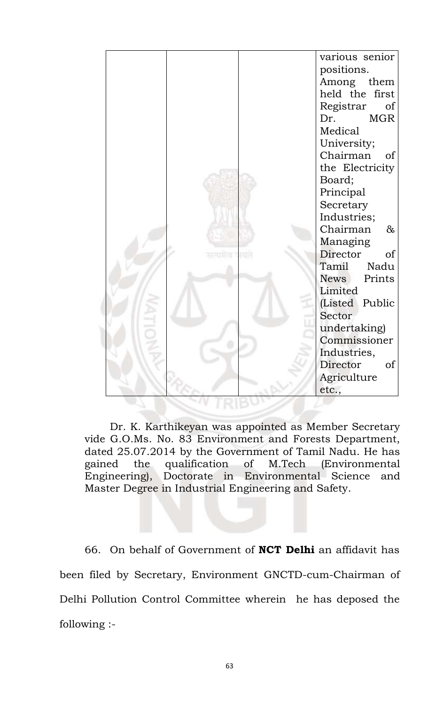|  | various senior             |
|--|----------------------------|
|  | positions.                 |
|  | Among them                 |
|  | held the first             |
|  | Registrar<br><sub>of</sub> |
|  | Dr. MGR                    |
|  | Medical                    |
|  | University;                |
|  | Chairman<br>of             |
|  | the Electricity            |
|  | Board;                     |
|  | Principal                  |
|  | Secretary                  |
|  | Industries;                |
|  | Chairman<br>$\&$           |
|  | Managing                   |
|  | Director<br><sub>of</sub>  |
|  | Tamil Nadu                 |
|  | News Prints                |
|  | Limited                    |
|  | (Listed Public             |
|  | Sector                     |
|  | undertaking)               |
|  | Commissioner               |
|  | Industries,                |
|  | Director<br>of             |
|  | Agriculture                |
|  | etc.,                      |

Dr. K. Karthikeyan was appointed as Member Secretary vide G.O.Ms. No. 83 Environment and Forests Department, dated 25.07.2014 by the Government of Tamil Nadu. He has gained the qualification of M.Tech (Environmental Engineering), Doctorate in Environmental Science and Master Degree in Industrial Engineering and Safety.

66. On behalf of Government of **NCT Delhi** an affidavit has been filed by Secretary, Environment GNCTD-cum-Chairman of Delhi Pollution Control Committee wherein he has deposed the following :-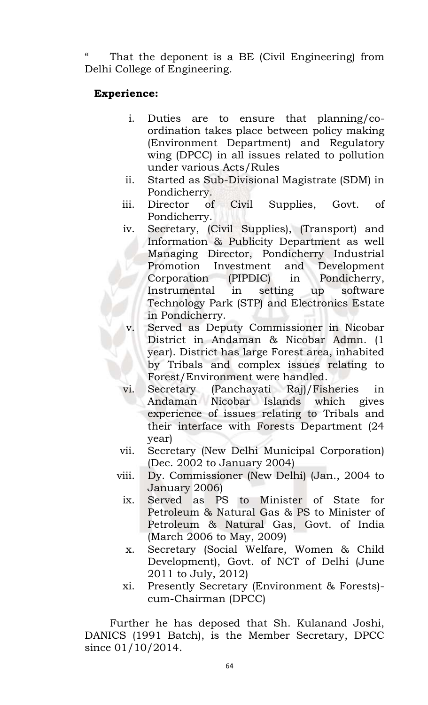That the deponent is a BE (Civil Engineering) from Delhi College of Engineering.

## **Experience:**

- i. Duties are to ensure that planning/coordination takes place between policy making (Environment Department) and Regulatory wing (DPCC) in all issues related to pollution under various Acts/Rules
- ii. Started as Sub-Divisional Magistrate (SDM) in Pondicherry.
- iii. Director of Civil Supplies, Govt. of Pondicherry.
- iv. Secretary, (Civil Supplies), (Transport) and Information & Publicity Department as well Managing Director, Pondicherry Industrial Promotion Investment and Development Corporation (PIPDIC) in Pondicherry, Instrumental in setting up software Technology Park (STP) and Electronics Estate in Pondicherry.
- v. Served as Deputy Commissioner in Nicobar District in Andaman & Nicobar Admn. (1 year). District has large Forest area, inhabited by Tribals and complex issues relating to Forest/Environment were handled.
- vi. Secretary (Panchayati Raj)/Fisheries in Andaman Nicobar Islands which gives experience of issues relating to Tribals and their interface with Forests Department (24 year)
- vii. Secretary (New Delhi Municipal Corporation) (Dec. 2002 to January 2004)
- viii. Dy. Commissioner (New Delhi) (Jan., 2004 to January 2006)
	- ix. Served as PS to Minister of State for Petroleum & Natural Gas & PS to Minister of Petroleum & Natural Gas, Govt. of India (March 2006 to May, 2009)
	- x. Secretary (Social Welfare, Women & Child Development), Govt. of NCT of Delhi (June 2011 to July, 2012)
	- xi. Presently Secretary (Environment & Forests) cum-Chairman (DPCC)

Further he has deposed that Sh. Kulanand Joshi, DANICS (1991 Batch), is the Member Secretary, DPCC since  $01/10/2014$ .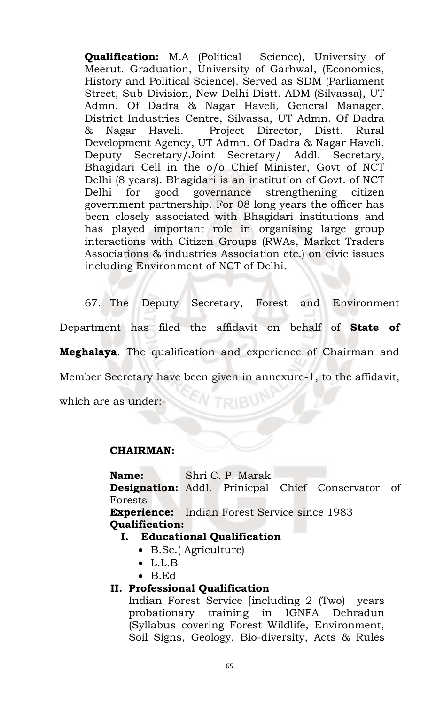**Qualification:** M.A (Political Science), University of Meerut. Graduation, University of Garhwal, (Economics, History and Political Science). Served as SDM (Parliament Street, Sub Division, New Delhi Distt. ADM (Silvassa), UT Admn. Of Dadra & Nagar Haveli, General Manager, District Industries Centre, Silvassa, UT Admn. Of Dadra & Nagar Haveli. Project Director, Distt. Rural Development Agency, UT Admn. Of Dadra & Nagar Haveli. Deputy Secretary/Joint Secretary/ Addl. Secretary, Bhagidari Cell in the o/o Chief Minister, Govt of NCT Delhi (8 years). Bhagidari is an institution of Govt. of NCT Delhi for good governance strengthening citizen government partnership. For 08 long years the officer has been closely associated with Bhagidari institutions and has played important role in organising large group interactions with Citizen Groups (RWAs, Market Traders Associations & industries Association etc.) on civic issues including Environment of NCT of Delhi.

67. The Deputy Secretary, Forest and Environment Department has filed the affidavit on behalf of **State of Meghalaya**. The qualification and experience of Chairman and Member Secretary have been given in annexure-1, to the affidavit, which are as under:-

#### **CHAIRMAN:**

**Name:** Shri C. P. Marak **Designation:** Addl. Prinicpal Chief Conservator of Forests

**Experience:** Indian Forest Service since 1983 **Qualification:**

## **I. Educational Qualification**

- B.Sc.( Agriculture)
- $\bullet$  L.L.B
- B.Ed

#### **II. Professional Qualification**

Indian Forest Service [including 2 (Two) years probationary training in IGNFA Dehradun (Syllabus covering Forest Wildlife, Environment, Soil Signs, Geology, Bio-diversity, Acts & Rules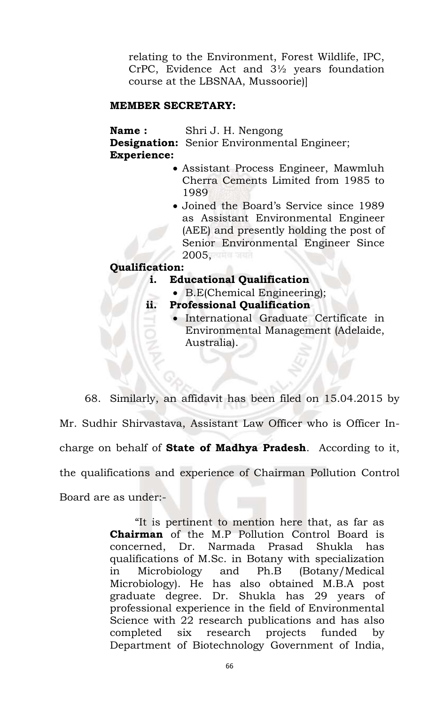relating to the Environment, Forest Wildlife, IPC, CrPC, Evidence Act and 3½ years foundation course at the LBSNAA, Mussoorie)]

#### **MEMBER SECRETARY:**

**Name :** Shri J. H. Nengong **Designation:** Senior Environmental Engineer;

# **Experience:**

- Assistant Process Engineer, Mawmluh Cherra Cements Limited from 1985 to 1989
- Joined the Board's Service since 1989 as Assistant Environmental Engineer (AEE) and presently holding the post of Senior Environmental Engineer Since 2005,

# **Qualification:**

- **i. Educational Qualification**
	- B.E(Chemical Engineering);
- **ii. Professional Qualification**
	- International Graduate Certificate in Environmental Management (Adelaide, Australia).

68. Similarly, an affidavit has been filed on 15.04.2015 by Mr. Sudhir Shirvastava, Assistant Law Officer who is Officer Incharge on behalf of **State of Madhya Pradesh**. According to it, the qualifications and experience of Chairman Pollution Control Board are as under:-

> "It is pertinent to mention here that, as far as **Chairman** of the M.P Pollution Control Board is concerned, Dr. Narmada Prasad Shukla has qualifications of M.Sc. in Botany with specialization in Microbiology and Ph.B (Botany/Medical Microbiology). He has also obtained M.B.A post graduate degree. Dr. Shukla has 29 years of professional experience in the field of Environmental Science with 22 research publications and has also completed six research projects funded by Department of Biotechnology Government of India,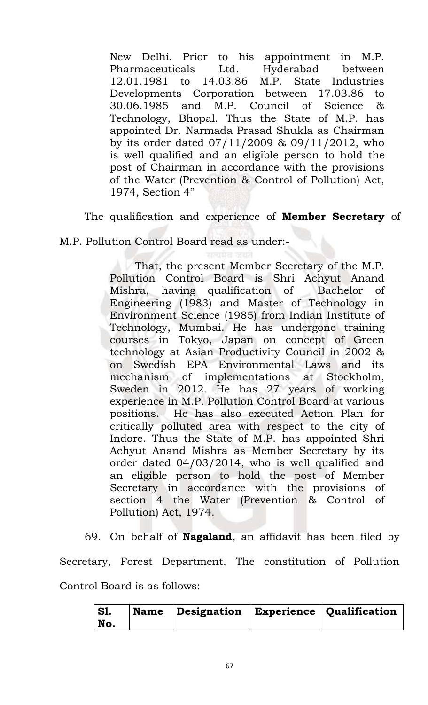New Delhi. Prior to his appointment in M.P. Pharmaceuticals Ltd. Hyderabad between 12.01.1981 to 14.03.86 M.P. State Industries Developments Corporation between 17.03.86 to 30.06.1985 and M.P. Council of Science & Technology, Bhopal. Thus the State of M.P. has appointed Dr. Narmada Prasad Shukla as Chairman by its order dated 07/11/2009 & 09/11/2012, who is well qualified and an eligible person to hold the post of Chairman in accordance with the provisions of the Water (Prevention & Control of Pollution) Act, 1974, Section 4"

The qualification and experience of **Member Secretary** of

M.P. Pollution Control Board read as under:-

That, the present Member Secretary of the M.P. Pollution Control Board is Shri Achyut Anand Mishra, having qualification of Bachelor of Engineering (1983) and Master of Technology in Environment Science (1985) from Indian Institute of Technology, Mumbai. He has undergone training courses in Tokyo, Japan on concept of Green technology at Asian Productivity Council in 2002 & on Swedish EPA Environmental Laws and its mechanism of implementations at Stockholm, Sweden in 2012. He has 27 years of working experience in M.P. Pollution Control Board at various positions. He has also executed Action Plan for critically polluted area with respect to the city of Indore. Thus the State of M.P. has appointed Shri Achyut Anand Mishra as Member Secretary by its order dated 04/03/2014, who is well qualified and an eligible person to hold the post of Member Secretary in accordance with the provisions of section 4 the Water (Prevention & Control of Pollution) Act, 1974.

69. On behalf of **Nagaland**, an affidavit has been filed by

Secretary, Forest Department. The constitution of Pollution

Control Board is as follows:

| <b>S1.</b> | Name Designation Experience Qualification |  |
|------------|-------------------------------------------|--|
| No.        |                                           |  |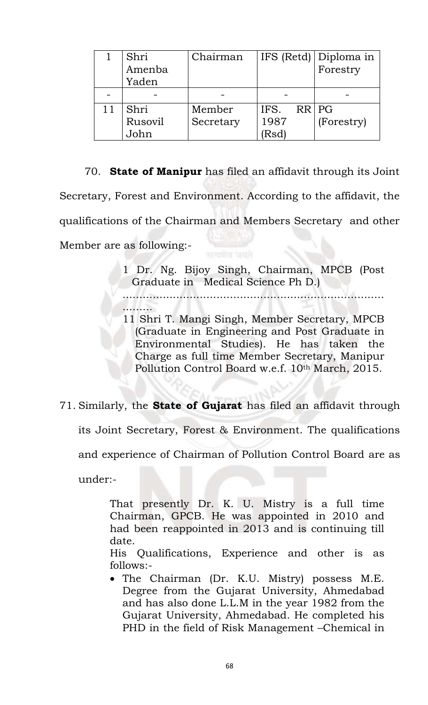| Shri    | Chairman  |      | IFS (Retd)   Diploma in |
|---------|-----------|------|-------------------------|
| Amenba  |           |      | Forestry                |
| Yaden   |           |      |                         |
|         |           |      |                         |
| Shri    | Member    | IFS. | RR PG                   |
| Rusovil | Secretary | 1987 | (Forestry)              |
| John    |           | (Rsd |                         |

# 70. **State of Manipur** has filed an affidavit through its Joint

Secretary, Forest and Environment. According to the affidavit, the qualifications of the Chairman and Members Secretary and other Member are as following:-

> 1 Dr. Ng. Bijoy Singh, Chairman, MPCB (Post Graduate in Medical Science Ph D.)

..............................................................................

- ......... 11 Shri T. Mangi Singh, Member Secretary, MPCB (Graduate in Engineering and Post Graduate in Environmental Studies). He has taken the Charge as full time Member Secretary, Manipur Pollution Control Board w.e.f. 10<sup>th</sup> March, 2015.
- 71. Similarly, the **State of Gujarat** has filed an affidavit through

its Joint Secretary, Forest & Environment. The qualifications

and experience of Chairman of Pollution Control Board are as

under:-

That presently Dr. K. U. Mistry is a full time Chairman, GPCB. He was appointed in 2010 and had been reappointed in 2013 and is continuing till date.

His Qualifications, Experience and other is as follows:-

 The Chairman (Dr. K.U. Mistry) possess M.E. Degree from the Gujarat University, Ahmedabad and has also done L.L.M in the year 1982 from the Gujarat University, Ahmedabad. He completed his PHD in the field of Risk Management –Chemical in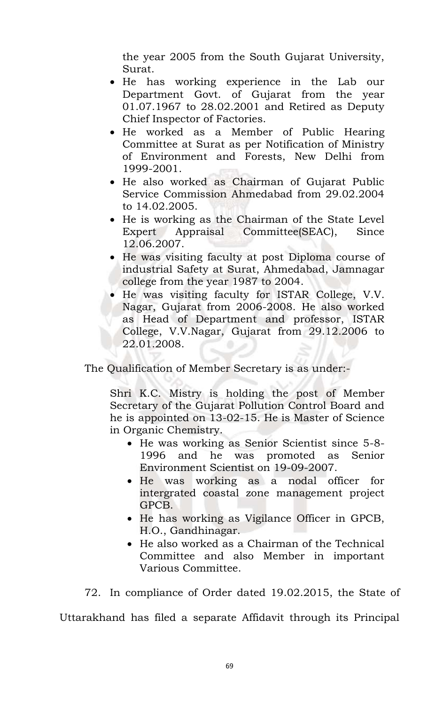the year 2005 from the South Gujarat University, Surat.

- He has working experience in the Lab our Department Govt. of Gujarat from the year 01.07.1967 to 28.02.2001 and Retired as Deputy Chief Inspector of Factories.
- He worked as a Member of Public Hearing Committee at Surat as per Notification of Ministry of Environment and Forests, New Delhi from 1999-2001.
- He also worked as Chairman of Gujarat Public Service Commission Ahmedabad from 29.02.2004 to 14.02.2005.
- He is working as the Chairman of the State Level Expert Appraisal Committee(SEAC), Since 12.06.2007.
- He was visiting faculty at post Diploma course of industrial Safety at Surat, Ahmedabad, Jamnagar college from the year 1987 to 2004.
- He was visiting faculty for ISTAR College, V.V. Nagar, Gujarat from 2006-2008. He also worked as Head of Department and professor, ISTAR College, V.V.Nagar, Gujarat from 29.12.2006 to 22.01.2008.

The Qualification of Member Secretary is as under:-

Shri K.C. Mistry is holding the post of Member Secretary of the Gujarat Pollution Control Board and he is appointed on 13-02-15. He is Master of Science in Organic Chemistry.

- He was working as Senior Scientist since 5-8- 1996 and he was promoted as Senior Environment Scientist on 19-09-2007.
- He was working as a nodal officer for intergrated coastal zone management project GPCB.
- He has working as Vigilance Officer in GPCB, H.O., Gandhinagar.
- He also worked as a Chairman of the Technical Committee and also Member in important Various Committee.

72. In compliance of Order dated 19.02.2015, the State of Uttarakhand has filed a separate Affidavit through its Principal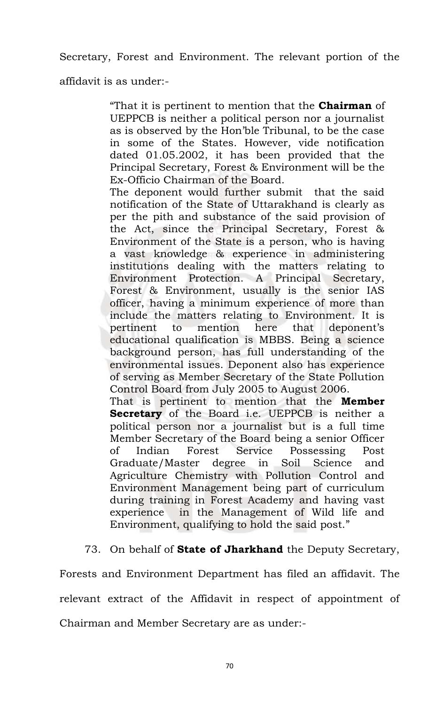Secretary, Forest and Environment. The relevant portion of the

affidavit is as under:-

"That it is pertinent to mention that the **Chairman** of UEPPCB is neither a political person nor a journalist as is observed by the Hon'ble Tribunal, to be the case in some of the States. However, vide notification dated 01.05.2002, it has been provided that the Principal Secretary, Forest & Environment will be the Ex-Officio Chairman of the Board.

The deponent would further submit that the said notification of the State of Uttarakhand is clearly as per the pith and substance of the said provision of the Act, since the Principal Secretary, Forest & Environment of the State is a person, who is having a vast knowledge & experience in administering institutions dealing with the matters relating to Environment Protection. A Principal Secretary, Forest & Environment, usually is the senior IAS officer, having a minimum experience of more than include the matters relating to Environment. It is pertinent to mention here that deponent's educational qualification is MBBS. Being a science background person, has full understanding of the environmental issues. Deponent also has experience of serving as Member Secretary of the State Pollution Control Board from July 2005 to August 2006.

That is pertinent to mention that the **Member Secretary** of the Board i.e. UEPPCB is neither a political person nor a journalist but is a full time Member Secretary of the Board being a senior Officer of Indian Forest Service Possessing Post Graduate/Master degree in Soil Science and Agriculture Chemistry with Pollution Control and Environment Management being part of curriculum during training in Forest Academy and having vast experience in the Management of Wild life and Environment, qualifying to hold the said post."

73. On behalf of **State of Jharkhand** the Deputy Secretary,

Forests and Environment Department has filed an affidavit. The

relevant extract of the Affidavit in respect of appointment of

Chairman and Member Secretary are as under:-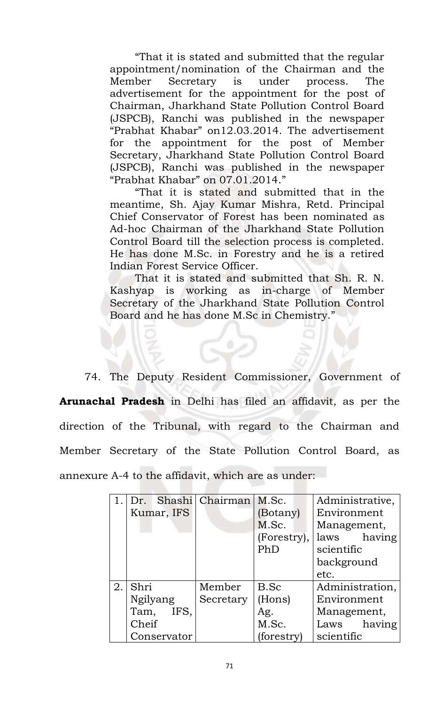"That it is stated and submitted that the regular appointment/nomination of the Chairman and the Member Secretary is under process. The advertisement for the appointment for the post of Chairman, Jharkhand State Pollution Control Board (JSPCB), Ranchi was published in the newspaper "Prabhat Khabar" on12.03.2014. The advertisement for the appointment for the post of Member Secretary, Jharkhand State Pollution Control Board (JSPCB), Ranchi was published in the newspaper "Prabhat Khabar" on 07.01.2014."

"That it is stated and submitted that in the meantime, Sh. Ajay Kumar Mishra, Retd. Principal Chief Conservator of Forest has been nominated as Ad-hoc Chairman of the Jharkhand State Pollution Control Board till the selection process is completed. He has done M.Sc. in Forestry and he is a retired Indian Forest Service Officer.

That it is stated and submitted that Sh. R. N. Kashyap is working as in-charge of Member Secretary of the Jharkhand State Pollution Control Board and he has done M.Sc in Chemistry."

74. The Deputy Resident Commissioner, Government of **Arunachal Pradesh** in Delhi has filed an affidavit, as per the direction of the Tribunal, with regard to the Chairman and Member Secretary of the State Pollution Control Board, as annexure A-4 to the affidavit, which are as under:

پرون

|    | Dr.      |             | Shashi Chairman | M.Sc.       | Administrative, |
|----|----------|-------------|-----------------|-------------|-----------------|
|    |          | Kumar, IFS  |                 | (Botany)    | Environment     |
|    |          |             |                 | M.Sc.       | Management,     |
|    |          |             |                 | (Forestry), | laws having     |
|    |          |             |                 | PhD         | scientific      |
|    |          |             |                 |             | background      |
|    |          |             |                 |             | etc.            |
| 2. | Shri     |             | Member          | B.Sc        | Administration, |
|    | Ngilyang |             | Secretary       | (Hons)      | Environment     |
|    | Tam,     | IFS,        |                 | Ag.         | Management,     |
|    | Cheif    |             |                 | M.Sc.       | having<br>Laws  |
|    |          | Conservator |                 | (forestry)  | scientific      |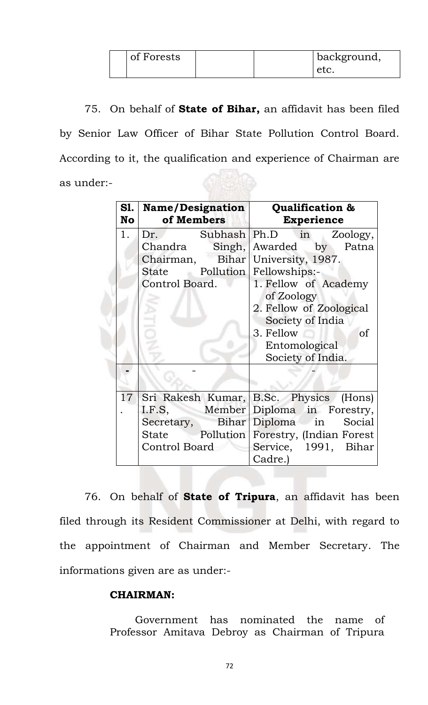| of Forests |  | background, |
|------------|--|-------------|
|            |  |             |

75. On behalf of **State of Bihar,** an affidavit has been filed by Senior Law Officer of Bihar State Pollution Control Board. According to it, the qualification and experience of Chairman are as under:-

| S1. | Name/Designation<br>of Members<br>$\mathbf{No}$                                      | Qualification &<br><b>Experience</b>                                                                                                                                                                                     |
|-----|--------------------------------------------------------------------------------------|--------------------------------------------------------------------------------------------------------------------------------------------------------------------------------------------------------------------------|
| 1.  | Chairman, Bihar University, 1987.<br>State Pollution Fellowships:-<br>Control Board. | Dr. Subhash Ph.D in Zoology,<br>Chandra Singh, Awarded by Patna<br>1. Fellow of Academy<br>of Zoology<br>2. Fellow of Zoological<br>Society of India<br>3. Fellow<br><sub>of</sub><br>Entomological<br>Society of India. |
|     |                                                                                      |                                                                                                                                                                                                                          |
|     | $\sim$<br>Control Board                                                              | 17   Sri Rakesh Kumar, B.Sc. Physics (Hons)<br>I.F.S, Member Diploma in Forestry,<br>Secretary, Bihar Diploma in Social<br>State Pollution Forestry, (Indian Forest<br>Service, 1991, Bihar<br>Cadre.)                   |

76. On behalf of **State of Tripura**, an affidavit has been filed through its Resident Commissioner at Delhi, with regard to the appointment of Chairman and Member Secretary. The informations given are as under:-

### **CHAIRMAN:**

Government has nominated the name of Professor Amitava Debroy as Chairman of Tripura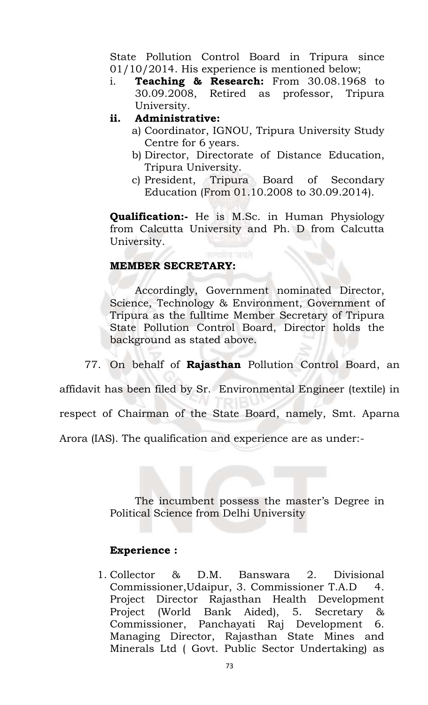State Pollution Control Board in Tripura since 01/10/2014. His experience is mentioned below;

i. **Teaching & Research:** From 30.08.1968 to 30.09.2008, Retired as professor, Tripura University.

### **ii. Administrative:**

- a) Coordinator, IGNOU, Tripura University Study Centre for 6 years.
- b) Director, Directorate of Distance Education, Tripura University.
- c) President, Tripura Board of Secondary Education (From 01.10.2008 to 30.09.2014).

**Qualification:-** He is M.Sc. in Human Physiology from Calcutta University and Ph. D from Calcutta University.

### **MEMBER SECRETARY:**

Accordingly, Government nominated Director, Science, Technology & Environment, Government of Tripura as the fulltime Member Secretary of Tripura State Pollution Control Board, Director holds the background as stated above.

77. On behalf of **Rajasthan** Pollution Control Board, an

affidavit has been filed by Sr. Environmental Engineer (textile) in

respect of Chairman of the State Board, namely, Smt. Aparna

Arora (IAS). The qualification and experience are as under:-

The incumbent possess the master's Degree in Political Science from Delhi University

### **Experience :**

1. Collector & D.M. Banswara 2. Divisional Commissioner, Udaipur, 3. Commissioner T.A.D 4. Project Director Rajasthan Health Development Project (World Bank Aided), 5. Secretary & Commissioner, Panchayati Raj Development 6. Managing Director, Rajasthan State Mines and Minerals Ltd ( Govt. Public Sector Undertaking) as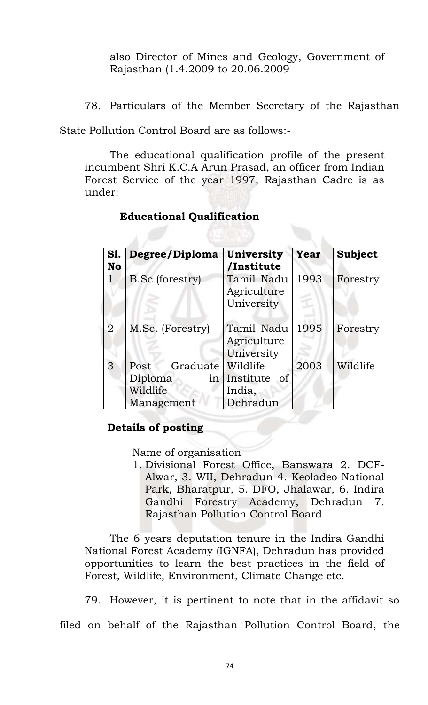also Director of Mines and Geology, Government of Rajasthan (1.4.2009 to 20.06.2009

78. Particulars of the Member Secretary of the Rajasthan

State Pollution Control Board are as follows:-

The educational qualification profile of the present incumbent Shri K.C.A Arun Prasad, an officer from Indian Forest Service of the year 1997, Rajasthan Cadre is as under:

## **Educational Qualification**

| <b>S1.</b><br><b>No</b> | Degree/Diploma                                              | <b>University</b><br>/Institute                | Year | <b>Subject</b> |
|-------------------------|-------------------------------------------------------------|------------------------------------------------|------|----------------|
| $\mathbf{1}$            | <b>B.Sc</b> (forestry)                                      | Tamil Nadu<br>Agriculture<br>University        | 1993 | Forestry       |
| $\overline{2}$          | M.Sc. (Forestry)                                            | Tamil Nadu<br>Agriculture<br>University        | 1995 | Forestry       |
| 3                       | Graduate<br>Post<br>Diploma<br>in<br>Wildlife<br>Management | Wildlife<br>Institute of<br>India,<br>Dehradun | 2003 | Wildlife       |

## **Details of posting**

Name of organisation

1. Divisional Forest Office, Banswara 2. DCF-Alwar, 3. WII, Dehradun 4. Keoladeo National Park, Bharatpur, 5. DFO, Jhalawar, 6. Indira Gandhi Forestry Academy, Dehradun 7. Rajasthan Pollution Control Board

The 6 years deputation tenure in the Indira Gandhi National Forest Academy (IGNFA), Dehradun has provided opportunities to learn the best practices in the field of Forest, Wildlife, Environment, Climate Change etc.

79. However, it is pertinent to note that in the affidavit so

filed on behalf of the Rajasthan Pollution Control Board, the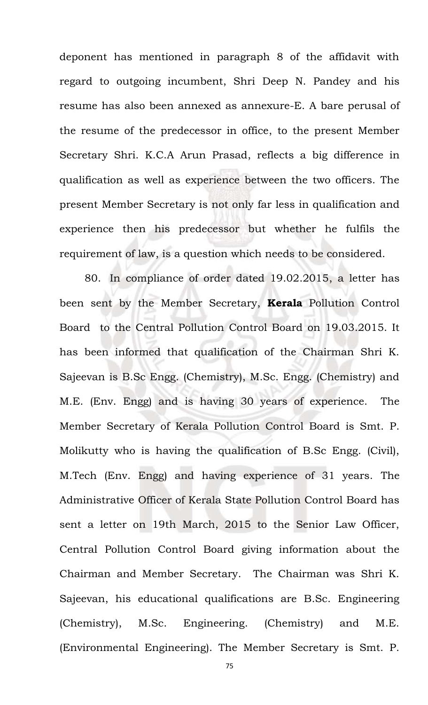deponent has mentioned in paragraph 8 of the affidavit with regard to outgoing incumbent, Shri Deep N. Pandey and his resume has also been annexed as annexure-E. A bare perusal of the resume of the predecessor in office, to the present Member Secretary Shri. K.C.A Arun Prasad, reflects a big difference in qualification as well as experience between the two officers. The present Member Secretary is not only far less in qualification and experience then his predecessor but whether he fulfils the requirement of law, is a question which needs to be considered.

80. In compliance of order dated 19.02.2015, a letter has been sent by the Member Secretary, **Kerala** Pollution Control Board to the Central Pollution Control Board on 19.03.2015. It has been informed that qualification of the Chairman Shri K. Sajeevan is B.Sc Engg. (Chemistry), M.Sc. Engg. (Chemistry) and M.E. (Env. Engg) and is having 30 years of experience. The Member Secretary of Kerala Pollution Control Board is Smt. P. Molikutty who is having the qualification of B.Sc Engg. (Civil), M.Tech (Env. Engg) and having experience of 31 years. The Administrative Officer of Kerala State Pollution Control Board has sent a letter on 19th March, 2015 to the Senior Law Officer, Central Pollution Control Board giving information about the Chairman and Member Secretary. The Chairman was Shri K. Sajeevan, his educational qualifications are B.Sc. Engineering (Chemistry), M.Sc. Engineering. (Chemistry) and M.E. (Environmental Engineering). The Member Secretary is Smt. P.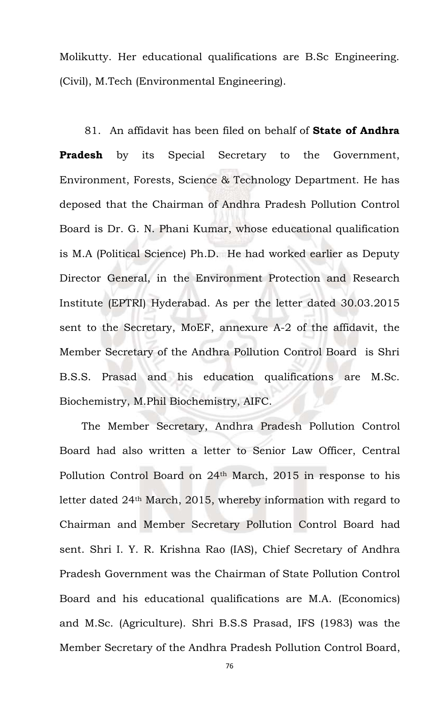Molikutty. Her educational qualifications are B.Sc Engineering. (Civil), M.Tech (Environmental Engineering).

81. An affidavit has been filed on behalf of **State of Andhra Pradesh** by its Special Secretary to the Government, Environment, Forests, Science & Technology Department. He has deposed that the Chairman of Andhra Pradesh Pollution Control Board is Dr. G. N. Phani Kumar, whose educational qualification is M.A (Political Science) Ph.D. He had worked earlier as Deputy Director General, in the Environment Protection and Research Institute (EPTRI) Hyderabad. As per the letter dated 30.03.2015 sent to the Secretary, MoEF, annexure A-2 of the affidavit, the Member Secretary of the Andhra Pollution Control Board is Shri B.S.S. Prasad and his education qualifications are M.Sc. Biochemistry, M.Phil Biochemistry, AIFC.

The Member Secretary, Andhra Pradesh Pollution Control Board had also written a letter to Senior Law Officer, Central Pollution Control Board on 24th March, 2015 in response to his letter dated 24th March, 2015, whereby information with regard to Chairman and Member Secretary Pollution Control Board had sent. Shri I. Y. R. Krishna Rao (IAS), Chief Secretary of Andhra Pradesh Government was the Chairman of State Pollution Control Board and his educational qualifications are M.A. (Economics) and M.Sc. (Agriculture). Shri B.S.S Prasad, IFS (1983) was the Member Secretary of the Andhra Pradesh Pollution Control Board,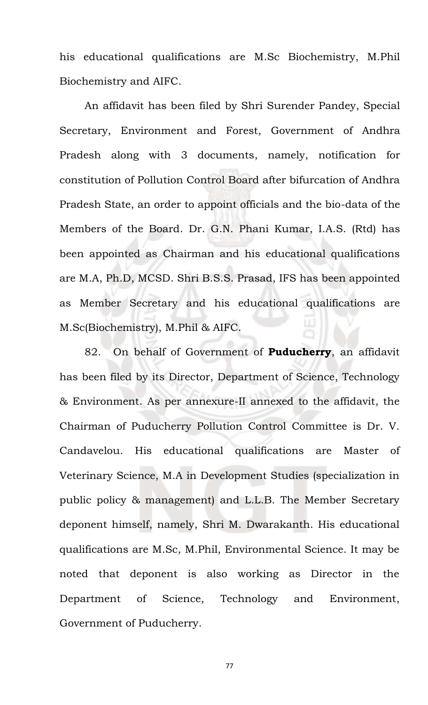his educational qualifications are M.Sc Biochemistry, M.Phil Biochemistry and AIFC.

An affidavit has been filed by Shri Surender Pandey, Special Secretary, Environment and Forest, Government of Andhra Pradesh along with 3 documents, namely, notification for constitution of Pollution Control Board after bifurcation of Andhra Pradesh State, an order to appoint officials and the bio-data of the Members of the Board. Dr. G.N. Phani Kumar, I.A.S. (Rtd) has been appointed as Chairman and his educational qualifications are M.A, Ph.D, MCSD. Shri B.S.S. Prasad, IFS has been appointed as Member Secretary and his educational qualifications are M.Sc(Biochemistry), M.Phil & AIFC.

82. On behalf of Government of **Puducherry**, an affidavit has been filed by its Director, Department of Science, Technology & Environment. As per annexure-II annexed to the affidavit, the Chairman of Puducherry Pollution Control Committee is Dr. V. Candavelou. His educational qualifications are Master of Veterinary Science, M.A in Development Studies (specialization in public policy & management) and L.L.B. The Member Secretary deponent himself, namely, Shri M. Dwarakanth. His educational qualifications are M.Sc, M.Phil, Environmental Science. It may be noted that deponent is also working as Director in the Department of Science, Technology and Environment, Government of Puducherry.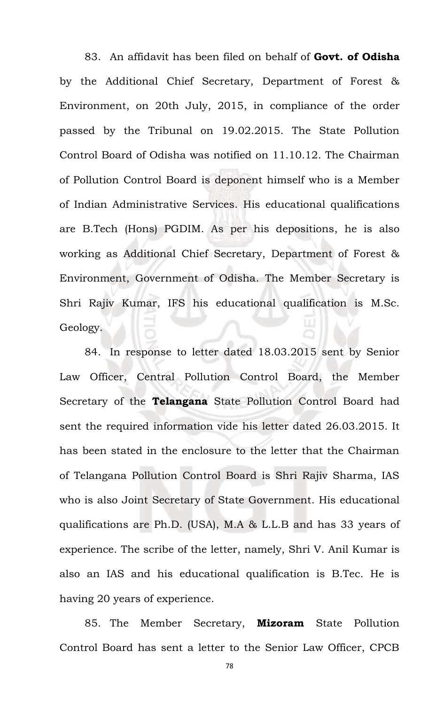83. An affidavit has been filed on behalf of **Govt. of Odisha** by the Additional Chief Secretary, Department of Forest & Environment, on 20th July, 2015, in compliance of the order passed by the Tribunal on 19.02.2015. The State Pollution Control Board of Odisha was notified on 11.10.12. The Chairman of Pollution Control Board is deponent himself who is a Member of Indian Administrative Services. His educational qualifications are B.Tech (Hons) PGDIM. As per his depositions, he is also working as Additional Chief Secretary, Department of Forest & Environment, Government of Odisha. The Member Secretary is Shri Rajiv Kumar, IFS his educational qualification is M.Sc. Geology.

84. In response to letter dated 18.03.2015 sent by Senior Law Officer, Central Pollution Control Board, the Member Secretary of the **Telangana** State Pollution Control Board had sent the required information vide his letter dated 26.03.2015. It has been stated in the enclosure to the letter that the Chairman of Telangana Pollution Control Board is Shri Rajiv Sharma, IAS who is also Joint Secretary of State Government. His educational qualifications are Ph.D. (USA), M.A & L.L.B and has 33 years of experience. The scribe of the letter, namely, Shri V. Anil Kumar is also an IAS and his educational qualification is B.Tec. He is having 20 years of experience.

85. The Member Secretary, **Mizoram** State Pollution Control Board has sent a letter to the Senior Law Officer, CPCB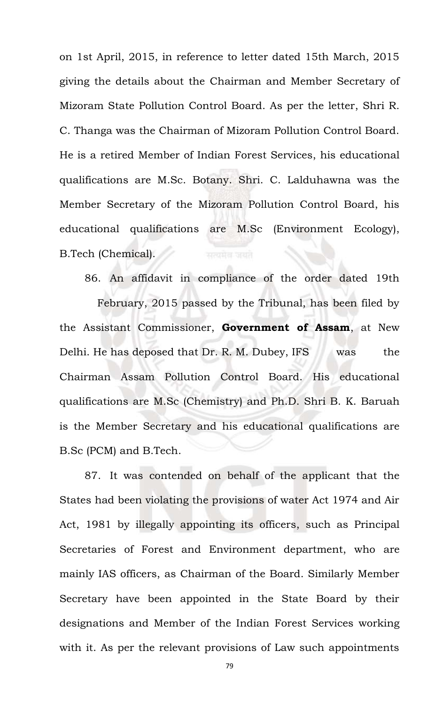on 1st April, 2015, in reference to letter dated 15th March, 2015 giving the details about the Chairman and Member Secretary of Mizoram State Pollution Control Board. As per the letter, Shri R. C. Thanga was the Chairman of Mizoram Pollution Control Board. He is a retired Member of Indian Forest Services, his educational qualifications are M.Sc. Botany. Shri. C. Lalduhawna was the Member Secretary of the Mizoram Pollution Control Board, his educational qualifications are M.Sc (Environment Ecology), B.Tech (Chemical).

86. An affidavit in compliance of the order dated 19th

February, 2015 passed by the Tribunal, has been filed by the Assistant Commissioner, **Government of Assam**, at New Delhi. He has deposed that Dr. R. M. Dubey, IFS was the Chairman Assam Pollution Control Board. His educational qualifications are M.Sc (Chemistry) and Ph.D. Shri B. K. Baruah is the Member Secretary and his educational qualifications are B.Sc (PCM) and B.Tech.

87. It was contended on behalf of the applicant that the States had been violating the provisions of water Act 1974 and Air Act, 1981 by illegally appointing its officers, such as Principal Secretaries of Forest and Environment department, who are mainly IAS officers, as Chairman of the Board. Similarly Member Secretary have been appointed in the State Board by their designations and Member of the Indian Forest Services working with it. As per the relevant provisions of Law such appointments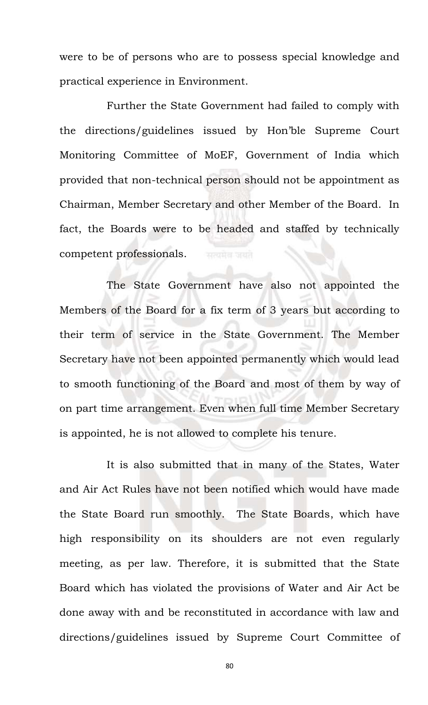were to be of persons who are to possess special knowledge and practical experience in Environment.

Further the State Government had failed to comply with the directions/guidelines issued by Hon'ble Supreme Court Monitoring Committee of MoEF, Government of India which provided that non-technical person should not be appointment as Chairman, Member Secretary and other Member of the Board. In fact, the Boards were to be headed and staffed by technically competent professionals.

The State Government have also not appointed the Members of the Board for a fix term of 3 years but according to their term of service in the State Government. The Member Secretary have not been appointed permanently which would lead to smooth functioning of the Board and most of them by way of on part time arrangement. Even when full time Member Secretary is appointed, he is not allowed to complete his tenure.

It is also submitted that in many of the States, Water and Air Act Rules have not been notified which would have made the State Board run smoothly. The State Boards, which have high responsibility on its shoulders are not even regularly meeting, as per law. Therefore, it is submitted that the State Board which has violated the provisions of Water and Air Act be done away with and be reconstituted in accordance with law and directions/guidelines issued by Supreme Court Committee of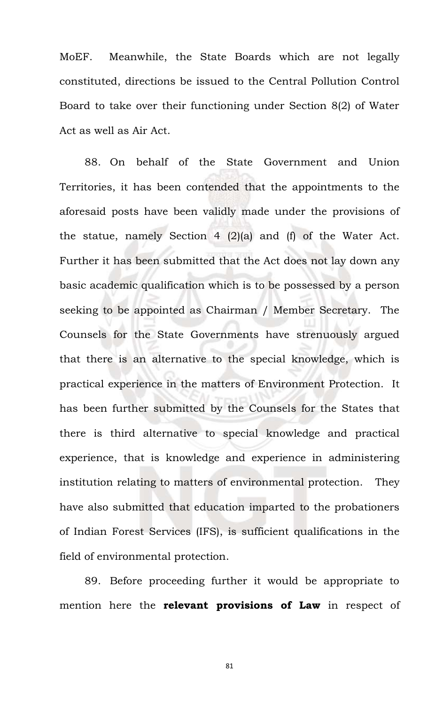MoEF. Meanwhile, the State Boards which are not legally constituted, directions be issued to the Central Pollution Control Board to take over their functioning under Section 8(2) of Water Act as well as Air Act.

88. On behalf of the State Government and Union Territories, it has been contended that the appointments to the aforesaid posts have been validly made under the provisions of the statue, namely Section 4 (2)(a) and (f) of the Water Act. Further it has been submitted that the Act does not lay down any basic academic qualification which is to be possessed by a person seeking to be appointed as Chairman / Member Secretary. The Counsels for the State Governments have strenuously argued that there is an alternative to the special knowledge, which is practical experience in the matters of Environment Protection. It has been further submitted by the Counsels for the States that there is third alternative to special knowledge and practical experience, that is knowledge and experience in administering institution relating to matters of environmental protection. They have also submitted that education imparted to the probationers of Indian Forest Services (IFS), is sufficient qualifications in the field of environmental protection.

89. Before proceeding further it would be appropriate to mention here the **relevant provisions of Law** in respect of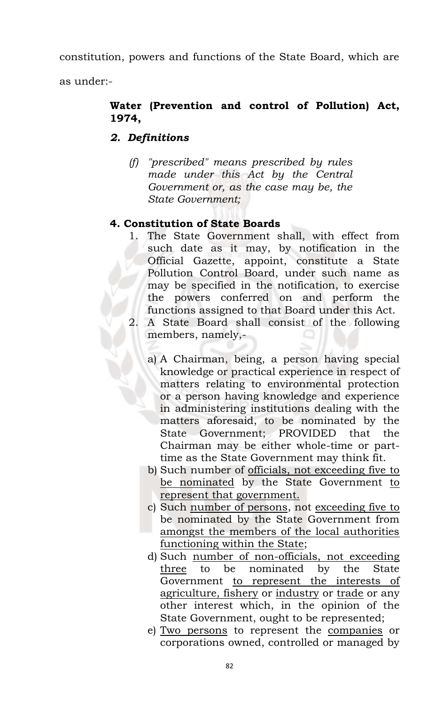constitution, powers and functions of the State Board, which are

as under:-

# **Water (Prevention and control of Pollution) Act, 1974,**

# *2. Definitions*

*(f) "prescribed" means prescribed by rules made under this Act by the Central Government or, as the case may be, the State Government;* 

## **4. Constitution of State Boards**

- 1. The State Government shall, with effect from such date as it may, by notification in the Official Gazette, appoint, constitute a State Pollution Control Board, under such name as may be specified in the notification, to exercise the powers conferred on and perform the functions assigned to that Board under this Act.
- 2. A State Board shall consist of the following members, namely,
	- a) A Chairman, being, a person having special knowledge or practical experience in respect of matters relating to environmental protection or a person having knowledge and experience in administering institutions dealing with the matters aforesaid, to be nominated by the State Government; PROVIDED that the Chairman may be either whole-time or parttime as the State Government may think fit.
	- b) Such number of officials, not exceeding five to be nominated by the State Government to represent that government.
	- c) Such number of persons, not exceeding five to be nominated by the State Government from amongst the members of the local authorities functioning within the State;
	- d) Such number of non-officials, not exceeding three to be nominated by the State Government to represent the interests of agriculture, fishery or industry or trade or any other interest which, in the opinion of the State Government, ought to be represented;
	- e) Two persons to represent the companies or corporations owned, controlled or managed by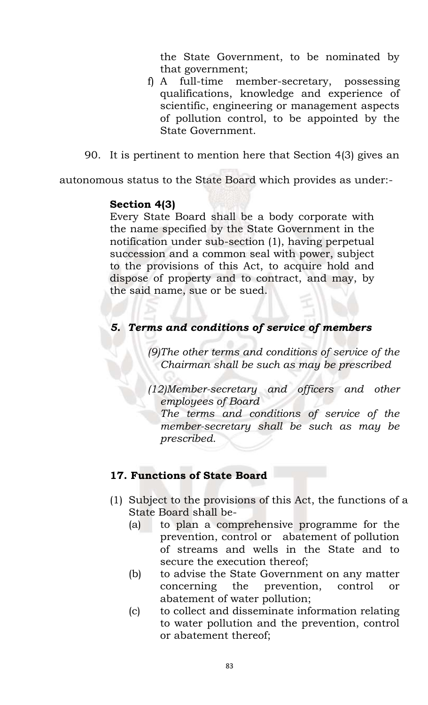the State Government, to be nominated by that government;

- f) A full-time member-secretary, possessing qualifications, knowledge and experience of scientific, engineering or management aspects of pollution control, to be appointed by the State Government.
- 90. It is pertinent to mention here that Section 4(3) gives an

autonomous status to the State Board which provides as under:-

#### **Section 4(3)**

Every State Board shall be a body corporate with the name specified by the State Government in the notification under sub-section (1), having perpetual succession and a common seal with power, subject to the provisions of this Act, to acquire hold and dispose of property and to contract, and may, by the said name, sue or be sued.

### *5. Terms and conditions of service of members*

- *(9)The other terms and conditions of service of the Chairman shall be such as may be prescribed*
- *(12)Member-secretary and officers and other employees of Board The terms and conditions of service of the member-secretary shall be such as may be prescribed.*

# **17. Functions of State Board**

- (1) Subject to the provisions of this Act, the functions of a State Board shall be-
	- (a) to plan a comprehensive programme for the prevention, control or abatement of pollution of streams and wells in the State and to secure the execution thereof;
	- (b) to advise the State Government on any matter concerning the prevention, control or abatement of water pollution;
	- (c) to collect and disseminate information relating to water pollution and the prevention, control or abatement thereof;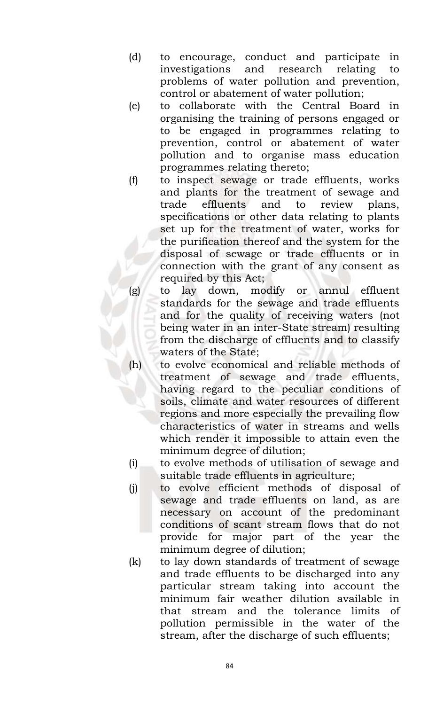- (d) to encourage, conduct and participate in investigations and research relating to problems of water pollution and prevention, control or abatement of water pollution;
- (e) to collaborate with the Central Board in organising the training of persons engaged or to be engaged in programmes relating to prevention, control or abatement of water pollution and to organise mass education programmes relating thereto;
- (f) to inspect sewage or trade effluents, works and plants for the treatment of sewage and trade effluents and to review plans, specifications or other data relating to plants set up for the treatment of water, works for the purification thereof and the system for the disposal of sewage or trade effluents or in connection with the grant of any consent as required by this Act;
- (g) to lay down, modify or annul effluent standards for the sewage and trade effluents and for the quality of receiving waters (not being water in an inter-State stream) resulting from the discharge of effluents and to classify waters of the State;
- (h) to evolve economical and reliable methods of treatment of sewage and trade effluents, having regard to the peculiar conditions of soils, climate and water resources of different regions and more especially the prevailing flow characteristics of water in streams and wells which render it impossible to attain even the minimum degree of dilution;
- (i) to evolve methods of utilisation of sewage and suitable trade effluents in agriculture;
- (j) to evolve efficient methods of disposal of sewage and trade effluents on land, as are necessary on account of the predominant conditions of scant stream flows that do not provide for major part of the year the minimum degree of dilution;
- (k) to lay down standards of treatment of sewage and trade effluents to be discharged into any particular stream taking into account the minimum fair weather dilution available in that stream and the tolerance limits of pollution permissible in the water of the stream, after the discharge of such effluents;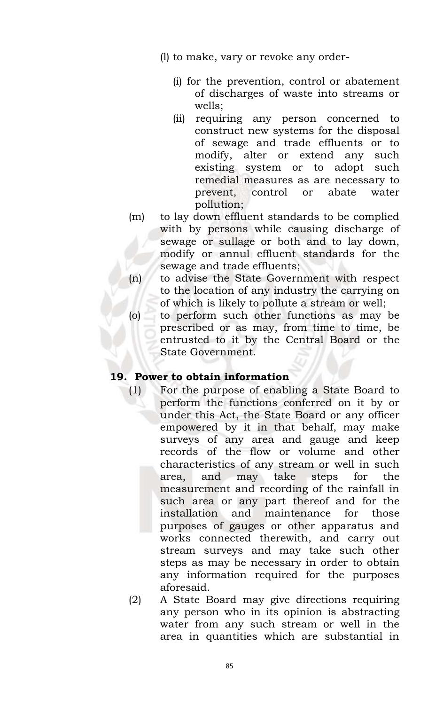- (l) to make, vary or revoke any order-
	- (i) for the prevention, control or abatement of discharges of waste into streams or wells;
	- (ii) requiring any person concerned to construct new systems for the disposal of sewage and trade effluents or to modify, alter or extend any such existing system or to adopt such remedial measures as are necessary to prevent, control or abate water pollution;
- (m) to lay down effluent standards to be complied with by persons while causing discharge of sewage or sullage or both and to lay down, modify or annul effluent standards for the sewage and trade effluents;
- (n) to advise the State Government with respect to the location of any industry the carrying on of which is likely to pollute a stream or well;
- (o) to perform such other functions as may be prescribed or as may, from time to time, be entrusted to it by the Central Board or the State Government.

### **19. Power to obtain information**

- (1) For the purpose of enabling a State Board to perform the functions conferred on it by or under this Act, the State Board or any officer empowered by it in that behalf, may make surveys of any area and gauge and keep records of the flow or volume and other characteristics of any stream or well in such area, and may take steps for the measurement and recording of the rainfall in such area or any part thereof and for the installation and maintenance for those purposes of gauges or other apparatus and works connected therewith, and carry out stream surveys and may take such other steps as may be necessary in order to obtain any information required for the purposes aforesaid.
- (2) A State Board may give directions requiring any person who in its opinion is abstracting water from any such stream or well in the area in quantities which are substantial in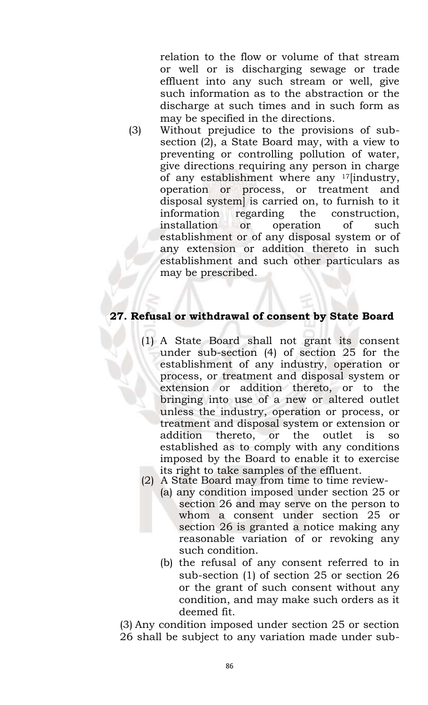relation to the flow or volume of that stream or well or is discharging sewage or trade effluent into any such stream or well, give such information as to the abstraction or the discharge at such times and in such form as may be specified in the directions.

(3) Without prejudice to the provisions of subsection (2), a State Board may, with a view to preventing or controlling pollution of water, give directions requiring any person in charge of any establishment where any 17[industry, operation or process, or treatment and disposal system] is carried on, to furnish to it information regarding the construction, installation or operation of such establishment or of any disposal system or of any extension or addition thereto in such establishment and such other particulars as may be prescribed.

# **27. Refusal or withdrawal of consent by State Board**

- (1) A State Board shall not grant its consent under sub-section (4) of section 25 for the establishment of any industry, operation or process, or treatment and disposal system or extension or addition thereto, or to the bringing into use of a new or altered outlet unless the industry, operation or process, or treatment and disposal system or extension or addition thereto, or the outlet is so established as to comply with any conditions imposed by the Board to enable it to exercise its right to take samples of the effluent.
- (2) A State Board may from time to time review-
	- (a) any condition imposed under section 25 or section 26 and may serve on the person to whom a consent under section 25 or section 26 is granted a notice making any reasonable variation of or revoking any such condition.
		- (b) the refusal of any consent referred to in sub-section (1) of section 25 or section 26 or the grant of such consent without any condition, and may make such orders as it deemed fit.

(3) Any condition imposed under section 25 or section 26 shall be subject to any variation made under sub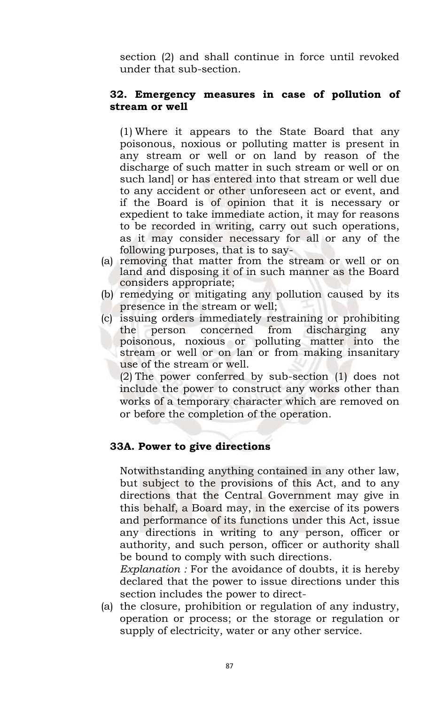section (2) and shall continue in force until revoked under that sub-section.

### **32. Emergency measures in case of pollution of stream or well**

(1) Where it appears to the State Board that any poisonous, noxious or polluting matter is present in any stream or well or on land by reason of the discharge of such matter in such stream or well or on such land] or has entered into that stream or well due to any accident or other unforeseen act or event, and if the Board is of opinion that it is necessary or expedient to take immediate action, it may for reasons to be recorded in writing, carry out such operations, as it may consider necessary for all or any of the following purposes, that is to say-

- (a) removing that matter from the stream or well or on land and disposing it of in such manner as the Board considers appropriate;
- (b) remedying or mitigating any pollution caused by its presence in the stream or well;
- (c) issuing orders immediately restraining or prohibiting the person concerned from discharging any poisonous, noxious or polluting matter into the stream or well or on lan or from making insanitary use of the stream or well.

(2) The power conferred by sub-section (1) does not include the power to construct any works other than works of a temporary character which are removed on or before the completion of the operation.

### **33A. Power to give directions**

Notwithstanding anything contained in any other law, but subject to the provisions of this Act, and to any directions that the Central Government may give in this behalf, a Board may, in the exercise of its powers and performance of its functions under this Act, issue any directions in writing to any person, officer or authority, and such person, officer or authority shall be bound to comply with such directions.

*Explanation :* For the avoidance of doubts, it is hereby declared that the power to issue directions under this section includes the power to direct-

(a) the closure, prohibition or regulation of any industry, operation or process; or the storage or regulation or supply of electricity, water or any other service.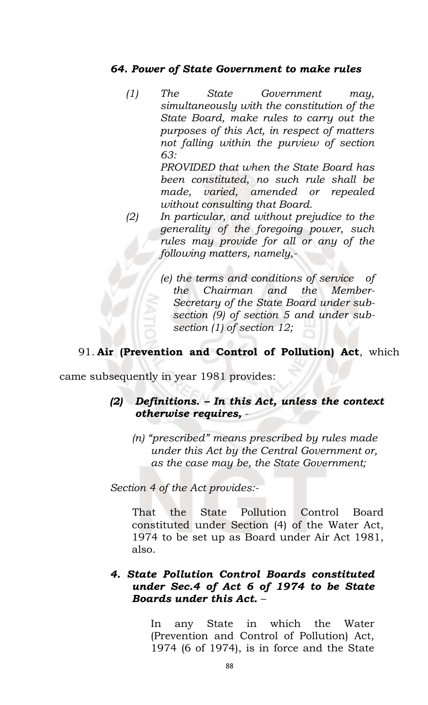## *64. Power of State Government to make rules*

*(1) The State Government may, simultaneously with the constitution of the State Board, make rules to carry out the purposes of this Act, in respect of matters not falling within the purview of section 63:* 

*PROVIDED that when the State Board has been constituted, no such rule shall be made, varied, amended or repealed without consulting that Board.* 

- *(2) In particular, and without prejudice to the generality of the foregoing power, such rules may provide for all or any of the following matters, namely,-*
	- *(e) the terms and conditions of service of the Chairman and the Member-Secretary of the State Board under subsection (9) of section 5 and under subsection (1) of section 12;*

## 91. **Air (Prevention and Control of Pollution) Act**, which

came subsequently in year 1981 provides:

## *(2) Definitions. – In this Act, unless the context otherwise requires, -*

*(n) "prescribed" means prescribed by rules made under this Act by the Central Government or, as the case may be, the State Government;* 

*Section 4 of the Act provides:-*

 That the State Pollution Control Board constituted under Section (4) of the Water Act, 1974 to be set up as Board under Air Act 1981, also.

## *4. State Pollution Control Boards constituted under Sec.4 of Act 6 of 1974 to be State Boards under this Act.* –

In any State in which the Water (Prevention and Control of Pollution) Act, 1974 (6 of 1974), is in force and the State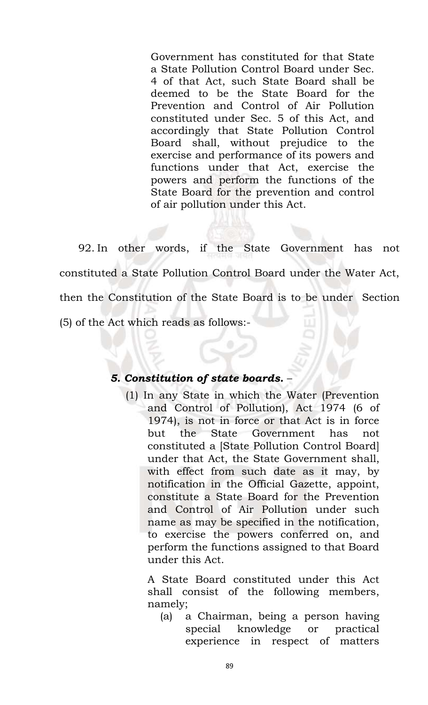Government has constituted for that State a State Pollution Control Board under Sec. 4 of that Act, such State Board shall be deemed to be the State Board for the Prevention and Control of Air Pollution constituted under Sec. 5 of this Act, and accordingly that State Pollution Control Board shall, without prejudice to the exercise and performance of its powers and functions under that Act, exercise the powers and perform the functions of the State Board for the prevention and control of air pollution under this Act.

92. In other words, if the State Government has not constituted a State Pollution Control Board under the Water Act, then the Constitution of the State Board is to be under Section (5) of the Act which reads as follows:-

### *5. Constitution of state boards.* –

(1) In any State in which the Water (Prevention and Control of Pollution), Act 1974 (6 of 1974), is not in force or that Act is in force but the State Government has not constituted a [State Pollution Control Board] under that Act, the State Government shall, with effect from such date as it may, by notification in the Official Gazette, appoint, constitute a State Board for the Prevention and Control of Air Pollution under such name as may be specified in the notification, to exercise the powers conferred on, and perform the functions assigned to that Board under this Act.

A State Board constituted under this Act shall consist of the following members, namely;

(a) a Chairman, being a person having special knowledge or practical experience in respect of matters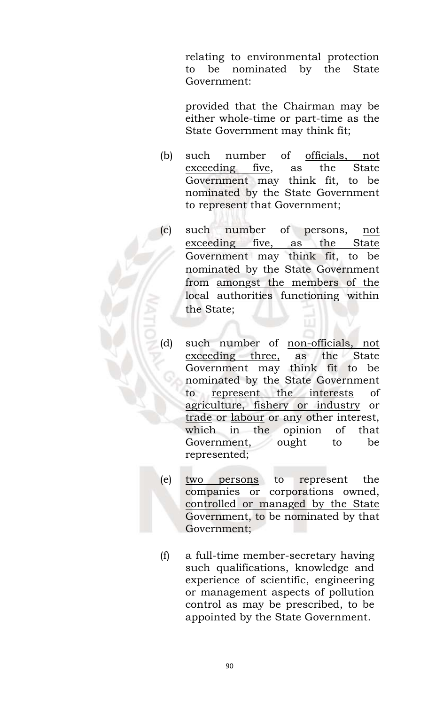relating to environmental protection to be nominated by the State Government:

provided that the Chairman may be either whole-time or part-time as the State Government may think fit;

- (b) such number of officials, not exceeding five, as the State Government may think fit, to be nominated by the State Government to represent that Government;
- (c) such number of persons, not exceeding five, as the State Government may think fit, to be nominated by the State Government from amongst the members of the local authorities functioning within the State;
- (d) such number of non-officials, not exceeding three, as the State Government may think fit to be nominated by the State Government to represent the interests of agriculture, fishery or industry or trade or labour or any other interest, which in the opinion of that Government, ought to be represented;
- (e) two persons to represent the companies or corporations owned, controlled or managed by the State Government, to be nominated by that Government;
- (f) a full-time member-secretary having such qualifications, knowledge and experience of scientific, engineering or management aspects of pollution control as may be prescribed, to be appointed by the State Government.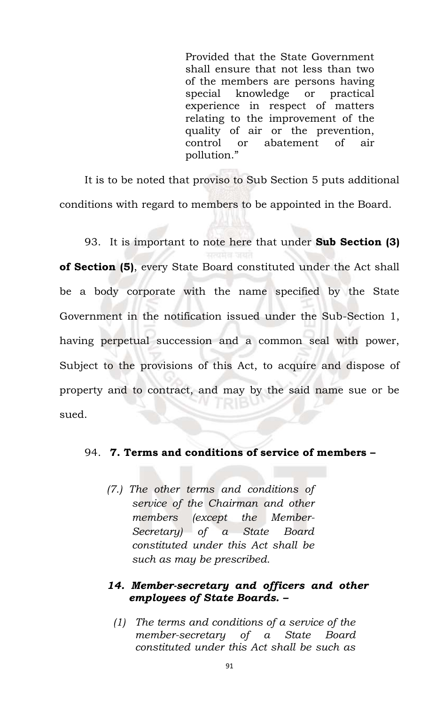Provided that the State Government shall ensure that not less than two of the members are persons having special knowledge or practical experience in respect of matters relating to the improvement of the quality of air or the prevention, control or abatement of air pollution."

It is to be noted that proviso to Sub Section 5 puts additional conditions with regard to members to be appointed in the Board.

93. It is important to note here that under **Sub Section (3) of Section (5)**, every State Board constituted under the Act shall be a body corporate with the name specified by the State Government in the notification issued under the Sub-Section 1, having perpetual succession and a common seal with power, Subject to the provisions of this Act, to acquire and dispose of property and to contract, and may by the said name sue or be sued.

### 94. **7. Terms and conditions of service of members –**

*( constituted under this Act shall be 7 such as may be prescribed. (7.) The other terms and conditions of service of the Chairman and other members (except the Member-Secretary) of a State Board* 

### *14. Member-secretary and officers and other employees of State Boards. –*

*(1) The terms and conditions of a service of the member-secretary of a State Board constituted under this Act shall be such as*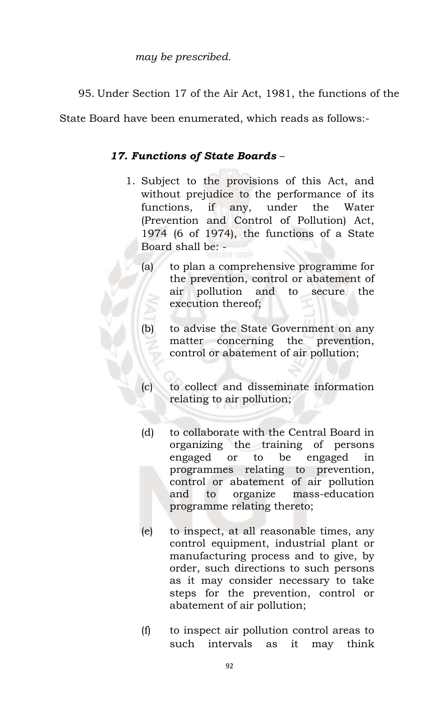*may be prescribed.* 

95. Under Section 17 of the Air Act, 1981, the functions of the

State Board have been enumerated, which reads as follows:-

# *17. Functions of State Boards* –

- 1. Subject to the provisions of this Act, and without prejudice to the performance of its functions, if any, under the Water (Prevention and Control of Pollution) Act, 1974 (6 of 1974), the functions of a State Board shall be: -
	- (a) to plan a comprehensive programme for the prevention, control or abatement of air pollution and to secure the execution thereof;
	- (b) to advise the State Government on any matter concerning the prevention, control or abatement of air pollution;
	- (c) to collect and disseminate information relating to air pollution;
	- (d) to collaborate with the Central Board in organizing the training of persons engaged or to be engaged in programmes relating to prevention, control or abatement of air pollution and to organize mass-education programme relating thereto;
	- (e) to inspect, at all reasonable times, any control equipment, industrial plant or manufacturing process and to give, by order, such directions to such persons as it may consider necessary to take steps for the prevention, control or abatement of air pollution;
	- (f) to inspect air pollution control areas to such intervals as it may think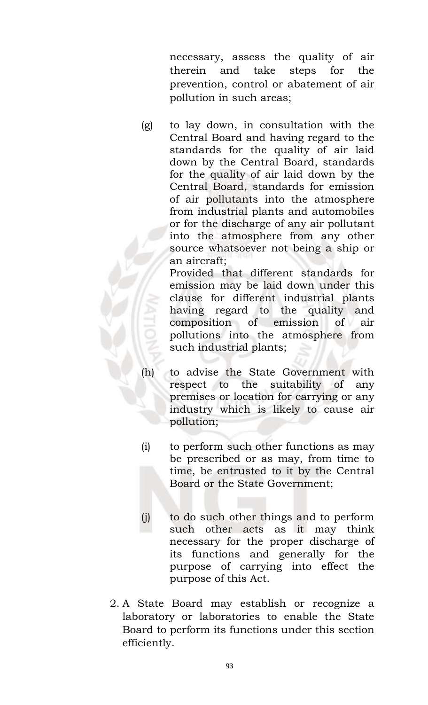necessary, assess the quality of air therein and take steps for the prevention, control or abatement of air pollution in such areas;

(g) to lay down, in consultation with the Central Board and having regard to the standards for the quality of air laid down by the Central Board, standards for the quality of air laid down by the Central Board, standards for emission of air pollutants into the atmosphere from industrial plants and automobiles or for the discharge of any air pollutant into the atmosphere from any other source whatsoever not being a ship or an aircraft;

Provided that different standards for emission may be laid down under this clause for different industrial plants having regard to the quality and composition of emission of air pollutions into the atmosphere from such industrial plants;

- (h) to advise the State Government with respect to the suitability of any premises or location for carrying or any industry which is likely to cause air pollution;
- (i) to perform such other functions as may be prescribed or as may, from time to time, be entrusted to it by the Central Board or the State Government;
- (j) to do such other things and to perform such other acts as it may think necessary for the proper discharge of its functions and generally for the purpose of carrying into effect the purpose of this Act.
- 2. A State Board may establish or recognize a laboratory or laboratories to enable the State Board to perform its functions under this section efficiently.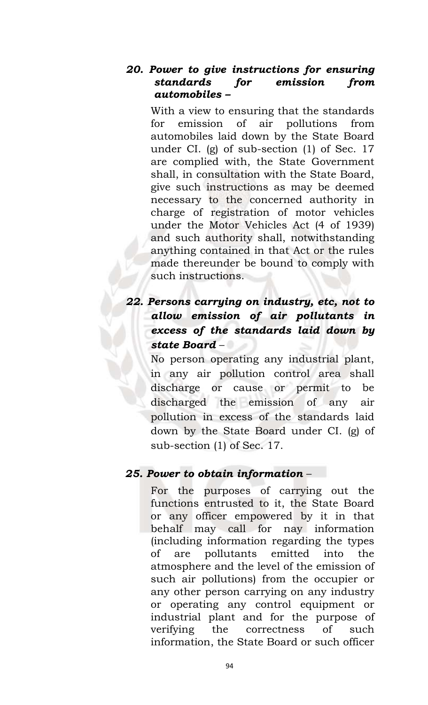### *20. Power to give instructions for ensuring standards for emission from automobiles –*

With a view to ensuring that the standards for emission of air pollutions from automobiles laid down by the State Board under CI. (g) of sub-section (1) of Sec. 17 are complied with, the State Government shall, in consultation with the State Board, give such instructions as may be deemed necessary to the concerned authority in charge of registration of motor vehicles under the Motor Vehicles Act (4 of 1939) and such authority shall, notwithstanding anything contained in that Act or the rules made thereunder be bound to comply with such instructions.

# *22. Persons carrying on industry, etc, not to allow emission of air pollutants in excess of the standards laid down by state Board* –

No person operating any industrial plant, in any air pollution control area shall discharge or cause or permit to be discharged the emission of any air pollution in excess of the standards laid down by the State Board under CI. (g) of sub-section (1) of Sec. 17.

### *25. Power to obtain information* –

For the purposes of carrying out the functions entrusted to it, the State Board or any officer empowered by it in that behalf may call for nay information (including information regarding the types of are pollutants emitted into the atmosphere and the level of the emission of such air pollutions) from the occupier or any other person carrying on any industry or operating any control equipment or industrial plant and for the purpose of verifying the correctness of such information, the State Board or such officer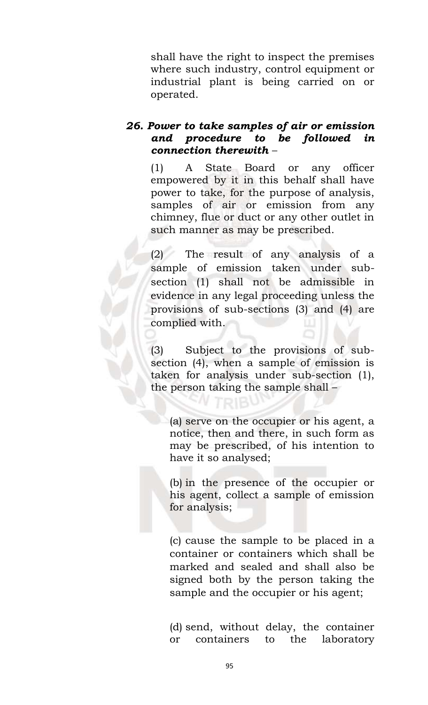shall have the right to inspect the premises where such industry, control equipment or industrial plant is being carried on or operated.

### *26. Power to take samples of air or emission and procedure to be followed in connection therewith* –

(1) A State Board or any officer empowered by it in this behalf shall have power to take, for the purpose of analysis, samples of air or emission from any chimney, flue or duct or any other outlet in such manner as may be prescribed.

(2) The result of any analysis of a sample of emission taken under subsection (1) shall not be admissible in evidence in any legal proceeding unless the provisions of sub-sections (3) and (4) are complied with.

(3) Subject to the provisions of subsection (4), when a sample of emission is taken for analysis under sub-section (1), the person taking the sample shall –

(a) serve on the occupier or his agent, a notice, then and there, in such form as may be prescribed, of his intention to have it so analysed;

(b) in the presence of the occupier or his agent, collect a sample of emission for analysis;

(c) cause the sample to be placed in a container or containers which shall be marked and sealed and shall also be signed both by the person taking the sample and the occupier or his agent;

(d) send, without delay, the container or containers to the laboratory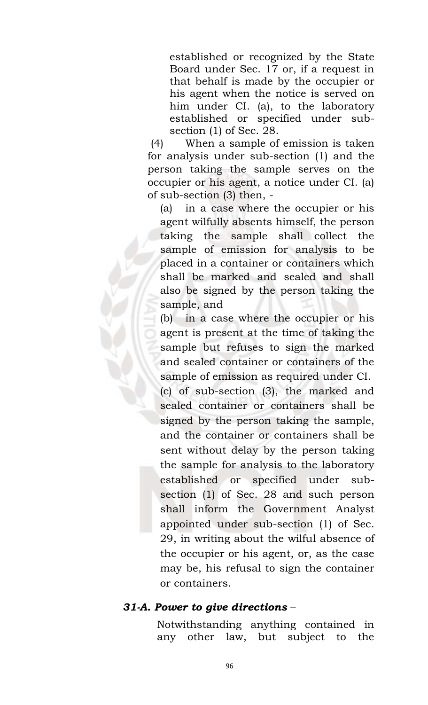established or recognized by the State Board under Sec. 17 or, if a request in that behalf is made by the occupier or his agent when the notice is served on him under CI. (a), to the laboratory established or specified under subsection (1) of Sec. 28.

(4) When a sample of emission is taken for analysis under sub-section (1) and the person taking the sample serves on the occupier or his agent, a notice under CI. (a) of sub-section (3) then, -

(a) in a case where the occupier or his agent wilfully absents himself, the person taking the sample shall collect the sample of emission for analysis to be placed in a container or containers which shall be marked and sealed and shall also be signed by the person taking the sample, and

(b) in a case where the occupier or his agent is present at the time of taking the sample but refuses to sign the marked and sealed container or containers of the sample of emission as required under CI.

(c) of sub-section (3), the marked and sealed container or containers shall be signed by the person taking the sample, and the container or containers shall be sent without delay by the person taking the sample for analysis to the laboratory established or specified under subsection (1) of Sec. 28 and such person shall inform the Government Analyst appointed under sub-section (1) of Sec. 29, in writing about the wilful absence of the occupier or his agent, or, as the case may be, his refusal to sign the container or containers.

### *31-A. Power to give directions* –

Notwithstanding anything contained in any other law, but subject to the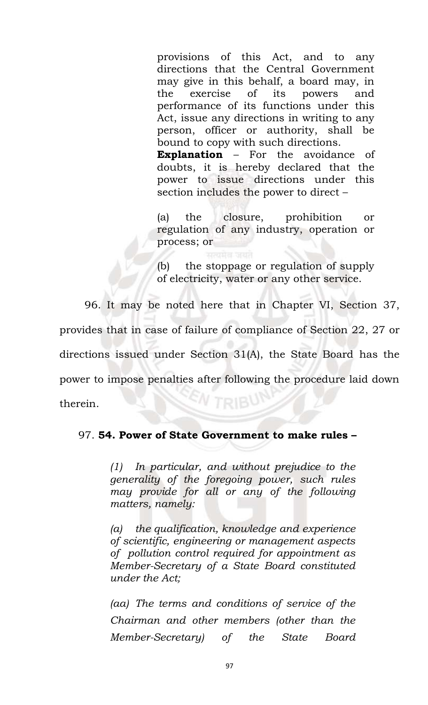provisions of this Act, and to any directions that the Central Government may give in this behalf, a board may, in the exercise of its powers and performance of its functions under this Act, issue any directions in writing to any person, officer or authority, shall be bound to copy with such directions.

**Explanation** – For the avoidance of doubts, it is hereby declared that the power to issue directions under this section includes the power to direct –

(a) the closure, prohibition or regulation of any industry, operation or process; or

(b) the stoppage or regulation of supply of electricity, water or any other service.

96. It may be noted here that in Chapter VI, Section 37, provides that in case of failure of compliance of Section 22, 27 or directions issued under Section 31(A), the State Board has the power to impose penalties after following the procedure laid down **TRIB** therein.

### 97. **54. Power of State Government to make rules –**

*(1) In particular, and without prejudice to the generality of the foregoing power, such rules may provide for all or any of the following matters, namely:* 

*(a) the qualification, knowledge and experience of scientific, engineering or management aspects of pollution control required for appointment as Member-Secretary of a State Board constituted under the Act;*

*(aa) The terms and conditions of service of the Chairman and other members (other than the Member-Secretary) of the State Board*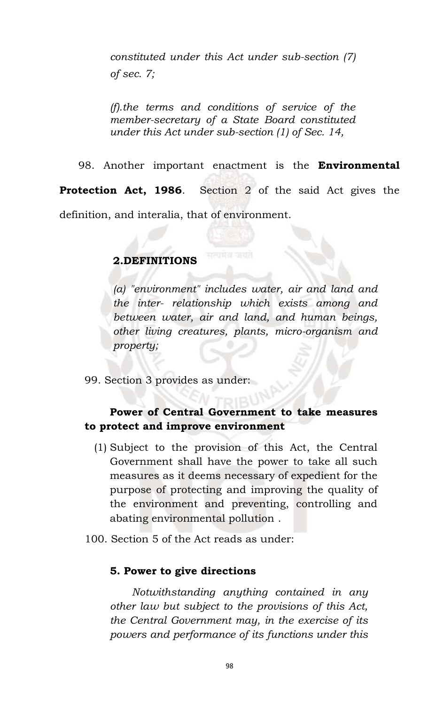*constituted under this Act under sub-section (7) of sec. 7;* 

*(f).the terms and conditions of service of the member-secretary of a State Board constituted under this Act under sub-section (1) of Sec. 14,* 

98. Another important enactment is the **Environmental Protection Act, 1986**. Section 2 of the said Act gives the definition, and interalia, that of environment.

## **2.DEFINITIONS**

*(a) "environment" includes water, air and land and the inter- relationship which exists among and between water, air and land, and human beings, other living creatures, plants, micro-organism and property;*

99. Section 3 provides as under:

# **Power of Central Government to take measures to protect and improve environment**

- (1) Subject to the provision of this Act, the Central Government shall have the power to take all such measures as it deems necessary of expedient for the purpose of protecting and improving the quality of the environment and preventing, controlling and abating environmental pollution .
- 100. Section 5 of the Act reads as under:

## **5. Power to give directions**

*Notwithstanding anything contained in any other law but subject to the provisions of this Act, the Central Government may, in the exercise of its powers and performance of its functions under this*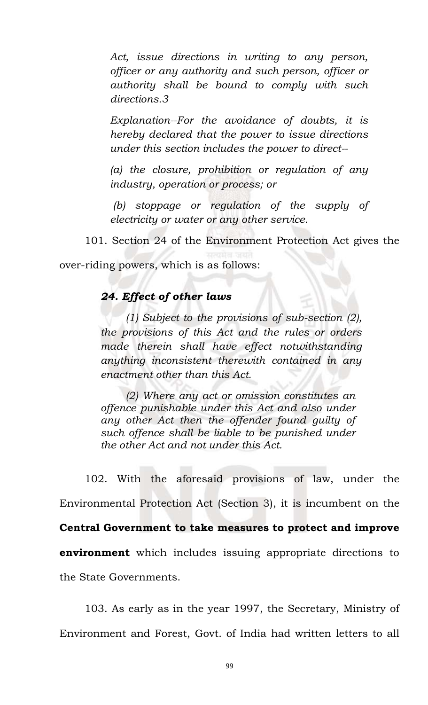*Act, issue directions in writing to any person, officer or any authority and such person, officer or authority shall be bound to comply with such directions.3*

*Explanation--For the avoidance of doubts, it is hereby declared that the power to issue directions under this section includes the power to direct--*

*(a) the closure, prohibition or regulation of any industry, operation or process; or*

*(b) stoppage or regulation of the supply of electricity or water or any other service.*

101. Section 24 of the Environment Protection Act gives the

over-riding powers, which is as follows:

### *24. Effect of other laws*

*(1) Subject to the provisions of sub-section (2), the provisions of this Act and the rules or orders made therein shall have effect notwithstanding anything inconsistent therewith contained in any enactment other than this Act.*

*(2) Where any act or omission constitutes an offence punishable under this Act and also under any other Act then the offender found guilty of such offence shall be liable to be punished under the other Act and not under this Act.*

102. With the aforesaid provisions of law, under the Environmental Protection Act (Section 3), it is incumbent on the **Central Government to take measures to protect and improve environment** which includes issuing appropriate directions to the State Governments.

103. As early as in the year 1997, the Secretary, Ministry of Environment and Forest, Govt. of India had written letters to all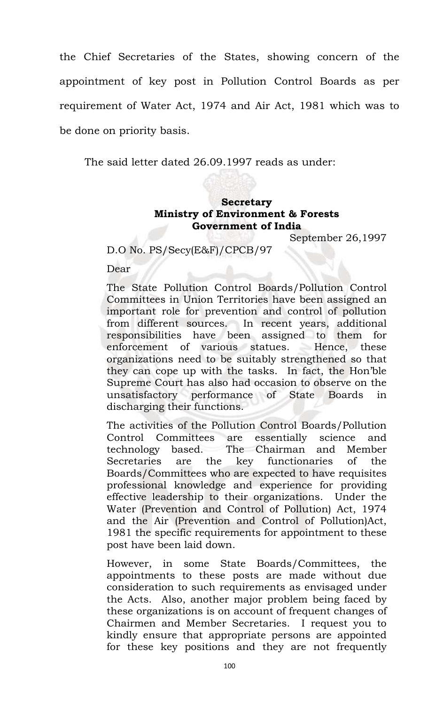the Chief Secretaries of the States, showing concern of the appointment of key post in Pollution Control Boards as per requirement of Water Act, 1974 and Air Act, 1981 which was to be done on priority basis.

The said letter dated 26.09.1997 reads as under:

### **Secretary Ministry of Environment & Forests Government of India**

September 26,1997

D.O No. PS/Secy(E&F)/CPCB/97

### Dear

The State Pollution Control Boards/Pollution Control Committees in Union Territories have been assigned an important role for prevention and control of pollution from different sources. In recent years, additional responsibilities have been assigned to them for enforcement of various statues. Hence, these organizations need to be suitably strengthened so that they can cope up with the tasks. In fact, the Hon'ble Supreme Court has also had occasion to observe on the unsatisfactory performance of State Boards in discharging their functions.

The activities of the Pollution Control Boards/Pollution Control Committees are essentially science and technology based. The Chairman and Member Secretaries are the key functionaries of the Boards/Committees who are expected to have requisites professional knowledge and experience for providing effective leadership to their organizations. Under the Water (Prevention and Control of Pollution) Act, 1974 and the Air (Prevention and Control of Pollution)Act, 1981 the specific requirements for appointment to these post have been laid down.

However, in some State Boards/Committees, the appointments to these posts are made without due consideration to such requirements as envisaged under the Acts. Also, another major problem being faced by these organizations is on account of frequent changes of Chairmen and Member Secretaries. I request you to kindly ensure that appropriate persons are appointed for these key positions and they are not frequently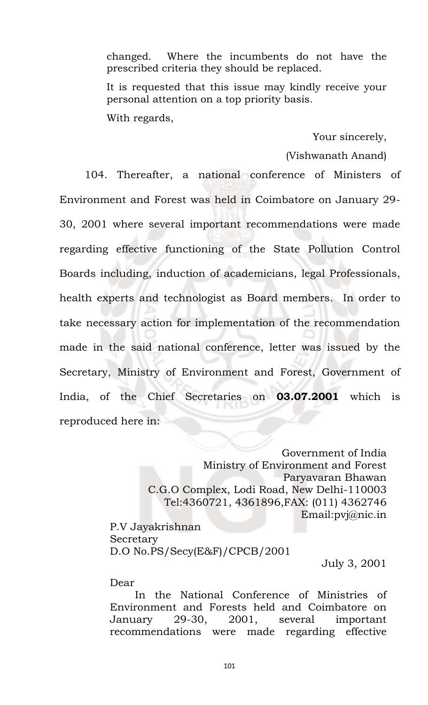changed. Where the incumbents do not have the prescribed criteria they should be replaced.

It is requested that this issue may kindly receive your personal attention on a top priority basis.

With regards,

Your sincerely,

(Vishwanath Anand)

104. Thereafter, a national conference of Ministers of Environment and Forest was held in Coimbatore on January 29- 30, 2001 where several important recommendations were made regarding effective functioning of the State Pollution Control Boards including, induction of academicians, legal Professionals, health experts and technologist as Board members. In order to take necessary action for implementation of the recommendation made in the said national conference, letter was issued by the Secretary, Ministry of Environment and Forest, Government of India, of the Chief Secretaries on **03.07.2001** which is reproduced here in:

> Government of India Ministry of Environment and Forest Paryavaran Bhawan C.G.O Complex, Lodi Road, New Delhi-110003 Tel:4360721, 4361896,FAX: (011) 4362746 Email:pvj@nic.in

P.V Jayakrishnan Secretary D.O No.PS/Secy(E&F)/CPCB/2001

July 3, 2001

Dear

In the National Conference of Ministries of Environment and Forests held and Coimbatore on January 29-30, 2001, several important recommendations were made regarding effective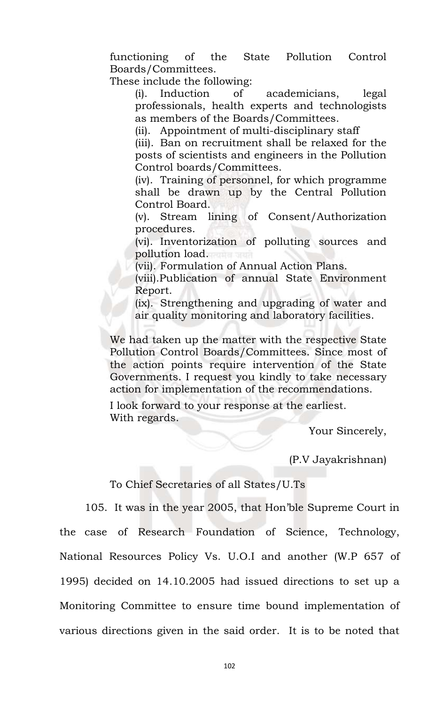functioning of the State Pollution Control Boards/Committees.

These include the following:

(i). Induction of academicians, legal professionals, health experts and technologists as members of the Boards/Committees.

(ii). Appointment of multi-disciplinary staff

(iii). Ban on recruitment shall be relaxed for the posts of scientists and engineers in the Pollution Control boards/Committees.

(iv). Training of personnel, for which programme shall be drawn up by the Central Pollution Control Board.

(v). Stream lining of Consent/Authorization procedures.

(vi). Inventorization of polluting sources and pollution load.

(vii). Formulation of Annual Action Plans.

(viii).Publication of annual State Environment Report.

(ix). Strengthening and upgrading of water and air quality monitoring and laboratory facilities.

We had taken up the matter with the respective State Pollution Control Boards/Committees. Since most of the action points require intervention of the State Governments. I request you kindly to take necessary action for implementation of the recommendations.

I look forward to your response at the earliest. With regards.

Your Sincerely,

(P.V Jayakrishnan)

To Chief Secretaries of all States/U.Ts

105. It was in the year 2005, that Hon'ble Supreme Court in the case of Research Foundation of Science, Technology, National Resources Policy Vs. U.O.I and another (W.P 657 of 1995) decided on 14.10.2005 had issued directions to set up a Monitoring Committee to ensure time bound implementation of various directions given in the said order. It is to be noted that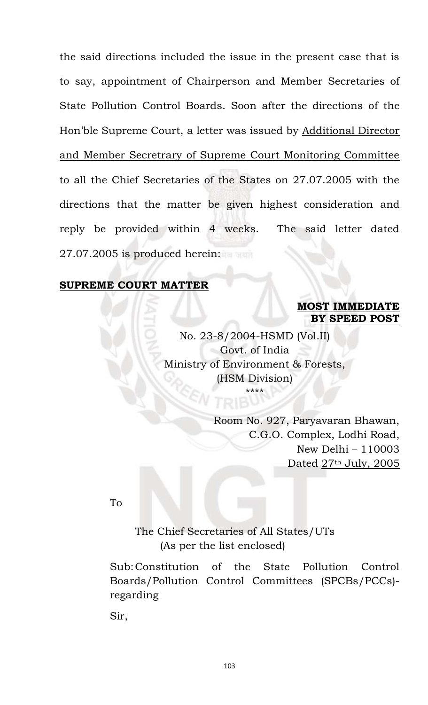the said directions included the issue in the present case that is to say, appointment of Chairperson and Member Secretaries of State Pollution Control Boards. Soon after the directions of the Hon'ble Supreme Court, a letter was issued by Additional Director and Member Secretrary of Supreme Court Monitoring Committee to all the Chief Secretaries of the States on 27.07.2005 with the directions that the matter be given highest consideration and reply be provided within 4 weeks. The said letter dated 27.07.2005 is produced herein:

### **SUPREME COURT MATTER**

### **MOST IMMEDIATE BY SPEED POST**

No. 23-8/2004-HSMD (Vol.II) Govt. of India Ministry of Environment & Forests, (HSM Division) \*\*\*\*

> Room No. 927, Paryavaran Bhawan, C.G.O. Complex, Lodhi Road, New Delhi – 110003 Dated 27<sup>th</sup> July, 2005

To

The Chief Secretaries of All States/UTs (As per the list enclosed)

Sub:Constitution of the State Pollution Control Boards/Pollution Control Committees (SPCBs/PCCs) regarding

Sir,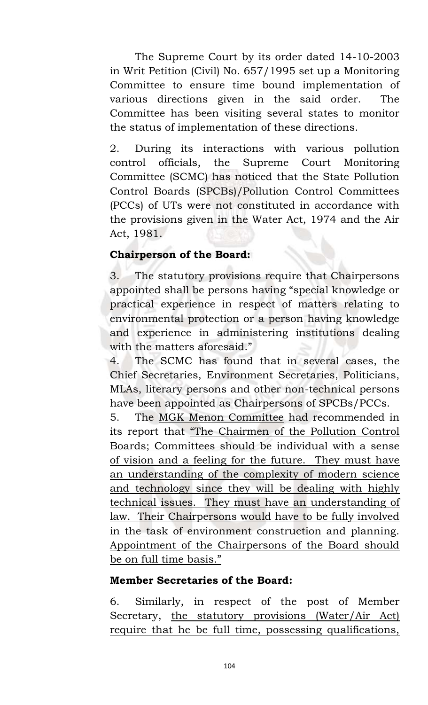The Supreme Court by its order dated 14-10-2003 in Writ Petition (Civil) No. 657/1995 set up a Monitoring Committee to ensure time bound implementation of various directions given in the said order. The Committee has been visiting several states to monitor the status of implementation of these directions.

2. During its interactions with various pollution control officials, the Supreme Court Monitoring Committee (SCMC) has noticed that the State Pollution Control Boards (SPCBs)/Pollution Control Committees (PCCs) of UTs were not constituted in accordance with the provisions given in the Water Act, 1974 and the Air Act, 1981.

## **Chairperson of the Board:**

3. The statutory provisions require that Chairpersons appointed shall be persons having "special knowledge or practical experience in respect of matters relating to environmental protection or a person having knowledge and experience in administering institutions dealing with the matters aforesaid."

4. The SCMC has found that in several cases, the Chief Secretaries, Environment Secretaries, Politicians, MLAs, literary persons and other non-technical persons have been appointed as Chairpersons of SPCBs/PCCs.

5. The MGK Menon Committee had recommended in its report that "The Chairmen of the Pollution Control Boards; Committees should be individual with a sense of vision and a feeling for the future. They must have an understanding of the complexity of modern science and technology since they will be dealing with highly technical issues. They must have an understanding of law. Their Chairpersons would have to be fully involved in the task of environment construction and planning. Appointment of the Chairpersons of the Board should be on full time basis."

### **Member Secretaries of the Board:**

6. Similarly, in respect of the post of Member Secretary, the statutory provisions (Water/Air Act) require that he be full time, possessing qualifications,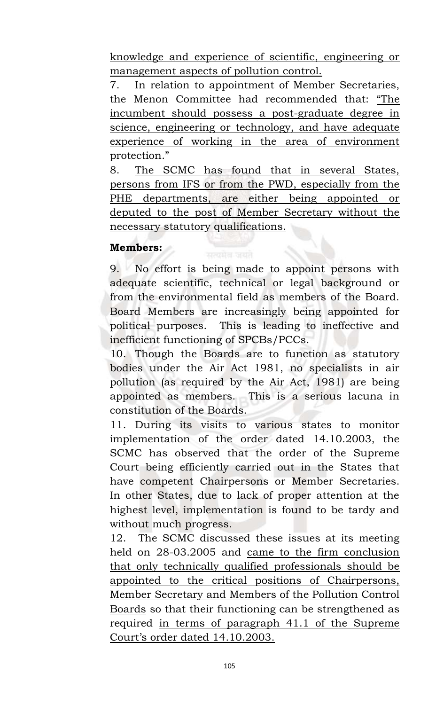knowledge and experience of scientific, engineering or management aspects of pollution control.

7. In relation to appointment of Member Secretaries, the Menon Committee had recommended that: "The incumbent should possess a post-graduate degree in science, engineering or technology, and have adequate experience of working in the area of environment protection."

8. The SCMC has found that in several States, persons from IFS or from the PWD, especially from the PHE departments, are either being appointed or deputed to the post of Member Secretary without the necessary statutory qualifications.

### **Members:**

9. No effort is being made to appoint persons with adequate scientific, technical or legal background or from the environmental field as members of the Board. Board Members are increasingly being appointed for political purposes. This is leading to ineffective and inefficient functioning of SPCBs/PCCs.

10. Though the Boards are to function as statutory bodies under the Air Act 1981, no specialists in air pollution (as required by the Air Act, 1981) are being appointed as members. This is a serious lacuna in constitution of the Boards.

11. During its visits to various states to monitor implementation of the order dated 14.10.2003, the SCMC has observed that the order of the Supreme Court being efficiently carried out in the States that have competent Chairpersons or Member Secretaries. In other States, due to lack of proper attention at the highest level, implementation is found to be tardy and without much progress.

12. The SCMC discussed these issues at its meeting held on 28-03.2005 and came to the firm conclusion that only technically qualified professionals should be appointed to the critical positions of Chairpersons, Member Secretary and Members of the Pollution Control Boards so that their functioning can be strengthened as required in terms of paragraph 41.1 of the Supreme Court's order dated 14.10.2003.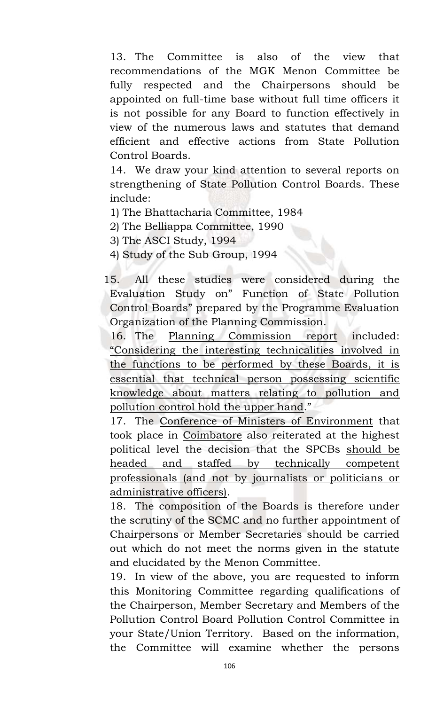13. The Committee is also of the view that recommendations of the MGK Menon Committee be fully respected and the Chairpersons should be appointed on full-time base without full time officers it is not possible for any Board to function effectively in view of the numerous laws and statutes that demand efficient and effective actions from State Pollution Control Boards.

14. We draw your kind attention to several reports on strengthening of State Pollution Control Boards. These include:

1) The Bhattacharia Committee, 1984

2) The Belliappa Committee, 1990

3) The ASCI Study, 1994

4) Study of the Sub Group, 1994

15. All these studies were considered during the Evaluation Study on" Function of State Pollution Control Boards" prepared by the Programme Evaluation Organization of the Planning Commission.

16. The Planning Commission report included: "Considering the interesting technicalities involved in the functions to be performed by these Boards, it is essential that technical person possessing scientific knowledge about matters relating to pollution and pollution control hold the upper hand."

17. The Conference of Ministers of Environment that took place in Coimbatore also reiterated at the highest political level the decision that the SPCBs should be headed and staffed by technically competent professionals (and not by journalists or politicians or administrative officers).

18. The composition of the Boards is therefore under the scrutiny of the SCMC and no further appointment of Chairpersons or Member Secretaries should be carried out which do not meet the norms given in the statute and elucidated by the Menon Committee.

19. In view of the above, you are requested to inform this Monitoring Committee regarding qualifications of the Chairperson, Member Secretary and Members of the Pollution Control Board Pollution Control Committee in your State/Union Territory. Based on the information, the Committee will examine whether the persons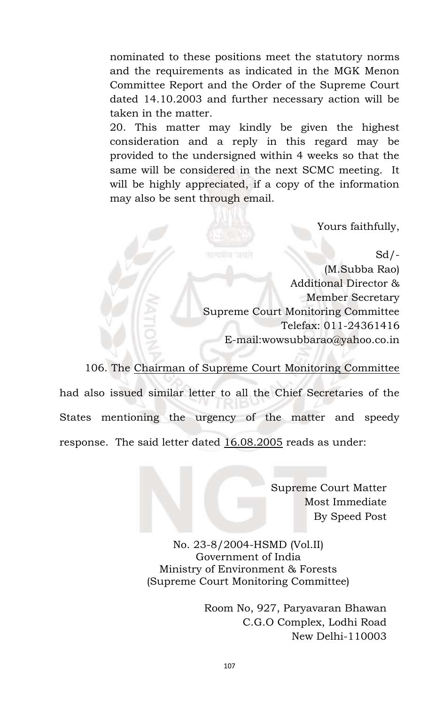nominated to these positions meet the statutory norms and the requirements as indicated in the MGK Menon Committee Report and the Order of the Supreme Court dated 14.10.2003 and further necessary action will be taken in the matter.

20. This matter may kindly be given the highest consideration and a reply in this regard may be provided to the undersigned within 4 weeks so that the same will be considered in the next SCMC meeting. It will be highly appreciated, if a copy of the information may also be sent through email.

Yours faithfully,

 $Sd$  /-

(M.Subba Rao) Additional Director & Member Secretary Supreme Court Monitoring Committee Telefax: 011-24361416 E-mail:wowsubbarao@yahoo.co.in

106. The Chairman of Supreme Court Monitoring Committee had also issued similar letter to all the Chief Secretaries of the States mentioning the urgency of the matter and speedy response. The said letter dated 16.08.2005 reads as under:

> Supreme Court Matter Most Immediate By Speed Post

No. 23-8/2004-HSMD (Vol.II) Government of India Ministry of Environment & Forests (Supreme Court Monitoring Committee)

> Room No, 927, Paryavaran Bhawan C.G.O Complex, Lodhi Road New Delhi-110003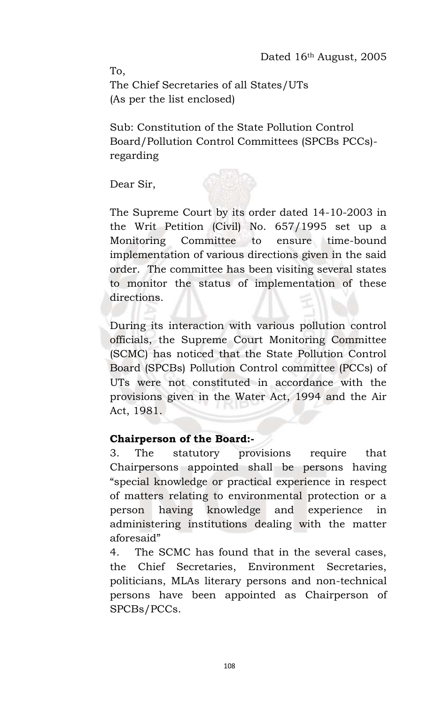To,

The Chief Secretaries of all States/UTs (As per the list enclosed)

Sub: Constitution of the State Pollution Control Board/Pollution Control Committees (SPCBs PCCs) regarding

Dear Sir,

The Supreme Court by its order dated 14-10-2003 in the Writ Petition (Civil) No. 657/1995 set up a Monitoring Committee to ensure time-bound implementation of various directions given in the said order. The committee has been visiting several states to monitor the status of implementation of these directions.

During its interaction with various pollution control officials, the Supreme Court Monitoring Committee (SCMC) has noticed that the State Pollution Control Board (SPCBs) Pollution Control committee (PCCs) of UTs were not constituted in accordance with the provisions given in the Water Act, 1994 and the Air Act, 1981.

# **Chairperson of the Board:-**

3. The statutory provisions require that Chairpersons appointed shall be persons having "special knowledge or practical experience in respect of matters relating to environmental protection or a person having knowledge and experience in administering institutions dealing with the matter aforesaid"

4. The SCMC has found that in the several cases, the Chief Secretaries, Environment Secretaries, politicians, MLAs literary persons and non-technical persons have been appointed as Chairperson of SPCBs/PCCs.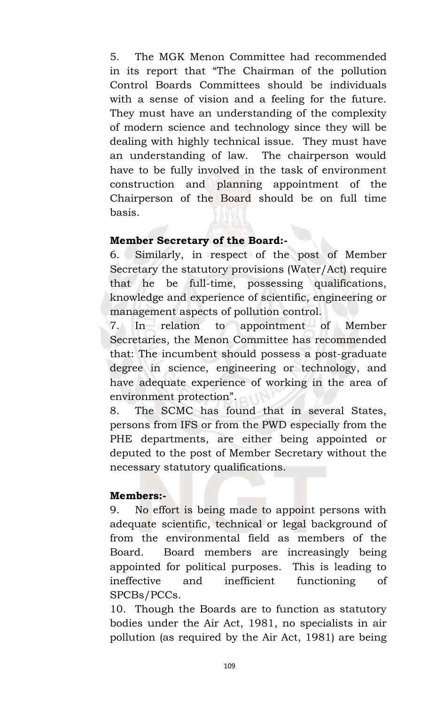5. The MGK Menon Committee had recommended in its report that "The Chairman of the pollution Control Boards Committees should be individuals with a sense of vision and a feeling for the future. They must have an understanding of the complexity of modern science and technology since they will be dealing with highly technical issue. They must have an understanding of law. The chairperson would have to be fully involved in the task of environment construction and planning appointment of the Chairperson of the Board should be on full time basis.

### **Member Secretary of the Board:-**

6. Similarly, in respect of the post of Member Secretary the statutory provisions (Water/Act) require that he be full-time, possessing qualifications, knowledge and experience of scientific, engineering or management aspects of pollution control.

7. In relation to appointment of Member Secretaries, the Menon Committee has recommended that: The incumbent should possess a post-graduate degree in science, engineering or technology, and have adequate experience of working in the area of environment protection".

8. The SCMC has found that in several States, persons from IFS or from the PWD especially from the PHE departments, are either being appointed or deputed to the post of Member Secretary without the necessary statutory qualifications.

### **Members:-**

9. No effort is being made to appoint persons with adequate scientific, technical or legal background of from the environmental field as members of the Board. Board members are increasingly being appointed for political purposes. This is leading to ineffective and inefficient functioning of SPCBs/PCCs.

10. Though the Boards are to function as statutory bodies under the Air Act, 1981, no specialists in air pollution (as required by the Air Act, 1981) are being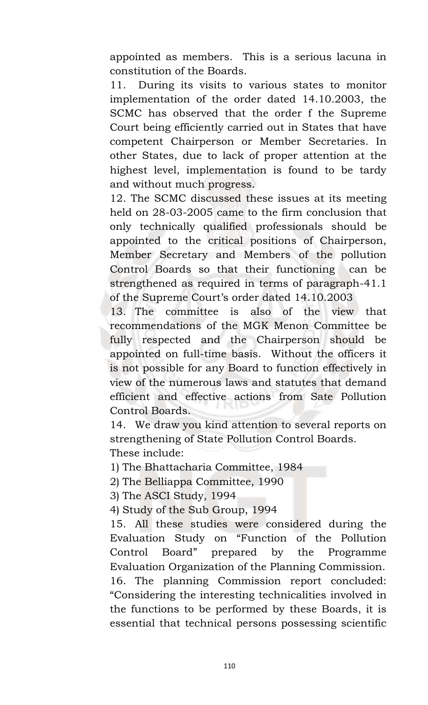appointed as members. This is a serious lacuna in constitution of the Boards.

11. During its visits to various states to monitor implementation of the order dated 14.10.2003, the SCMC has observed that the order f the Supreme Court being efficiently carried out in States that have competent Chairperson or Member Secretaries. In other States, due to lack of proper attention at the highest level, implementation is found to be tardy and without much progress.

12. The SCMC discussed these issues at its meeting held on 28-03-2005 came to the firm conclusion that only technically qualified professionals should be appointed to the critical positions of Chairperson, Member Secretary and Members of the pollution Control Boards so that their functioning can be strengthened as required in terms of paragraph-41.1 of the Supreme Court's order dated 14.10.2003

13. The committee is also of the view that recommendations of the MGK Menon Committee be fully respected and the Chairperson should be appointed on full-time basis. Without the officers it is not possible for any Board to function effectively in view of the numerous laws and statutes that demand efficient and effective actions from Sate Pollution Control Boards.

14. We draw you kind attention to several reports on strengthening of State Pollution Control Boards. These include:

1) The Bhattacharia Committee, 1984

2) The Belliappa Committee, 1990

3) The ASCI Study, 1994

4) Study of the Sub Group, 1994

15. All these studies were considered during the Evaluation Study on "Function of the Pollution Control Board" prepared by the Programme Evaluation Organization of the Planning Commission. 16. The planning Commission report concluded: "Considering the interesting technicalities involved in the functions to be performed by these Boards, it is essential that technical persons possessing scientific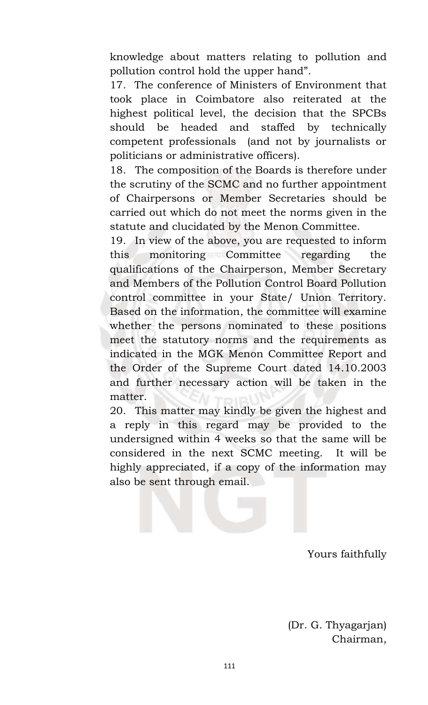knowledge about matters relating to pollution and pollution control hold the upper hand".

17. The conference of Ministers of Environment that took place in Coimbatore also reiterated at the highest political level, the decision that the SPCBs should be headed and staffed by technically competent professionals (and not by journalists or politicians or administrative officers).

18. The composition of the Boards is therefore under the scrutiny of the SCMC and no further appointment of Chairpersons or Member Secretaries should be carried out which do not meet the norms given in the statute and clucidated by the Menon Committee.

19. In view of the above, you are requested to inform this monitoring Committee regarding the qualifications of the Chairperson, Member Secretary and Members of the Pollution Control Board Pollution control committee in your State/ Union Territory. Based on the information, the committee will examine whether the persons nominated to these positions meet the statutory norms and the requirements as indicated in the MGK Menon Committee Report and the Order of the Supreme Court dated 14.10.2003 and further necessary action will be taken in the matter.

20. This matter may kindly be given the highest and a reply in this regard may be provided to the undersigned within 4 weeks so that the same will be considered in the next SCMC meeting. It will be highly appreciated, if a copy of the information may also be sent through email.

Yours faithfully

(Dr. G. Thyagarjan) Chairman,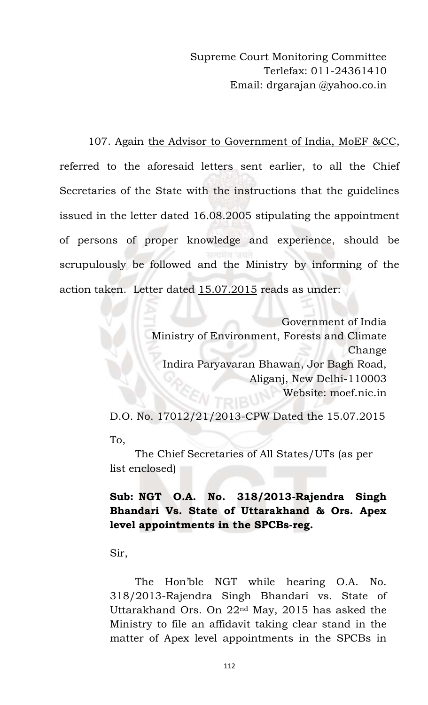### 107. Again the Advisor to Government of India, MoEF &CC,

referred to the aforesaid letters sent earlier, to all the Chief Secretaries of the State with the instructions that the guidelines issued in the letter dated 16.08.2005 stipulating the appointment of persons of proper knowledge and experience, should be scrupulously be followed and the Ministry by informing of the action taken. Letter dated 15.07.2015 reads as under:

> Government of India Ministry of Environment, Forests and Climate Change Indira Paryavaran Bhawan, Jor Bagh Road, Aliganj, New Delhi-110003 Website: moef.nic.in

D.O. No. 17012/21/2013-CPW Dated the 15.07.2015

To,

The Chief Secretaries of All States/UTs (as per list enclosed)

# **Sub: NGT O.A. No. 318/2013-Rajendra Singh Bhandari Vs. State of Uttarakhand & Ors. Apex level appointments in the SPCBs-reg.**

Sir,

The Hon'ble NGT while hearing O.A. No. 318/2013-Rajendra Singh Bhandari vs. State of Uttarakhand Ors. On 22nd May, 2015 has asked the Ministry to file an affidavit taking clear stand in the matter of Apex level appointments in the SPCBs in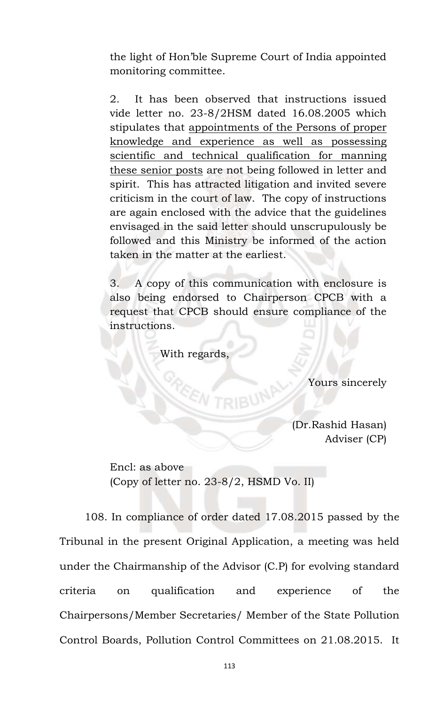the light of Hon'ble Supreme Court of India appointed monitoring committee.

2. It has been observed that instructions issued vide letter no. 23-8/2HSM dated 16.08.2005 which stipulates that appointments of the Persons of proper knowledge and experience as well as possessing scientific and technical qualification for manning these senior posts are not being followed in letter and spirit. This has attracted litigation and invited severe criticism in the court of law. The copy of instructions are again enclosed with the advice that the guidelines envisaged in the said letter should unscrupulously be followed and this Ministry be informed of the action taken in the matter at the earliest.

3. A copy of this communication with enclosure is also being endorsed to Chairperson CPCB with a request that CPCB should ensure compliance of the instructions.

With regards,

Yours sincerely

(Dr.Rashid Hasan) Adviser (CP)

Encl: as above (Copy of letter no. 23-8/2, HSMD Vo. II)

108. In compliance of order dated 17.08.2015 passed by the Tribunal in the present Original Application, a meeting was held under the Chairmanship of the Advisor (C.P) for evolving standard criteria on qualification and experience of the Chairpersons/Member Secretaries/ Member of the State Pollution Control Boards, Pollution Control Committees on 21.08.2015. It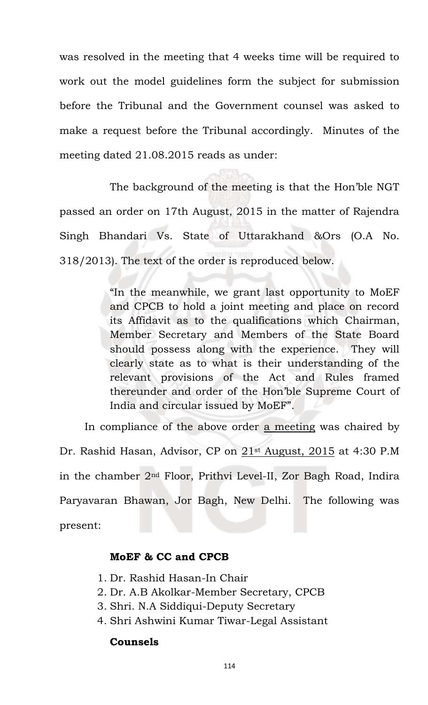was resolved in the meeting that 4 weeks time will be required to work out the model guidelines form the subject for submission before the Tribunal and the Government counsel was asked to make a request before the Tribunal accordingly. Minutes of the meeting dated 21.08.2015 reads as under:

The background of the meeting is that the Hon'ble NGT passed an order on 17th August, 2015 in the matter of Rajendra Singh Bhandari Vs. State of Uttarakhand &Ors (O.A No. 318/2013). The text of the order is reproduced below.

> "In the meanwhile, we grant last opportunity to MoEF and CPCB to hold a joint meeting and place on record its Affidavit as to the qualifications which Chairman, Member Secretary and Members of the State Board should possess along with the experience. They will clearly state as to what is their understanding of the relevant provisions of the Act and Rules framed thereunder and order of the Hon'ble Supreme Court of India and circular issued by MoEF".

In compliance of the above order a meeting was chaired by Dr. Rashid Hasan, Advisor, CP on 21st August, 2015 at 4:30 P.M in the chamber 2nd Floor, Prithvi Level-II, Zor Bagh Road, Indira Paryavaran Bhawan, Jor Bagh, New Delhi. The following was present:

### **MoEF & CC and CPCB**

- 1. Dr. Rashid Hasan-In Chair
- 2. Dr. A.B Akolkar-Member Secretary, CPCB
- 3. Shri. N.A Siddiqui-Deputy Secretary
- 4. Shri Ashwini Kumar Tiwar-Legal Assistant

#### **Counsels**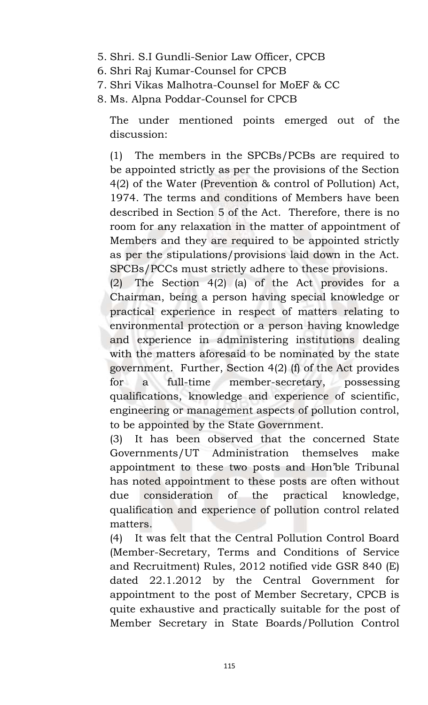- 5. Shri. S.I Gundli-Senior Law Officer, CPCB
- 6. Shri Raj Kumar-Counsel for CPCB
- 7. Shri Vikas Malhotra-Counsel for MoEF & CC
- 8. Ms. Alpna Poddar-Counsel for CPCB

The under mentioned points emerged out of the discussion:

(1) The members in the SPCBs/PCBs are required to be appointed strictly as per the provisions of the Section 4(2) of the Water (Prevention & control of Pollution) Act, 1974. The terms and conditions of Members have been described in Section 5 of the Act. Therefore, there is no room for any relaxation in the matter of appointment of Members and they are required to be appointed strictly as per the stipulations/provisions laid down in the Act. SPCBs/PCCs must strictly adhere to these provisions.

(2) The Section 4(2) (a) of the Act provides for a Chairman, being a person having special knowledge or practical experience in respect of matters relating to environmental protection or a person having knowledge and experience in administering institutions dealing with the matters aforesaid to be nominated by the state government. Further, Section 4(2) (f) of the Act provides for a full-time member-secretary, possessing qualifications, knowledge and experience of scientific, engineering or management aspects of pollution control, to be appointed by the State Government.

(3) It has been observed that the concerned State Governments/UT Administration themselves make appointment to these two posts and Hon'ble Tribunal has noted appointment to these posts are often without due consideration of the practical knowledge, qualification and experience of pollution control related matters.

(4) It was felt that the Central Pollution Control Board (Member-Secretary, Terms and Conditions of Service and Recruitment) Rules, 2012 notified vide GSR 840 (E) dated 22.1.2012 by the Central Government for appointment to the post of Member Secretary, CPCB is quite exhaustive and practically suitable for the post of Member Secretary in State Boards/Pollution Control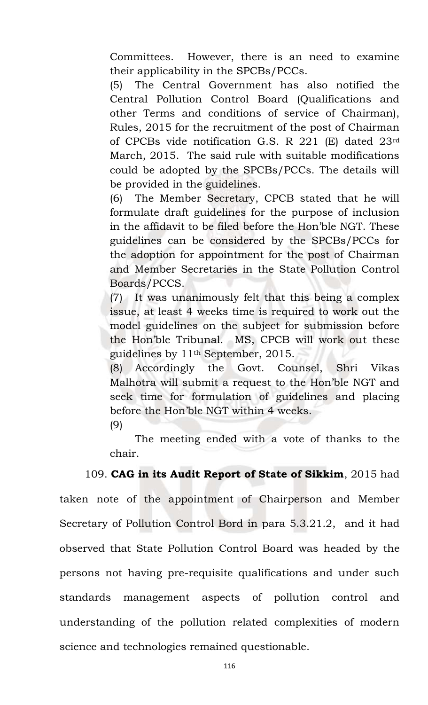Committees. However, there is an need to examine their applicability in the SPCBs/PCCs.

(5) The Central Government has also notified the Central Pollution Control Board (Qualifications and other Terms and conditions of service of Chairman), Rules, 2015 for the recruitment of the post of Chairman of CPCBs vide notification G.S. R 221 (E) dated 23rd March, 2015. The said rule with suitable modifications could be adopted by the SPCBs/PCCs. The details will be provided in the guidelines.

(6) The Member Secretary, CPCB stated that he will formulate draft guidelines for the purpose of inclusion in the affidavit to be filed before the Hon'ble NGT. These guidelines can be considered by the SPCBs/PCCs for the adoption for appointment for the post of Chairman and Member Secretaries in the State Pollution Control Boards/PCCS.

(7) It was unanimously felt that this being a complex issue, at least 4 weeks time is required to work out the model guidelines on the subject for submission before the Hon'ble Tribunal. MS, CPCB will work out these guidelines by 11th September, 2015.

(8) Accordingly the Govt. Counsel, Shri Vikas Malhotra will submit a request to the Hon'ble NGT and seek time for formulation of guidelines and placing before the Hon'ble NGT within 4 weeks.

(9)

The meeting ended with a vote of thanks to the chair.

109. **CAG in its Audit Report of State of Sikkim**, 2015 had taken note of the appointment of Chairperson and Member Secretary of Pollution Control Bord in para 5.3.21.2, and it had observed that State Pollution Control Board was headed by the persons not having pre-requisite qualifications and under such standards management aspects of pollution control and understanding of the pollution related complexities of modern science and technologies remained questionable.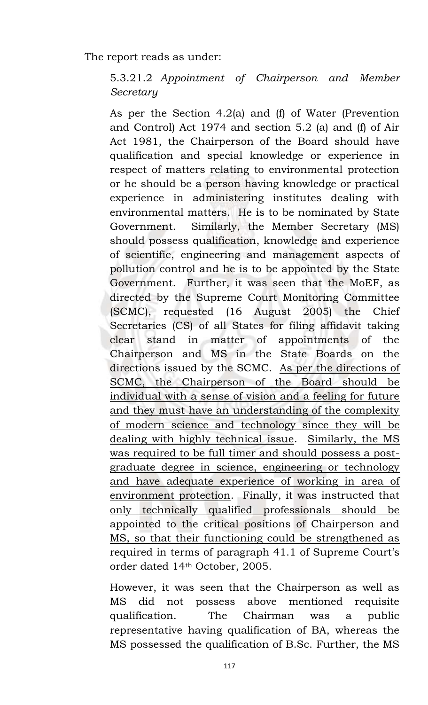The report reads as under:

## 5.3.21.2 *Appointment of Chairperson and Member Secretary*

As per the Section 4.2(a) and (f) of Water (Prevention and Control) Act 1974 and section 5.2 (a) and (f) of Air Act 1981, the Chairperson of the Board should have qualification and special knowledge or experience in respect of matters relating to environmental protection or he should be a person having knowledge or practical experience in administering institutes dealing with environmental matters. He is to be nominated by State Government. Similarly, the Member Secretary (MS) should possess qualification, knowledge and experience of scientific, engineering and management aspects of pollution control and he is to be appointed by the State Government. Further, it was seen that the MoEF, as directed by the Supreme Court Monitoring Committee (SCMC), requested (16 August 2005) the Chief Secretaries (CS) of all States for filing affidavit taking clear stand in matter of appointments of the Chairperson and MS in the State Boards on the directions issued by the SCMC. As per the directions of SCMC, the Chairperson of the Board should be individual with a sense of vision and a feeling for future and they must have an understanding of the complexity of modern science and technology since they will be dealing with highly technical issue. Similarly, the MS was required to be full timer and should possess a postgraduate degree in science, engineering or technology and have adequate experience of working in area of environment protection. Finally, it was instructed that only technically qualified professionals should be appointed to the critical positions of Chairperson and MS, so that their functioning could be strengthened as required in terms of paragraph 41.1 of Supreme Court's order dated 14th October, 2005.

However, it was seen that the Chairperson as well as MS did not possess above mentioned requisite qualification. The Chairman was a public representative having qualification of BA, whereas the MS possessed the qualification of B.Sc. Further, the MS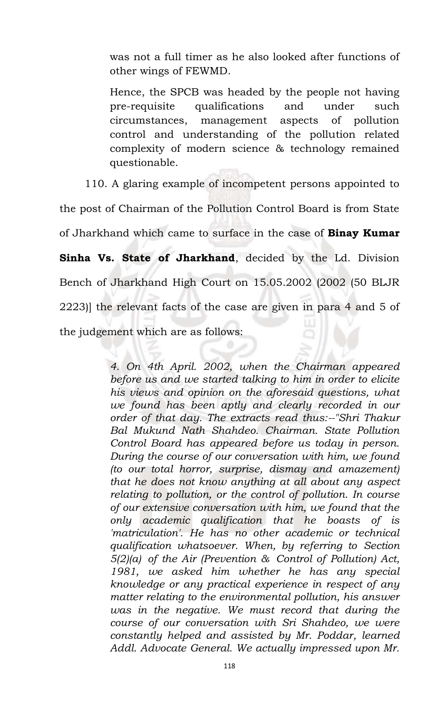was not a full timer as he also looked after functions of other wings of FEWMD.

Hence, the SPCB was headed by the people not having pre-requisite qualifications and under such circumstances, management aspects of pollution control and understanding of the pollution related complexity of modern science & technology remained questionable.

110. A glaring example of incompetent persons appointed to

the post of Chairman of the Pollution Control Board is from State of Jharkhand which came to surface in the case of **Binay Kumar Sinha Vs. State of Jharkhand**, decided by the Ld. Division Bench of Jharkhand High Court on 15.05.2002 (2002 (50 BLJR 2223)] the relevant facts of the case are given in para 4 and 5 of the judgement which are as follows:

> *4. On 4th April. 2002, when the Chairman appeared before us and we started talking to him in order to elicite his views and opinion on the aforesaid questions, what we found has been aptly and clearly recorded in our order of that day. The extracts read thus:--"Shri Thakur Bal Mukund Nath Shahdeo. Chairman. State Pollution Control Board has appeared before us today in person. During the course of our conversation with him, we found (to our total horror, surprise, dismay and amazement) that he does not know anything at all about any aspect relating to pollution, or the control of pollution. In course of our extensive conversation with him, we found that the only academic qualification that he boasts of is 'matriculation'. He has no other academic or technical qualification whatsoever. When, by referring to Section 5(2)(a) of the Air (Prevention & Control of Pollution) Act, 1981, we asked him whether he has any special knowledge or any practical experience in respect of any matter relating to the environmental pollution, his answer was in the negative. We must record that during the course of our conversation with Sri Shahdeo, we were constantly helped and assisted by Mr. Poddar, learned*  Addl. Advocate General. We actually impressed upon Mr.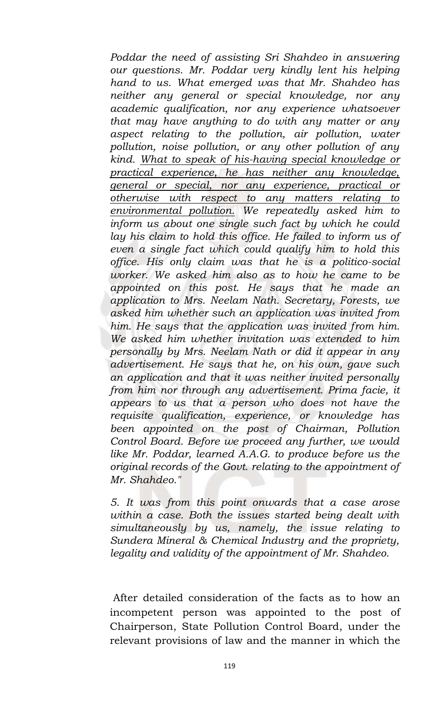*Poddar the need of assisting Sri Shahdeo in answering our questions. Mr. Poddar very kindly lent his helping hand to us. What emerged was that Mr. Shahdeo has neither any general or special knowledge, nor any academic qualification, nor any experience whatsoever that may have anything to do with any matter or any aspect relating to the pollution, air pollution, water pollution, noise pollution, or any other pollution of any kind. What to speak of his-having special knowledge or practical experience, he has neither any knowledge, general or special, nor any experience, practical or otherwise with respect to any matters relating to environmental pollution. We repeatedly asked him to inform us about one single such fact by which he could*  lay his claim to hold this office. He failed to inform us of *even a single fact which could qualify him to hold this office. His only claim was that he is a politico-social worker. We asked him also as to how he came to be appointed on this post. He says that he made an application to Mrs. Neelam Nath. Secretary, Forests, we asked him whether such an application was invited from him. He says that the application was invited from him. We asked him whether invitation was extended to him personally by Mrs. Neelam Nath or did it appear in any advertisement. He says that he, on his own, gave such an application and that it was neither invited personally from him nor through any advertisement. Prima facie, it appears to us that a person who does not have the requisite qualification, experience, or knowledge has been appointed on the post of Chairman, Pollution Control Board. Before we proceed any further, we would like Mr. Poddar, learned A.A.G. to produce before us the original records of the Govt. relating to the appointment of Mr. Shahdeo."*

*5. It was from this point onwards that a case arose within a case. Both the issues started being dealt with simultaneously by us, namely, the issue relating to Sundera Mineral & Chemical Industry and the propriety, legality and validity of the appointment of Mr. Shahdeo.*

After detailed consideration of the facts as to how an incompetent person was appointed to the post of Chairperson, State Pollution Control Board, under the relevant provisions of law and the manner in which the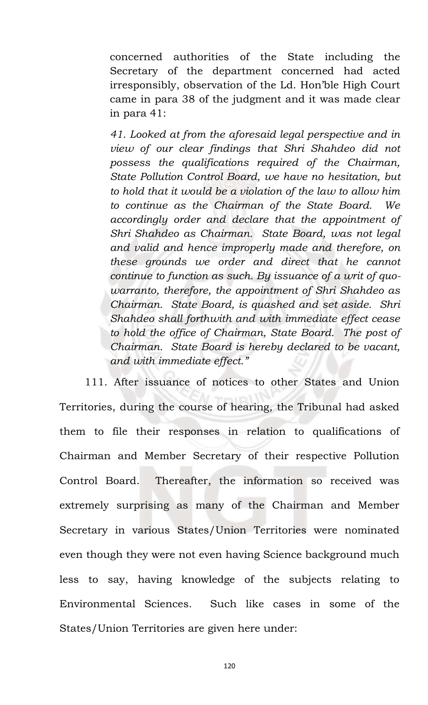concerned authorities of the State including the Secretary of the department concerned had acted irresponsibly, observation of the Ld. Hon'ble High Court came in para 38 of the judgment and it was made clear in para 41:

*41. Looked at from the aforesaid legal perspective and in view of our clear findings that Shri Shahdeo did not possess the qualifications required of the Chairman, State Pollution Control Board, we have no hesitation, but to hold that it would be a violation of the law to allow him to continue as the Chairman of the State Board. We accordingly order and declare that the appointment of Shri Shahdeo as Chairman. State Board, was not legal and valid and hence improperly made and therefore, on these grounds we order and direct that he cannot continue to function as such. By issuance of a writ of quowarranto, therefore, the appointment of Shri Shahdeo as Chairman. State Board, is quashed and set aside. Shri Shahdeo shall forthwith and with immediate effect cease to hold the office of Chairman, State Board. The post of Chairman. State Board is hereby declared to be vacant, and with immediate effect."*

111. After issuance of notices to other States and Union Territories, during the course of hearing, the Tribunal had asked them to file their responses in relation to qualifications of Chairman and Member Secretary of their respective Pollution Control Board. Thereafter, the information so received was extremely surprising as many of the Chairman and Member Secretary in various States/Union Territories were nominated even though they were not even having Science background much less to say, having knowledge of the subjects relating to Environmental Sciences. Such like cases in some of the States/Union Territories are given here under: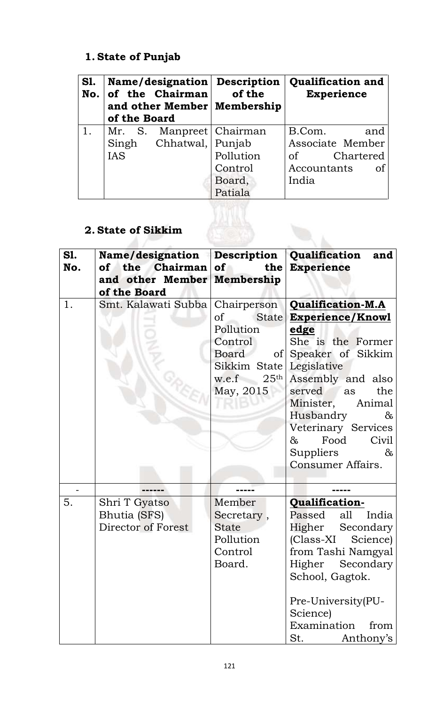# **1. State of Punjab**

|                | Sl.   Name/designation   Description  <br>No. of the Chairman of the<br>and other Member Membership<br>of the Board |                                                    |                                           | <b>Qualification and</b><br><b>Experience</b>                                   |
|----------------|---------------------------------------------------------------------------------------------------------------------|----------------------------------------------------|-------------------------------------------|---------------------------------------------------------------------------------|
| $\mathbf{1}$ . | <b>IAS</b>                                                                                                          | Mr. S. Manpreet Chairman<br>Singh Chhatwal, Punjab | Pollution<br>Control<br>Board,<br>Patiala | B.Com.<br>and<br>Associate Member<br>of Chartered<br>of<br>Accountants<br>India |

# **2. State of Sikkim**

| <b>S1.</b><br>No. | Name/designation Description<br>of the Chairman of<br>and other Member Membership<br>of the Board | the                                                                                                                    | <b>Qualification</b><br>and<br><b>Experience</b>                                                                                                                                                                                                                         |
|-------------------|---------------------------------------------------------------------------------------------------|------------------------------------------------------------------------------------------------------------------------|--------------------------------------------------------------------------------------------------------------------------------------------------------------------------------------------------------------------------------------------------------------------------|
| 1.                | Smt. Kalawati Subba   Chairperson                                                                 | $\circ$ f<br>Pollution<br>Control<br>Board<br>of <sub>l</sub><br>Sikkim State Legislative<br>w.e.f $25th$<br>May, 2015 | <b>Qualification-M.A</b><br>State Experience/Knowl<br>edge<br>She is the Former<br>Speaker of Sikkim<br>Assembly and also<br>served<br>the<br>as<br>Minister, Animal<br>Husbandry<br>$-8i$<br>Veterinary Services<br>Food Civil<br>&<br>Suppliers &<br>Consumer Affairs. |
|                   |                                                                                                   |                                                                                                                        |                                                                                                                                                                                                                                                                          |
| 5.                | Shri T Gyatso<br>Bhutia (SFS)<br>Director of Forest                                               | Member<br>Secretary,<br>State<br>Pollution<br>Control<br>Board.                                                        | Qualification-<br>India<br>Passed all<br>Higher Secondary<br>(Class-XI Science)<br>from Tashi Namgyal<br>Higher<br>Secondary<br>School, Gagtok.<br>Pre-University(PU-<br>Science)<br>Examination<br>from<br>St.<br>Anthony's                                             |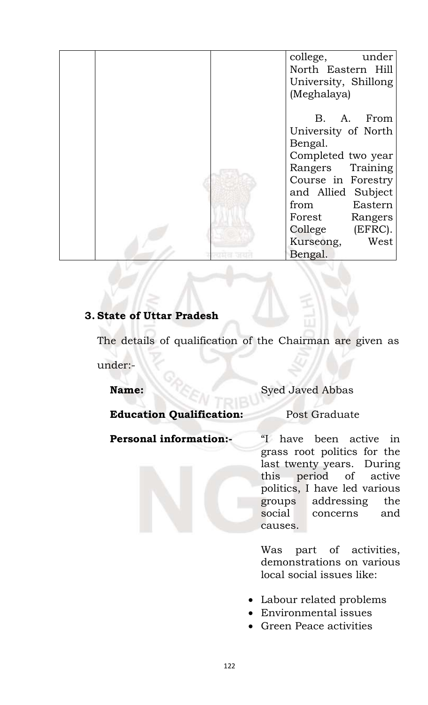|  | college,<br>under    |
|--|----------------------|
|  | North Eastern Hill   |
|  | University, Shillong |
|  | (Meghalaya)          |
|  |                      |
|  | B. A. From           |
|  | University of North  |
|  | Bengal.              |
|  | Completed two year   |
|  | Rangers<br>Training  |
|  | Course in Forestry   |
|  | and Allied Subject   |
|  | from<br>Eastern      |
|  | Forest<br>Rangers    |
|  | (EFRC).<br>College   |
|  | West<br>Kurseong,    |
|  | Bengal.              |

# **3. State of Uttar Pradesh**

The details of qualification of the Chairman are given as under:-

| Name:                           | <b>Syed Javed Abbas</b>                                                            |  |  |
|---------------------------------|------------------------------------------------------------------------------------|--|--|
| <b>Education Qualification:</b> | Post Graduate                                                                      |  |  |
| <b>Personal information:-</b>   | "I have been active in<br>grass root politics for the<br>last twenty years. During |  |  |

or the s. During this period of active politics, I have led various groups addressing the social concerns and causes.

Was part of activities, demonstrations on various local social issues like:

- Labour related problems
- Environmental issues
- Green Peace activities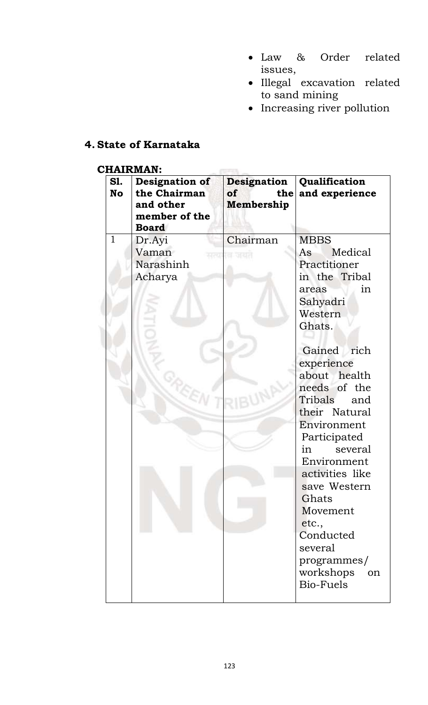- Law & Order related issues,
- Illegal excavation related to sand mining
- Increasing river pollution

## **4. State of Karnataka**

| S1.<br>No    | Designation of<br>the Chairman<br>and other<br>member of the<br><b>Board</b> | <b>Designation</b><br>thel<br>of<br>Membership | Qualification<br>and experience                                                                                                                                                                                                                                                                                                                                                                                   |
|--------------|------------------------------------------------------------------------------|------------------------------------------------|-------------------------------------------------------------------------------------------------------------------------------------------------------------------------------------------------------------------------------------------------------------------------------------------------------------------------------------------------------------------------------------------------------------------|
| $\mathbf{1}$ | Dr.Ayi<br>Vaman<br>Narashinh<br>Acharya                                      | Chairman                                       | <b>MBBS</b><br>Medical<br>As<br>Practitioner<br>in the Tribal<br>in<br>areas<br>Sahyadri<br>Western<br>Ghats.<br>Gained rich<br>experience<br>about health<br>needs of the<br>Tribals and<br>their Natural<br>Environment<br>Participated<br>in<br>several<br>Environment<br>activities like<br>save Western<br>Ghats<br>Movement<br>etc.,<br>Conducted<br>several<br>programmes/<br>workshops<br>on<br>Bio-Fuels |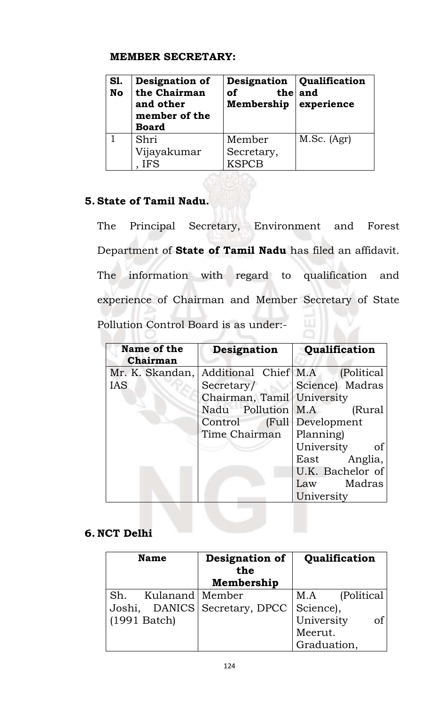### **MEMBER SECRETARY:**

| <b>S1.</b><br><b>No</b> | Designation of<br>the Chairman<br>and other<br>member of the<br><b>Board</b> | Designation<br><b>of</b><br>Membership | Qualification<br>the and<br>experience |
|-------------------------|------------------------------------------------------------------------------|----------------------------------------|----------------------------------------|
|                         | Shri                                                                         | Member                                 | M.Sc. (Agr)                            |
|                         | Vijayakumar                                                                  | Secretary,                             |                                        |
|                         | <b>IFS</b>                                                                   | <b>KSPCB</b>                           |                                        |

### **5. State of Tamil Nadu.**

The Principal Secretary, Environment and Forest Department of **State of Tamil Nadu** has filed an affidavit. The information with regard to qualification and experience of Chairman and Member Secretary of State Pollution Control Board is as under:-

| Name of the<br>Chairman       | Designation                                                                                              | Qualification                                                                                                                                                             |
|-------------------------------|----------------------------------------------------------------------------------------------------------|---------------------------------------------------------------------------------------------------------------------------------------------------------------------------|
| Mr. K. Skandan,<br><b>IAS</b> | Additional Chief M.A<br>Chairman, Tamil   University<br>Nadu Pollution   M.A<br>Control<br>Time Chairman | (Political<br>Secretary/ Science) Madras<br>(Rural<br>[Full Development]<br>Planning)<br>University<br>of<br>East Anglia,<br>U.K. Bachelor of<br>Law Madras<br>University |

### **6. NCT Delhi**

| <b>Name</b>              | <b>Designation of</b><br>the  | Qualification      |
|--------------------------|-------------------------------|--------------------|
|                          | Membership                    |                    |
| Kulanand   Member<br>Sh. |                               | (Political)<br>M.A |
|                          | Joshi, DANICS Secretary, DPCC | Science),          |
| $(1991$ Batch)           |                               | University         |
|                          |                               | Meerut.            |
|                          |                               | Graduation,        |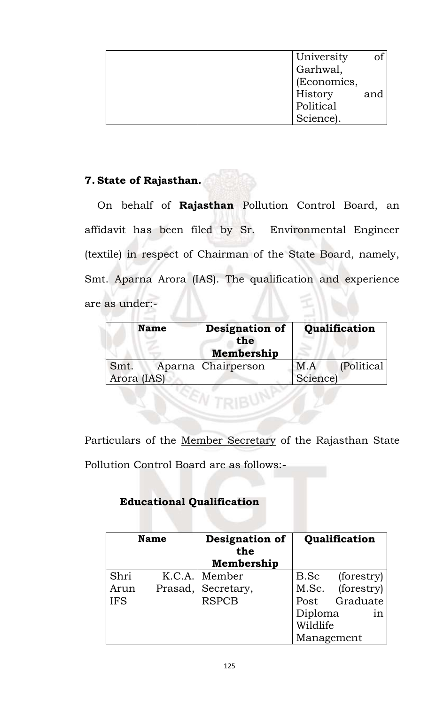| University  |     |
|-------------|-----|
| Garhwal,    |     |
| (Economics, |     |
| History     | and |
| Political   |     |
| Science).   |     |

# **7. State of Rajasthan.**

On behalf of **Rajasthan** Pollution Control Board, an affidavit has been filed by Sr. Environmental Engineer (textile) in respect of Chairman of the State Board, namely, Smt. Aparna Arora (IAS). The qualification and experience are as under:-

| <b>Name</b>         |  | <b>Designation of</b><br>the<br>Membership | Qualification   |             |
|---------------------|--|--------------------------------------------|-----------------|-------------|
| Smt.<br>Arora (IAS) |  | Aparna Chairperson                         | M.A<br>Science) | (Political) |

Particulars of the Member Secretary of the Rajasthan State Pollution Control Board are as follows:-

TRIBU

# **Educational Qualification**

| <b>Name</b> |  | <b>Designation of</b><br>the | Qualification       |
|-------------|--|------------------------------|---------------------|
|             |  | Membership                   |                     |
| Shri        |  | $K.C.A.$ Member              | B.Sc<br>(forestry)  |
| Arun        |  | Prasad, Secretary,           | (forestry)<br>M.Sc. |
| <b>IFS</b>  |  | <b>RSPCB</b>                 | Post Graduate       |
|             |  |                              | Diploma<br>in       |
|             |  |                              | Wildlife            |
|             |  |                              | Management          |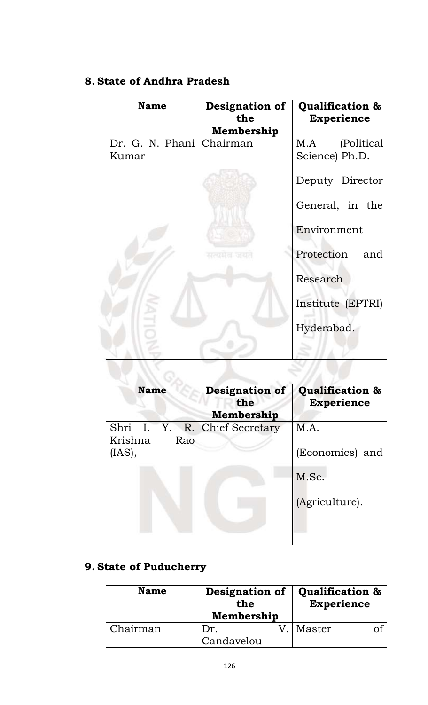# **8. State of Andhra Pradesh**

| <b>Name</b>     | Designation of<br>the<br>Membership | <b>Qualification &amp;</b><br><b>Experience</b> |
|-----------------|-------------------------------------|-------------------------------------------------|
| Dr. G. N. Phani | Chairman                            | (Political)<br>M.A                              |
| Kumar           |                                     | Science) Ph.D.                                  |
|                 |                                     | Deputy Director                                 |
|                 |                                     | General, in the                                 |
|                 |                                     | Environment                                     |
|                 |                                     | Protection<br>and                               |
|                 |                                     | Research                                        |
|                 |                                     | Institute (EPTRI)                               |
|                 |                                     | Hyderabad.                                      |
|                 |                                     |                                                 |
|                 |                                     |                                                 |

| <b>Name</b>        |              | <b>Designation of</b><br>the<br>Membership | <b>Qualification &amp;</b><br><b>Experience</b> |
|--------------------|--------------|--------------------------------------------|-------------------------------------------------|
| Shri I.<br>Krishna | Y. R.<br>Rao | <b>Chief Secretary</b>                     | M.A.                                            |
| (IAS),             |              |                                            | (Economics) and                                 |
|                    |              |                                            | M.Sc.                                           |
|                    |              |                                            | (Agriculture).                                  |
|                    |              |                                            |                                                 |

# **9. State of Puducherry**

| <b>Name</b> | <b>Designation of</b><br>the<br>Membership | <b>Qualification &amp;</b><br><b>Experience</b> |  |  |
|-------------|--------------------------------------------|-------------------------------------------------|--|--|
| Chairman    | Dr.<br>Candavelou                          | V.   Master                                     |  |  |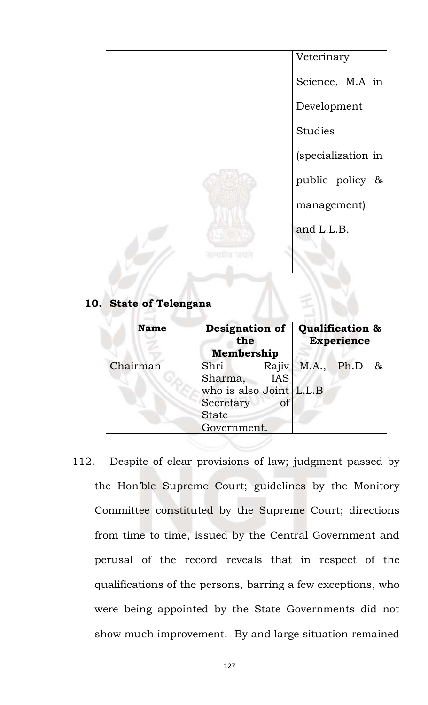

### **10. State of Telengana**

| <b>Name</b> | <b>Designation of</b><br>the<br>Membership |            | Qualification &<br><b>Experience</b> |  |  |
|-------------|--------------------------------------------|------------|--------------------------------------|--|--|
| Chairman    | Shri                                       |            | Rajiv M.A., Ph.D &                   |  |  |
|             | Sharma,                                    | <b>IAS</b> |                                      |  |  |
|             | who is also Joint L.L.B                    |            |                                      |  |  |
|             | Secretary                                  | of         |                                      |  |  |
|             | <b>State</b>                               |            |                                      |  |  |
|             | Government.                                |            |                                      |  |  |

112. Despite of clear provisions of law; judgment passed by the Hon'ble Supreme Court; guidelines by the Monitory Committee constituted by the Supreme Court; directions from time to time, issued by the Central Government and perusal of the record reveals that in respect of the qualifications of the persons, barring a few exceptions, who were being appointed by the State Governments did not show much improvement. By and large situation remained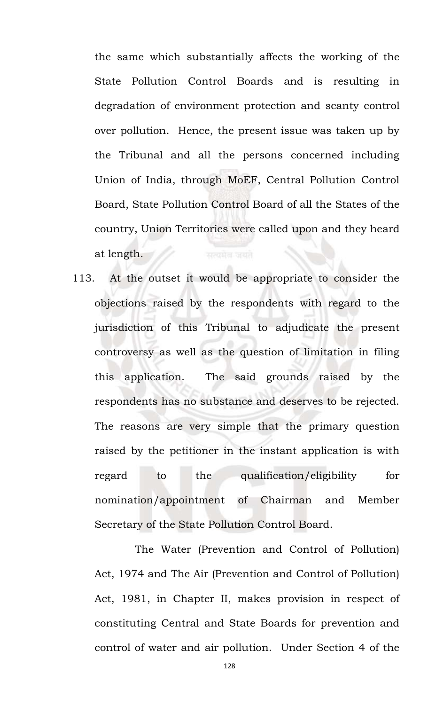the same which substantially affects the working of the State Pollution Control Boards and is resulting in degradation of environment protection and scanty control over pollution. Hence, the present issue was taken up by the Tribunal and all the persons concerned including Union of India, through MoEF, Central Pollution Control Board, State Pollution Control Board of all the States of the country, Union Territories were called upon and they heard at length.

113. At the outset it would be appropriate to consider the objections raised by the respondents with regard to the jurisdiction of this Tribunal to adjudicate the present controversy as well as the question of limitation in filing this application. The said grounds raised by the respondents has no substance and deserves to be rejected. The reasons are very simple that the primary question raised by the petitioner in the instant application is with regard to the qualification/eligibility for nomination/appointment of Chairman and Member Secretary of the State Pollution Control Board.

The Water (Prevention and Control of Pollution) Act, 1974 and The Air (Prevention and Control of Pollution) Act, 1981, in Chapter II, makes provision in respect of constituting Central and State Boards for prevention and control of water and air pollution. Under Section 4 of the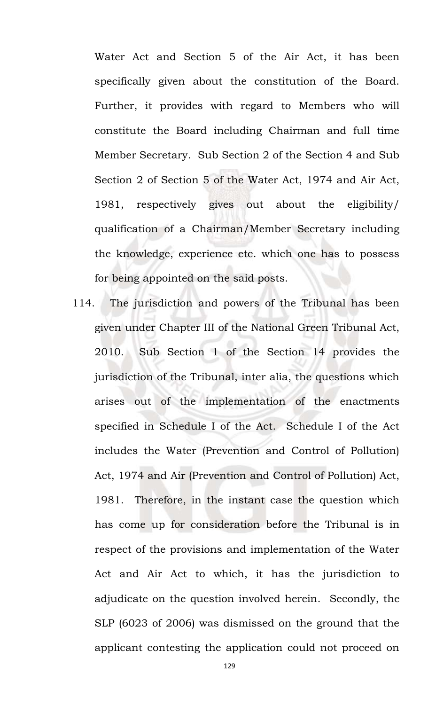Water Act and Section 5 of the Air Act, it has been specifically given about the constitution of the Board. Further, it provides with regard to Members who will constitute the Board including Chairman and full time Member Secretary. Sub Section 2 of the Section 4 and Sub Section 2 of Section 5 of the Water Act, 1974 and Air Act, 1981, respectively gives out about the eligibility/ qualification of a Chairman/Member Secretary including the knowledge, experience etc. which one has to possess for being appointed on the said posts.

114. The jurisdiction and powers of the Tribunal has been given under Chapter III of the National Green Tribunal Act, 2010. Sub Section 1 of the Section 14 provides the jurisdiction of the Tribunal, inter alia, the questions which arises out of the implementation of the enactments specified in Schedule I of the Act. Schedule I of the Act includes the Water (Prevention and Control of Pollution) Act, 1974 and Air (Prevention and Control of Pollution) Act, 1981. Therefore, in the instant case the question which has come up for consideration before the Tribunal is in respect of the provisions and implementation of the Water Act and Air Act to which, it has the jurisdiction to adjudicate on the question involved herein. Secondly, the SLP (6023 of 2006) was dismissed on the ground that the applicant contesting the application could not proceed on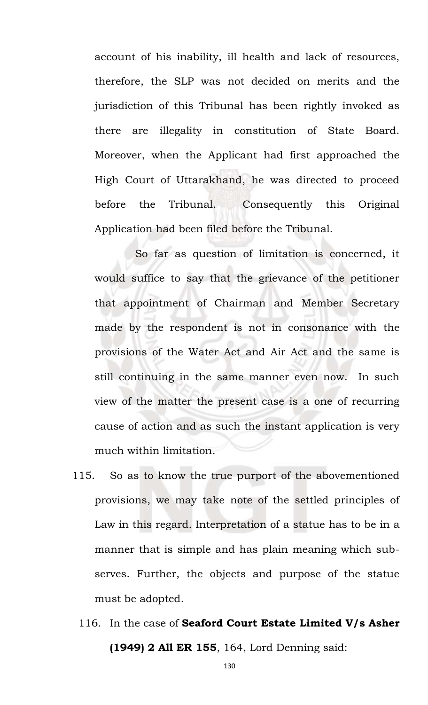account of his inability, ill health and lack of resources, therefore, the SLP was not decided on merits and the jurisdiction of this Tribunal has been rightly invoked as there are illegality in constitution of State Board. Moreover, when the Applicant had first approached the High Court of Uttarakhand, he was directed to proceed before the Tribunal. Consequently this Original Application had been filed before the Tribunal.

So far as question of limitation is concerned, it would suffice to say that the grievance of the petitioner that appointment of Chairman and Member Secretary made by the respondent is not in consonance with the provisions of the Water Act and Air Act and the same is still continuing in the same manner even now. In such view of the matter the present case is a one of recurring cause of action and as such the instant application is very much within limitation.

- 115. So as to know the true purport of the abovementioned provisions, we may take note of the settled principles of Law in this regard. Interpretation of a statue has to be in a manner that is simple and has plain meaning which subserves. Further, the objects and purpose of the statue must be adopted.
	- 116. In the case of **Seaford Court Estate Limited V/s Asher (1949) 2 All ER 155**, 164, Lord Denning said: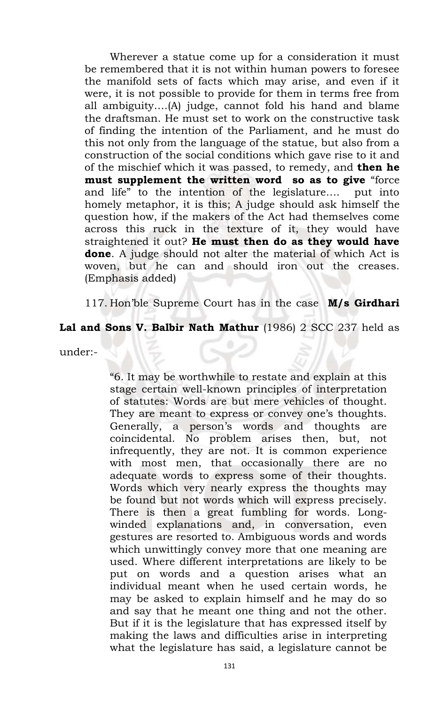Wherever a statue come up for a consideration it must be remembered that it is not within human powers to foresee the manifold sets of facts which may arise, and even if it were, it is not possible to provide for them in terms free from all ambiguity….(A) judge, cannot fold his hand and blame the draftsman. He must set to work on the constructive task of finding the intention of the Parliament, and he must do this not only from the language of the statue, but also from a construction of the social conditions which gave rise to it and of the mischief which it was passed, to remedy, and **then he must supplement the written word so as to give** "force and life" to the intention of the legislature…. put into homely metaphor, it is this; A judge should ask himself the question how, if the makers of the Act had themselves come across this ruck in the texture of it, they would have straightened it out? **He must then do as they would have done**. A judge should not alter the material of which Act is woven, but he can and should iron out the creases. (Emphasis added)

## 117. Hon'ble Supreme Court has in the case **M/s Girdhari**

### **Lal and Sons V. Balbir Nath Mathur** (1986) 2 SCC 237 held as

under:-

"6. It may be worthwhile to restate and explain at this stage certain well-known principles of interpretation of statutes: Words are but mere vehicles of thought. They are meant to express or convey one's thoughts. Generally, a person's words and thoughts are coincidental. No problem arises then, but, not infrequently, they are not. It is common experience with most men, that occasionally there are no adequate words to express some of their thoughts. Words which very nearly express the thoughts may be found but not words which will express precisely. There is then a great fumbling for words. Longwinded explanations and, in conversation, even gestures are resorted to. Ambiguous words and words which unwittingly convey more that one meaning are used. Where different interpretations are likely to be put on words and a question arises what an individual meant when he used certain words, he may be asked to explain himself and he may do so and say that he meant one thing and not the other. But if it is the legislature that has expressed itself by making the laws and difficulties arise in interpreting what the legislature has said, a legislature cannot be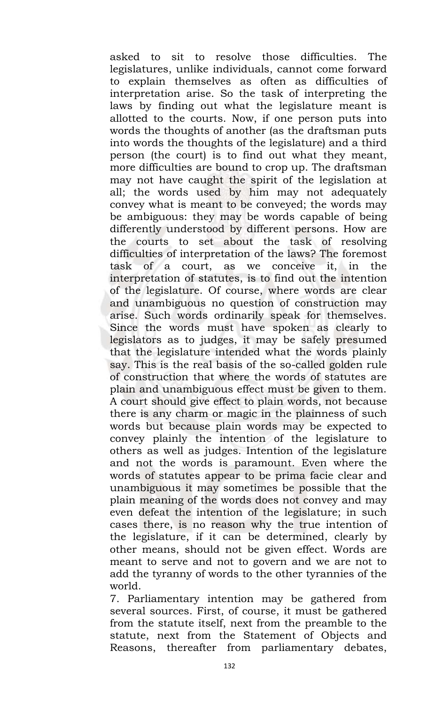asked to sit to resolve those difficulties. The legislatures, unlike individuals, cannot come forward to explain themselves as often as difficulties of interpretation arise. So the task of interpreting the laws by finding out what the legislature meant is allotted to the courts. Now, if one person puts into words the thoughts of another (as the draftsman puts into words the thoughts of the legislature) and a third person (the court) is to find out what they meant, more difficulties are bound to crop up. The draftsman may not have caught the spirit of the legislation at all; the words used by him may not adequately convey what is meant to be conveyed; the words may be ambiguous: they may be words capable of being differently understood by different persons. How are the courts to set about the task of resolving difficulties of interpretation of the laws? The foremost task of a court, as we conceive it, in the interpretation of statutes, is to find out the intention of the legislature. Of course, where words are clear and unambiguous no question of construction may arise. Such words ordinarily speak for themselves. Since the words must have spoken as clearly to legislators as to judges, it may be safely presumed that the legislature intended what the words plainly say. This is the real basis of the so-called golden rule of construction that where the words of statutes are plain and unambiguous effect must be given to them. A court should give effect to plain words, not because there is any charm or magic in the plainness of such words but because plain words may be expected to convey plainly the intention of the legislature to others as well as judges. Intention of the legislature and not the words is paramount. Even where the words of statutes appear to be prima facie clear and unambiguous it may sometimes be possible that the plain meaning of the words does not convey and may even defeat the intention of the legislature; in such cases there, is no reason why the true intention of the legislature, if it can be determined, clearly by other means, should not be given effect. Words are meant to serve and not to govern and we are not to add the tyranny of words to the other tyrannies of the world.

7. Parliamentary intention may be gathered from several sources. First, of course, it must be gathered from the statute itself, next from the preamble to the statute, next from the Statement of Objects and Reasons, thereafter from parliamentary debates,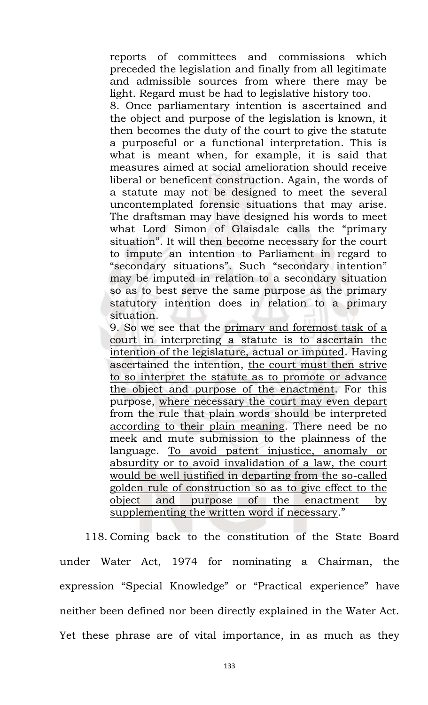reports of committees and commissions which preceded the legislation and finally from all legitimate and admissible sources from where there may be light. Regard must be had to legislative history too.

8. Once parliamentary intention is ascertained and the object and purpose of the legislation is known, it then becomes the duty of the court to give the statute a purposeful or a functional interpretation. This is what is meant when, for example, it is said that measures aimed at social amelioration should receive liberal or beneficent construction. Again, the words of a statute may not be designed to meet the several uncontemplated forensic situations that may arise. The draftsman may have designed his words to meet what Lord Simon of Glaisdale calls the "primary situation". It will then become necessary for the court to impute an intention to Parliament in regard to "secondary situations". Such "secondary intention" may be imputed in relation to a secondary situation so as to best serve the same purpose as the primary statutory intention does in relation to a primary situation.

9. So we see that the primary and foremost task of a court in interpreting a statute is to ascertain the intention of the legislature, actual or imputed. Having ascertained the intention, the court must then strive to so interpret the statute as to promote or advance the object and purpose of the enactment. For this purpose, where necessary the court may even depart from the rule that plain words should be interpreted according to their plain meaning. There need be no meek and mute submission to the plainness of the language. To avoid patent injustice, anomaly or absurdity or to avoid invalidation of a law, the court would be well justified in departing from the so-called golden rule of construction so as to give effect to the object and purpose of the enactment by supplementing the written word if necessary."

118. Coming back to the constitution of the State Board under Water Act, 1974 for nominating a Chairman, the expression "Special Knowledge" or "Practical experience" have neither been defined nor been directly explained in the Water Act. Yet these phrase are of vital importance, in as much as they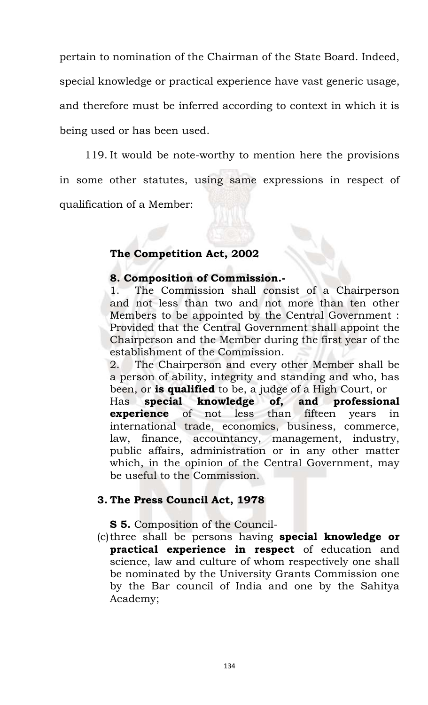pertain to nomination of the Chairman of the State Board. Indeed, special knowledge or practical experience have vast generic usage, and therefore must be inferred according to context in which it is being used or has been used.

119. It would be note-worthy to mention here the provisions in some other statutes, using same expressions in respect of qualification of a Member:

### **The Competition Act, 2002**

#### **8. Composition of Commission.-**

1. The Commission shall consist of a Chairperson and not less than two and not more than ten other Members to be appointed by the Central Government : Provided that the Central Government shall appoint the Chairperson and the Member during the first year of the establishment of the Commission.

2. The Chairperson and every other Member shall be a person of ability, integrity and standing and who, has been, or **is qualified** to be, a judge of a High Court, or Has **special knowledge of, and professional experience** of not less than fifteen years in international trade, economics, business, commerce, law, finance, accountancy, management, industry, public affairs, administration or in any other matter which, in the opinion of the Central Government, may be useful to the Commission.

## **3. The Press Council Act, 1978**

**S 5.** Composition of the Council-

(c)three shall be persons having **special knowledge or practical experience in respect** of education and science, law and culture of whom respectively one shall be nominated by the University Grants Commission one by the Bar council of India and one by the Sahitya Academy;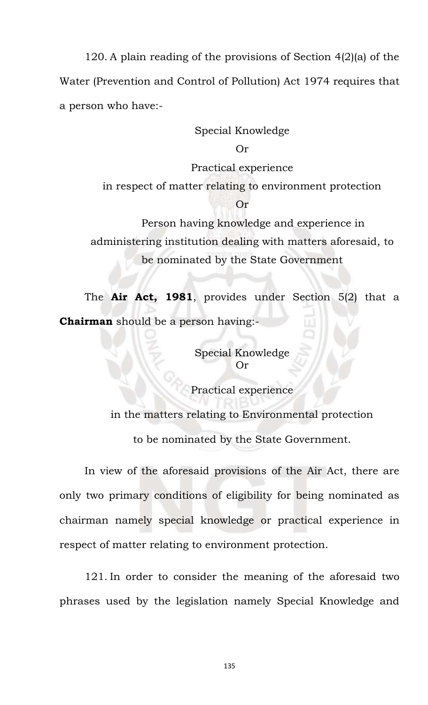120. A plain reading of the provisions of Section 4(2)(a) of the Water (Prevention and Control of Pollution) Act 1974 requires that a person who have:-

Special Knowledge

Or

Practical experience

in respect of matter relating to environment protection

### Or

Person having knowledge and experience in administering institution dealing with matters aforesaid, to be nominated by the State Government

The **Air Act, 1981**, provides under Section 5(2) that a **Chairman** should be a person having:-

> Special Knowledge Or

Practical experience

in the matters relating to Environmental protection

to be nominated by the State Government.

In view of the aforesaid provisions of the Air Act, there are only two primary conditions of eligibility for being nominated as chairman namely special knowledge or practical experience in respect of matter relating to environment protection.

121. In order to consider the meaning of the aforesaid two phrases used by the legislation namely Special Knowledge and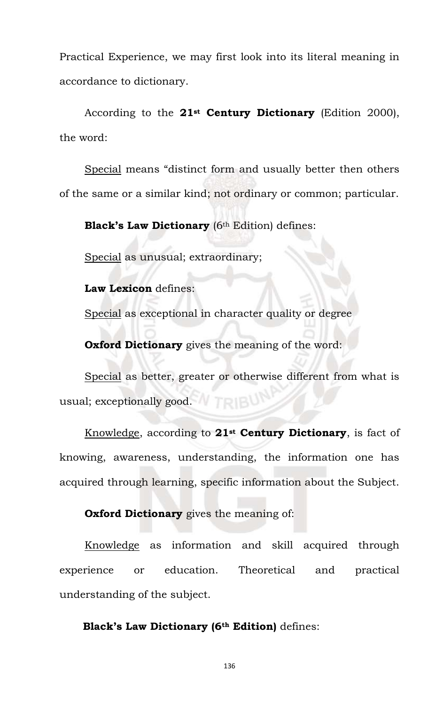Practical Experience, we may first look into its literal meaning in accordance to dictionary.

According to the **21st Century Dictionary** (Edition 2000), the word:

Special means "distinct form and usually better then others of the same or a similar kind; not ordinary or common; particular.

**Black's Law Dictionary** (6th Edition) defines:

Special as unusual; extraordinary;

**Law Lexicon** defines:

Special as exceptional in character quality or degree

**Oxford Dictionary** gives the meaning of the word:

Special as better, greater or otherwise different from what is usual; exceptionally good.

Knowledge, according to **21st Century Dictionary**, is fact of knowing, awareness, understanding, the information one has acquired through learning, specific information about the Subject.

**Oxford Dictionary** gives the meaning of:

Knowledge as information and skill acquired through experience or education. Theoretical and practical understanding of the subject.

#### **Black's Law Dictionary (6th Edition)** defines: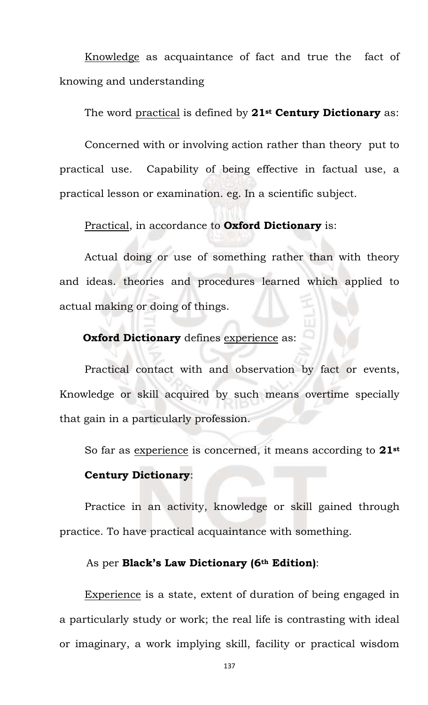Knowledge as acquaintance of fact and true the fact of knowing and understanding

The word practical is defined by **21st Century Dictionary** as:

Concerned with or involving action rather than theory put to practical use. Capability of being effective in factual use, a practical lesson or examination. eg. In a scientific subject.

Practical, in accordance to **Oxford Dictionary** is:

Actual doing or use of something rather than with theory and ideas. theories and procedures learned which applied to actual making or doing of things.

**Oxford Dictionary** defines experience as:

Practical contact with and observation by fact or events, Knowledge or skill acquired by such means overtime specially that gain in a particularly profession.

So far as experience is concerned, it means according to **21st Century Dictionary**:

Practice in an activity, knowledge or skill gained through practice. To have practical acquaintance with something.

#### As per **Black's Law Dictionary (6th Edition)**:

Experience is a state, extent of duration of being engaged in a particularly study or work; the real life is contrasting with ideal or imaginary, a work implying skill, facility or practical wisdom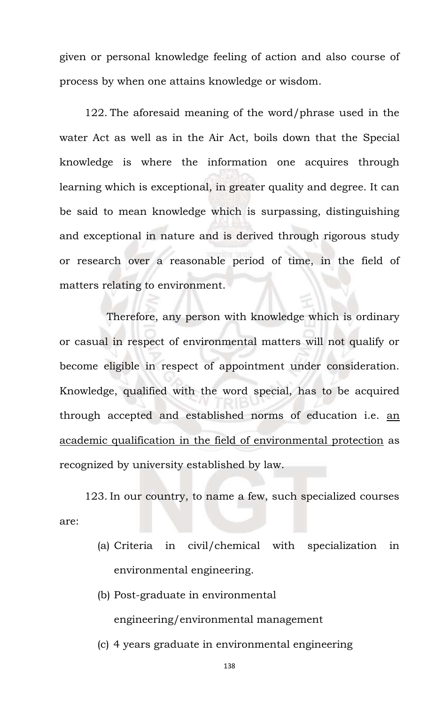given or personal knowledge feeling of action and also course of process by when one attains knowledge or wisdom.

122. The aforesaid meaning of the word/phrase used in the water Act as well as in the Air Act, boils down that the Special knowledge is where the information one acquires through learning which is exceptional, in greater quality and degree. It can be said to mean knowledge which is surpassing, distinguishing and exceptional in nature and is derived through rigorous study or research over a reasonable period of time, in the field of matters relating to environment.

Therefore, any person with knowledge which is ordinary or casual in respect of environmental matters will not qualify or become eligible in respect of appointment under consideration. Knowledge, qualified with the word special, has to be acquired through accepted and established norms of education i.e. an academic qualification in the field of environmental protection as recognized by university established by law.

123. In our country, to name a few, such specialized courses are:

- (a) Criteria in civil/chemical with specialization in environmental engineering.
- (b) Post-graduate in environmental engineering/environmental management

(c) 4 years graduate in environmental engineering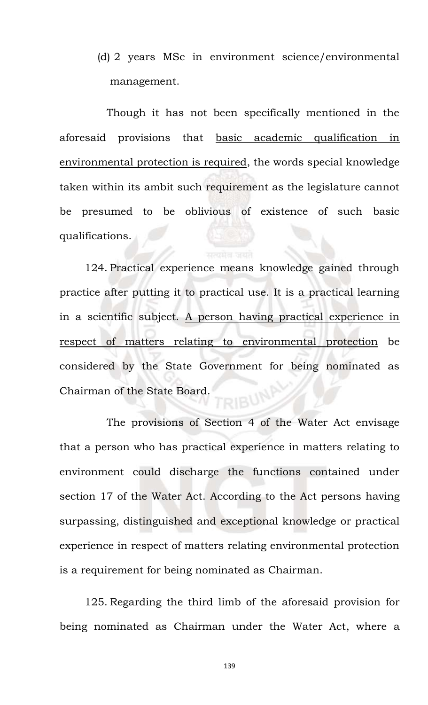(d) 2 years MSc in environment science/environmental management.

Though it has not been specifically mentioned in the aforesaid provisions that basic academic qualification in environmental protection is required, the words special knowledge taken within its ambit such requirement as the legislature cannot be presumed to be oblivious of existence of such basic qualifications.

124. Practical experience means knowledge gained through practice after putting it to practical use. It is a practical learning in a scientific subject. A person having practical experience in respect of matters relating to environmental protection be considered by the State Government for being nominated as Chairman of the State Board. TRIBUN

The provisions of Section 4 of the Water Act envisage that a person who has practical experience in matters relating to environment could discharge the functions contained under section 17 of the Water Act. According to the Act persons having surpassing, distinguished and exceptional knowledge or practical experience in respect of matters relating environmental protection is a requirement for being nominated as Chairman.

125. Regarding the third limb of the aforesaid provision for being nominated as Chairman under the Water Act, where a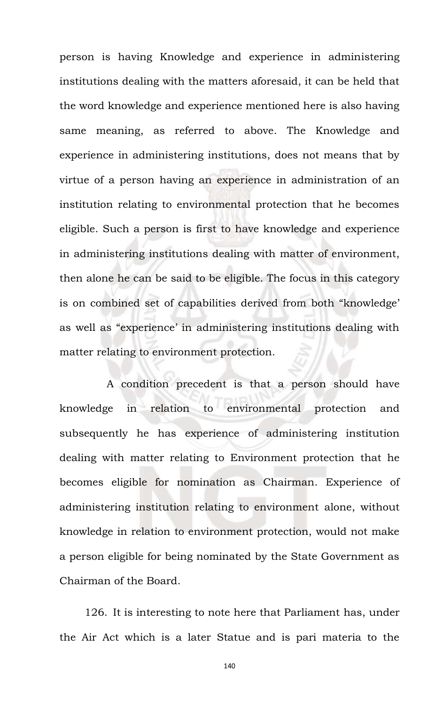person is having Knowledge and experience in administering institutions dealing with the matters aforesaid, it can be held that the word knowledge and experience mentioned here is also having same meaning, as referred to above. The Knowledge and experience in administering institutions, does not means that by virtue of a person having an experience in administration of an institution relating to environmental protection that he becomes eligible. Such a person is first to have knowledge and experience in administering institutions dealing with matter of environment, then alone he can be said to be eligible. The focus in this category is on combined set of capabilities derived from both "knowledge' as well as "experience' in administering institutions dealing with matter relating to environment protection.

A condition precedent is that a person should have knowledge in relation to environmental protection and subsequently he has experience of administering institution dealing with matter relating to Environment protection that he becomes eligible for nomination as Chairman. Experience of administering institution relating to environment alone, without knowledge in relation to environment protection, would not make a person eligible for being nominated by the State Government as Chairman of the Board.

126. It is interesting to note here that Parliament has, under the Air Act which is a later Statue and is pari materia to the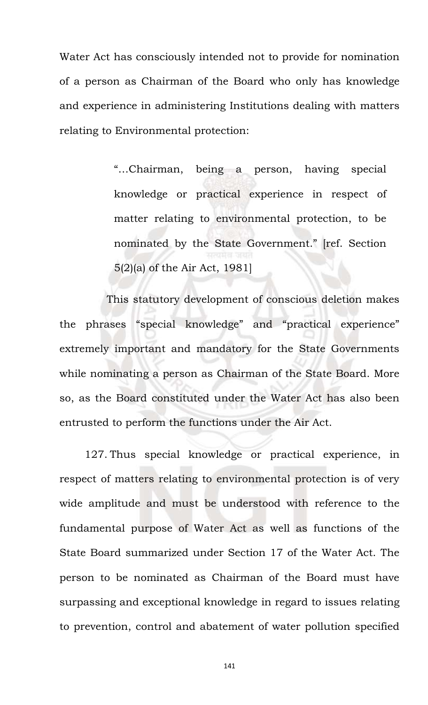Water Act has consciously intended not to provide for nomination of a person as Chairman of the Board who only has knowledge and experience in administering Institutions dealing with matters relating to Environmental protection:

> "…Chairman, being a person, having special knowledge or practical experience in respect of matter relating to environmental protection, to be nominated by the State Government." [ref. Section 5(2)(a) of the Air Act, 1981]

This statutory development of conscious deletion makes the phrases "special knowledge" and "practical experience" extremely important and mandatory for the State Governments while nominating a person as Chairman of the State Board. More so, as the Board constituted under the Water Act has also been entrusted to perform the functions under the Air Act.

127. Thus special knowledge or practical experience, in respect of matters relating to environmental protection is of very wide amplitude and must be understood with reference to the fundamental purpose of Water Act as well as functions of the State Board summarized under Section 17 of the Water Act. The person to be nominated as Chairman of the Board must have surpassing and exceptional knowledge in regard to issues relating to prevention, control and abatement of water pollution specified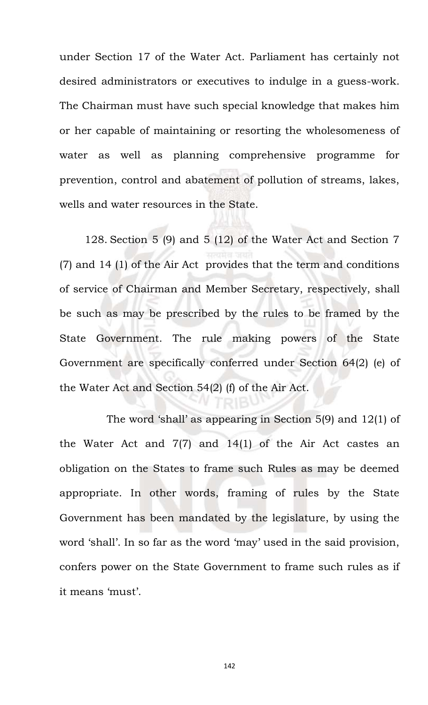under Section 17 of the Water Act. Parliament has certainly not desired administrators or executives to indulge in a guess-work. The Chairman must have such special knowledge that makes him or her capable of maintaining or resorting the wholesomeness of water as well as planning comprehensive programme for prevention, control and abatement of pollution of streams, lakes, wells and water resources in the State.

128. Section 5 (9) and 5 (12) of the Water Act and Section 7 (7) and 14 (1) of the Air Act provides that the term and conditions of service of Chairman and Member Secretary, respectively, shall be such as may be prescribed by the rules to be framed by the State Government. The rule making powers of the State Government are specifically conferred under Section 64(2) (e) of the Water Act and Section 54(2) (f) of the Air Act.

The word 'shall' as appearing in Section 5(9) and 12(1) of the Water Act and 7(7) and 14(1) of the Air Act castes an obligation on the States to frame such Rules as may be deemed appropriate. In other words, framing of rules by the State Government has been mandated by the legislature, by using the word 'shall'. In so far as the word 'may' used in the said provision, confers power on the State Government to frame such rules as if it means 'must'.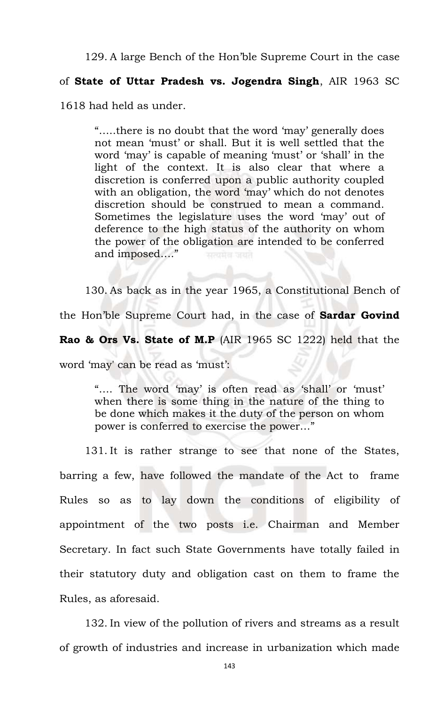129. A large Bench of the Hon'ble Supreme Court in the case

### of **State of Uttar Pradesh vs. Jogendra Singh**, AIR 1963 SC

1618 had held as under.

"…..there is no doubt that the word 'may' generally does not mean 'must' or shall. But it is well settled that the word 'may' is capable of meaning 'must' or 'shall' in the light of the context. It is also clear that where a discretion is conferred upon a public authority coupled with an obligation, the word 'may' which do not denotes discretion should be construed to mean a command. Sometimes the legislature uses the word 'may' out of deference to the high status of the authority on whom the power of the obligation are intended to be conferred and imposed…."

130. As back as in the year 1965, a Constitutional Bench of the Hon'ble Supreme Court had, in the case of **Sardar Govind Rao & Ors Vs. State of M.P** (AIR 1965 SC 1222) held that the word 'may' can be read as 'must':

> "…. The word 'may' is often read as 'shall' or 'must' when there is some thing in the nature of the thing to be done which makes it the duty of the person on whom power is conferred to exercise the power…"

131. It is rather strange to see that none of the States, barring a few, have followed the mandate of the Act to frame Rules so as to lay down the conditions of eligibility of appointment of the two posts i.e. Chairman and Member Secretary. In fact such State Governments have totally failed in their statutory duty and obligation cast on them to frame the Rules, as aforesaid.

132. In view of the pollution of rivers and streams as a result of growth of industries and increase in urbanization which made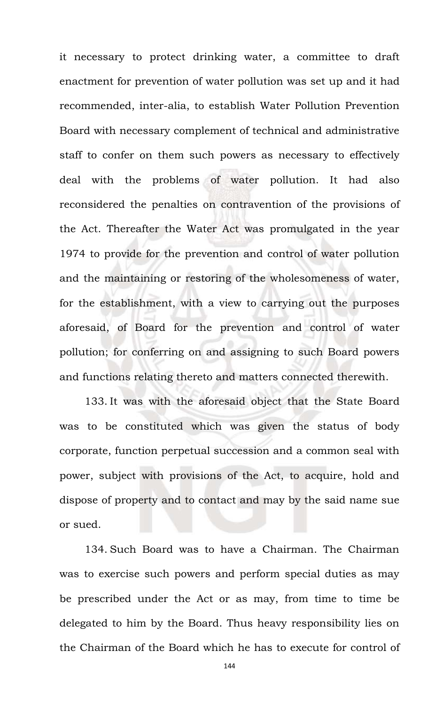it necessary to protect drinking water, a committee to draft enactment for prevention of water pollution was set up and it had recommended, inter-alia, to establish Water Pollution Prevention Board with necessary complement of technical and administrative staff to confer on them such powers as necessary to effectively deal with the problems of water pollution. It had also reconsidered the penalties on contravention of the provisions of the Act. Thereafter the Water Act was promulgated in the year 1974 to provide for the prevention and control of water pollution and the maintaining or restoring of the wholesomeness of water, for the establishment, with a view to carrying out the purposes aforesaid, of Board for the prevention and control of water pollution; for conferring on and assigning to such Board powers and functions relating thereto and matters connected therewith.

133. It was with the aforesaid object that the State Board was to be constituted which was given the status of body corporate, function perpetual succession and a common seal with power, subject with provisions of the Act, to acquire, hold and dispose of property and to contact and may by the said name sue or sued.

134. Such Board was to have a Chairman. The Chairman was to exercise such powers and perform special duties as may be prescribed under the Act or as may, from time to time be delegated to him by the Board. Thus heavy responsibility lies on the Chairman of the Board which he has to execute for control of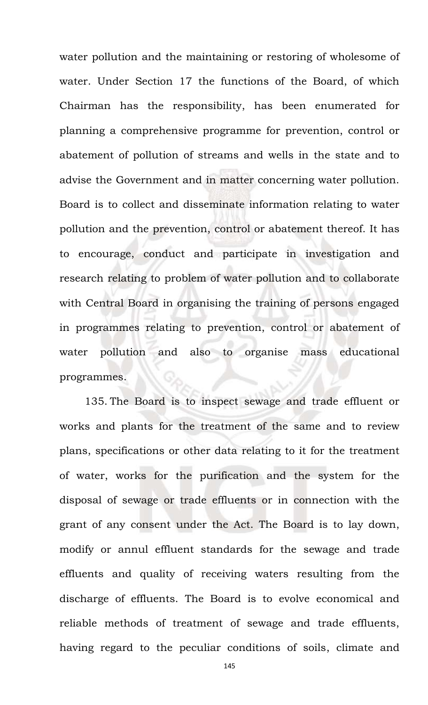water pollution and the maintaining or restoring of wholesome of water. Under Section 17 the functions of the Board, of which Chairman has the responsibility, has been enumerated for planning a comprehensive programme for prevention, control or abatement of pollution of streams and wells in the state and to advise the Government and in matter concerning water pollution. Board is to collect and disseminate information relating to water pollution and the prevention, control or abatement thereof. It has to encourage, conduct and participate in investigation and research relating to problem of water pollution and to collaborate with Central Board in organising the training of persons engaged in programmes relating to prevention, control or abatement of water pollution and also to organise mass educational programmes.

135. The Board is to inspect sewage and trade effluent or works and plants for the treatment of the same and to review plans, specifications or other data relating to it for the treatment of water, works for the purification and the system for the disposal of sewage or trade effluents or in connection with the grant of any consent under the Act. The Board is to lay down, modify or annul effluent standards for the sewage and trade effluents and quality of receiving waters resulting from the discharge of effluents. The Board is to evolve economical and reliable methods of treatment of sewage and trade effluents, having regard to the peculiar conditions of soils, climate and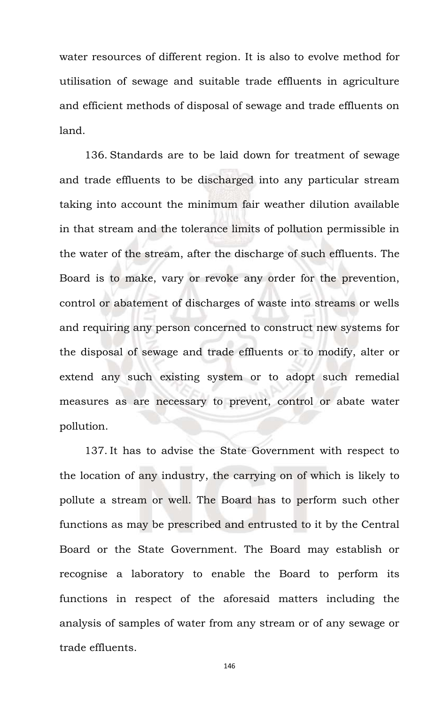water resources of different region. It is also to evolve method for utilisation of sewage and suitable trade effluents in agriculture and efficient methods of disposal of sewage and trade effluents on land.

136. Standards are to be laid down for treatment of sewage and trade effluents to be discharged into any particular stream taking into account the minimum fair weather dilution available in that stream and the tolerance limits of pollution permissible in the water of the stream, after the discharge of such effluents. The Board is to make, vary or revoke any order for the prevention, control or abatement of discharges of waste into streams or wells and requiring any person concerned to construct new systems for the disposal of sewage and trade effluents or to modify, alter or extend any such existing system or to adopt such remedial measures as are necessary to prevent, control or abate water pollution.

137. It has to advise the State Government with respect to the location of any industry, the carrying on of which is likely to pollute a stream or well. The Board has to perform such other functions as may be prescribed and entrusted to it by the Central Board or the State Government. The Board may establish or recognise a laboratory to enable the Board to perform its functions in respect of the aforesaid matters including the analysis of samples of water from any stream or of any sewage or trade effluents.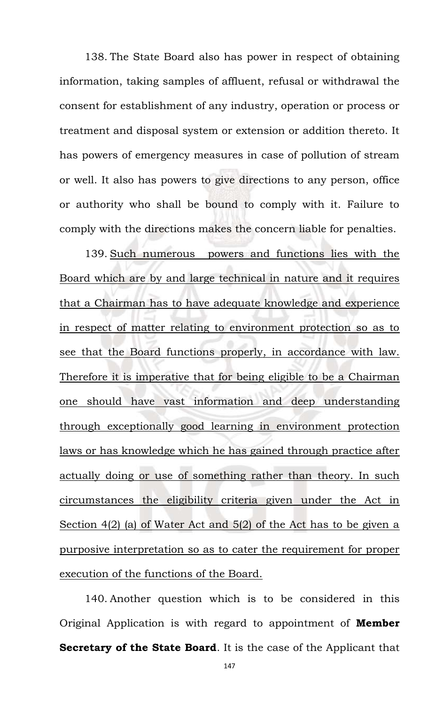138. The State Board also has power in respect of obtaining information, taking samples of affluent, refusal or withdrawal the consent for establishment of any industry, operation or process or treatment and disposal system or extension or addition thereto. It has powers of emergency measures in case of pollution of stream or well. It also has powers to give directions to any person, office or authority who shall be bound to comply with it. Failure to comply with the directions makes the concern liable for penalties.

139. Such numerous powers and functions lies with the Board which are by and large technical in nature and it requires that a Chairman has to have adequate knowledge and experience in respect of matter relating to environment protection so as to see that the Board functions properly, in accordance with law. Therefore it is imperative that for being eligible to be a Chairman one should have vast information and deep understanding through exceptionally good learning in environment protection laws or has knowledge which he has gained through practice after actually doing or use of something rather than theory. In such circumstances the eligibility criteria given under the Act in Section 4(2) (a) of Water Act and 5(2) of the Act has to be given a purposive interpretation so as to cater the requirement for proper execution of the functions of the Board.

140. Another question which is to be considered in this Original Application is with regard to appointment of **Member Secretary of the State Board**. It is the case of the Applicant that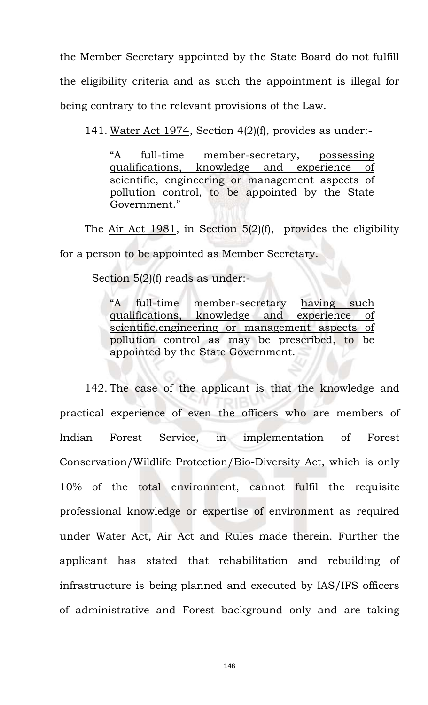the Member Secretary appointed by the State Board do not fulfill the eligibility criteria and as such the appointment is illegal for being contrary to the relevant provisions of the Law.

141. Water Act 1974, Section 4(2)(f), provides as under:-

"A full-time member-secretary, possessing qualifications, knowledge and experience of scientific, engineering or management aspects of pollution control, to be appointed by the State Government."

The Air Act 1981, in Section 5(2)(f), provides the eligibility for a person to be appointed as Member Secretary.

Section 5(2)(f) reads as under:-

"A full-time member-secretary having such qualifications, knowledge and experience of scientific,engineering or management aspects of pollution control as may be prescribed, to be appointed by the State Government.

142. The case of the applicant is that the knowledge and practical experience of even the officers who are members of Indian Forest Service, in implementation of Forest Conservation/Wildlife Protection/Bio-Diversity Act, which is only 10% of the total environment, cannot fulfil the requisite professional knowledge or expertise of environment as required under Water Act, Air Act and Rules made therein. Further the applicant has stated that rehabilitation and rebuilding of infrastructure is being planned and executed by IAS/IFS officers of administrative and Forest background only and are taking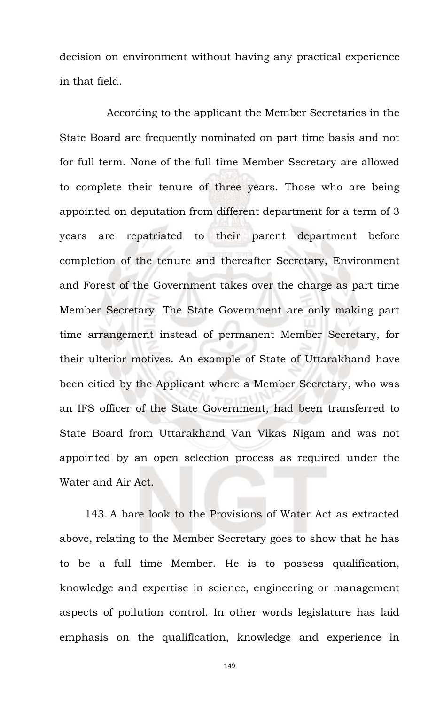decision on environment without having any practical experience in that field.

According to the applicant the Member Secretaries in the State Board are frequently nominated on part time basis and not for full term. None of the full time Member Secretary are allowed to complete their tenure of three years. Those who are being appointed on deputation from different department for a term of 3 years are repatriated to their parent department before completion of the tenure and thereafter Secretary, Environment and Forest of the Government takes over the charge as part time Member Secretary. The State Government are only making part time arrangement instead of permanent Member Secretary, for their ulterior motives. An example of State of Uttarakhand have been citied by the Applicant where a Member Secretary, who was an IFS officer of the State Government, had been transferred to State Board from Uttarakhand Van Vikas Nigam and was not appointed by an open selection process as required under the Water and Air Act.

143. A bare look to the Provisions of Water Act as extracted above, relating to the Member Secretary goes to show that he has to be a full time Member. He is to possess qualification, knowledge and expertise in science, engineering or management aspects of pollution control. In other words legislature has laid emphasis on the qualification, knowledge and experience in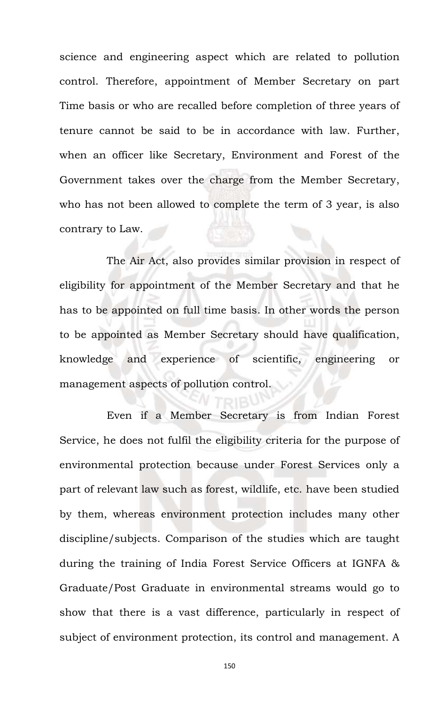science and engineering aspect which are related to pollution control. Therefore, appointment of Member Secretary on part Time basis or who are recalled before completion of three years of tenure cannot be said to be in accordance with law. Further, when an officer like Secretary, Environment and Forest of the Government takes over the charge from the Member Secretary, who has not been allowed to complete the term of 3 year, is also contrary to Law.

The Air Act, also provides similar provision in respect of eligibility for appointment of the Member Secretary and that he has to be appointed on full time basis. In other words the person to be appointed as Member Secretary should have qualification, knowledge and experience of scientific, engineering or management aspects of pollution control.

Even if a Member Secretary is from Indian Forest Service, he does not fulfil the eligibility criteria for the purpose of environmental protection because under Forest Services only a part of relevant law such as forest, wildlife, etc. have been studied by them, whereas environment protection includes many other discipline/subjects. Comparison of the studies which are taught during the training of India Forest Service Officers at IGNFA & Graduate/Post Graduate in environmental streams would go to show that there is a vast difference, particularly in respect of subject of environment protection, its control and management. A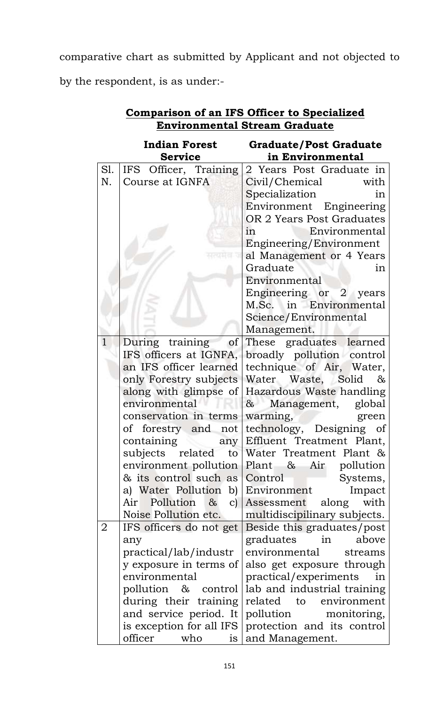comparative chart as submitted by Applicant and not objected to

by the respondent, is as under:-

| Environmental Stream Graduate |                                   |                                                     |
|-------------------------------|-----------------------------------|-----------------------------------------------------|
|                               | <b>Indian Forest</b>              | <b>Graduate/Post Graduate</b>                       |
|                               | <b>Service</b>                    | in Environmental                                    |
| SI.                           | IFS Officer, Training             | 2 Years Post Graduate in                            |
| N.                            | Course at IGNFA                   | Civil/Chemical<br>with                              |
|                               |                                   | Specialization<br>in                                |
|                               |                                   | Environment Engineering                             |
|                               |                                   | OR 2 Years Post Graduates                           |
|                               |                                   | Environmental<br>in                                 |
|                               |                                   | Engineering/Environment                             |
|                               |                                   | al Management or 4 Years                            |
|                               |                                   | Graduate<br>in                                      |
|                               |                                   | Environmental                                       |
|                               |                                   | Engineering or 2 years                              |
|                               |                                   | M.Sc. in Environmental                              |
|                               |                                   | Science/Environmental                               |
|                               |                                   | Management.                                         |
| 1                             |                                   | During training of These graduates learned          |
|                               |                                   | IFS officers at IGNFA, broadly pollution control    |
|                               |                                   | an IFS officer learned technique of Air, Water,     |
|                               |                                   | only Forestry subjects Water Waste, Solid &         |
|                               |                                   | along with glimpse of Hazardous Waste handling      |
|                               | environmental                     |                                                     |
|                               |                                   | 8 Management, global                                |
|                               | conservation in terms warming,    | green                                               |
|                               |                                   | of forestry and not technology, Designing of        |
|                               |                                   | containing any Effluent Treatment Plant,            |
|                               |                                   | subjects related to Water Treatment Plant &         |
|                               |                                   | environment pollution   Plant $\&$ Air pollution    |
|                               | & its control such as Control     | Systems,<br>u,                                      |
|                               | a) Water Pollution b) Environment | Impact                                              |
|                               | Pollution &<br>Air                | c) $ Assessment$ along with                         |
|                               | Noise Pollution etc.              | multidiscipilinary subjects.                        |
| 2                             | IFS officers do not get           | Beside this graduates/post                          |
|                               | any                               | graduates in above                                  |
|                               | practical/lab/industr             | environmental streams                               |
|                               | y exposure in terms of            | also get exposure through                           |
|                               | environmental                     | practical/experiments<br>in                         |
|                               |                                   | pollution & control lab and industrial training     |
|                               | during their training             | related to environment                              |
|                               |                                   | and service period. It pollution monitoring,        |
|                               |                                   | is exception for all IFS protection and its control |
|                               | officer who<br>is                 | and Management.                                     |

## **Comparison of an IFS Officer to Specialized Environmental Stream Graduate**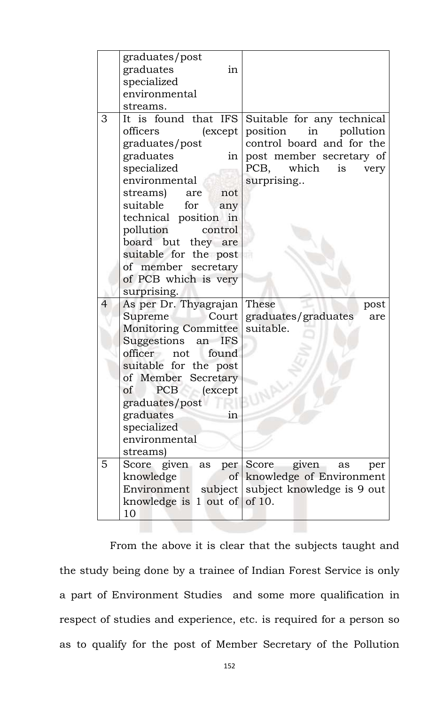|   | graduates/post<br>graduates<br>in<br>specialized<br>environmental                                                                                                                                                                                                              |                                                                                                                                                                                                |
|---|--------------------------------------------------------------------------------------------------------------------------------------------------------------------------------------------------------------------------------------------------------------------------------|------------------------------------------------------------------------------------------------------------------------------------------------------------------------------------------------|
|   | streams.                                                                                                                                                                                                                                                                       |                                                                                                                                                                                                |
| 3 | graduates/post<br>graduates<br>specialized<br>environmental<br>streams) are not<br>suitable for<br>any<br>technical position in<br>pollution control<br>board but they are<br>suitable for the post<br>of member secretary<br>of PCB which is very<br>surprising.              | It is found that IFS Suitable for any technical<br>officers (except   position in pollution<br>control board and for the<br>in post member secretary of<br>PCB, which is<br>very<br>surprising |
| 4 | As per Dr. Thyagrajan   These<br>Supreme<br>Monitoring Committee   suitable.<br>Suggestions an IFS<br>officer not found<br>suitable for the post<br>of Member Secretary<br>PCB (except)<br>of<br>graduates/post<br>graduates<br>in<br>specialized<br>environmental<br>streams) | post<br>Court graduates/graduates<br>are                                                                                                                                                       |
| 5 | knowledge<br>knowledge is 1 out of of 10.<br>10                                                                                                                                                                                                                                | Score given as per Score given as<br>per<br>of knowledge of Environment<br>Environment subject subject knowledge is 9 out                                                                      |

From the above it is clear that the subjects taught and the study being done by a trainee of Indian Forest Service is only a part of Environment Studies and some more qualification in respect of studies and experience, etc. is required for a person so as to qualify for the post of Member Secretary of the Pollution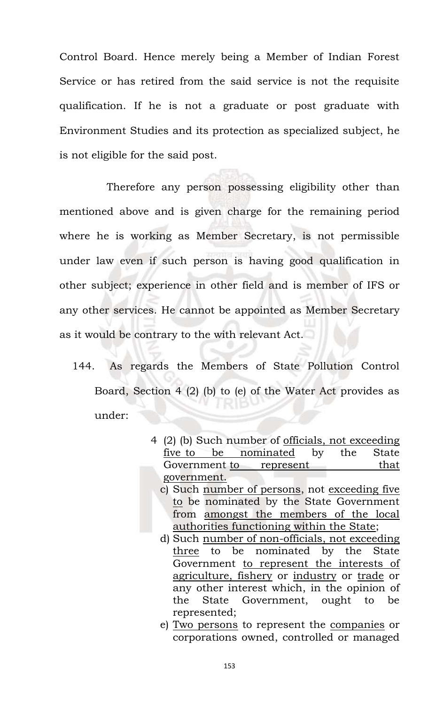Control Board. Hence merely being a Member of Indian Forest Service or has retired from the said service is not the requisite qualification. If he is not a graduate or post graduate with Environment Studies and its protection as specialized subject, he is not eligible for the said post.

Therefore any person possessing eligibility other than mentioned above and is given charge for the remaining period where he is working as Member Secretary, is not permissible under law even if such person is having good qualification in other subject; experience in other field and is member of IFS or any other services. He cannot be appointed as Member Secretary as it would be contrary to the with relevant Act.

- 144. As regards the Members of State Pollution Control Board, Section 4 (2) (b) to (e) of the Water Act provides as under:
	- 4 (2) (b) Such number of officials, not exceeding five to be nominated by the State Government to represent that government.
		- c) Such number of persons, not exceeding five to be nominated by the State Government from amongst the members of the local authorities functioning within the State;
		- d) Such number of non-officials, not exceeding three to be nominated by the State Government to represent the interests of agriculture, fishery or industry or trade or any other interest which, in the opinion of the State Government, ought to be represented;
		- e) Two persons to represent the companies or corporations owned, controlled or managed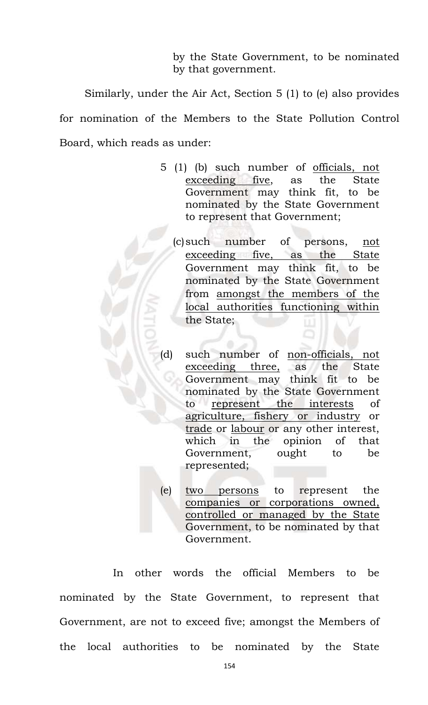by the State Government, to be nominated by that government.

Similarly, under the Air Act, Section 5 (1) to (e) also provides for nomination of the Members to the State Pollution Control Board, which reads as under:

- 5 (1) (b) such number of officials, not exceeding five, as the State Government may think fit, to be nominated by the State Government to represent that Government;
	- (c)such number of persons, not exceeding five, as the State Government may think fit, to be nominated by the State Government from amongst the members of the local authorities functioning within the State;
- (d) such number of <u>non-officials, not</u> exceeding three, as the State Government may think fit to be nominated by the State Government to represent the interests of agriculture, fishery or industry or trade or labour or any other interest, which in the opinion of that Government, ought to be represented;
- (e) two persons to represent the companies or corporations owned, controlled or managed by the State Government, to be nominated by that Government.

In other words the official Members to be nominated by the State Government, to represent that Government, are not to exceed five; amongst the Members of the local authorities to be nominated by the State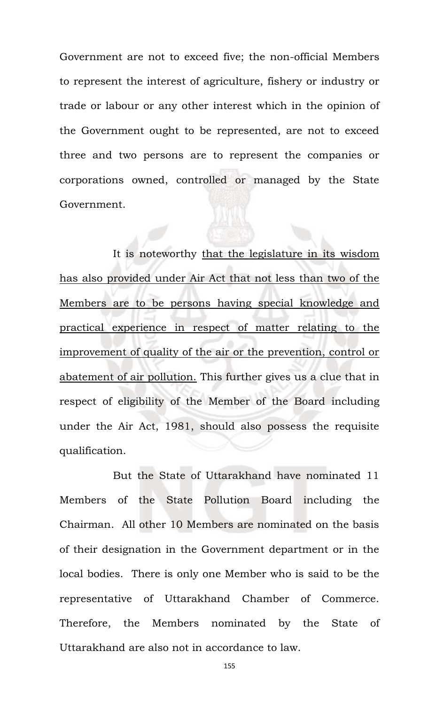Government are not to exceed five; the non-official Members to represent the interest of agriculture, fishery or industry or trade or labour or any other interest which in the opinion of the Government ought to be represented, are not to exceed three and two persons are to represent the companies or corporations owned, controlled or managed by the State Government.

It is noteworthy that the legislature in its wisdom has also provided under Air Act that not less than two of the Members are to be persons having special knowledge and practical experience in respect of matter relating to the improvement of quality of the air or the prevention, control or abatement of air pollution. This further gives us a clue that in respect of eligibility of the Member of the Board including under the Air Act, 1981, should also possess the requisite qualification.

But the State of Uttarakhand have nominated 11 Members of the State Pollution Board including the Chairman. All other 10 Members are nominated on the basis of their designation in the Government department or in the local bodies. There is only one Member who is said to be the representative of Uttarakhand Chamber of Commerce. Therefore, the Members nominated by the State of Uttarakhand are also not in accordance to law.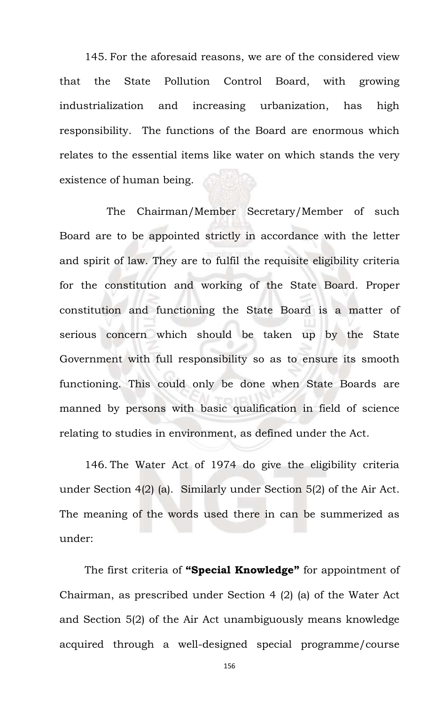145. For the aforesaid reasons, we are of the considered view that the State Pollution Control Board, with growing industrialization and increasing urbanization, has high responsibility. The functions of the Board are enormous which relates to the essential items like water on which stands the very existence of human being.

The Chairman/Member Secretary/Member of such Board are to be appointed strictly in accordance with the letter and spirit of law. They are to fulfil the requisite eligibility criteria for the constitution and working of the State Board. Proper constitution and functioning the State Board is a matter of serious concern which should be taken up by the State Government with full responsibility so as to ensure its smooth functioning. This could only be done when State Boards are manned by persons with basic qualification in field of science relating to studies in environment, as defined under the Act.

146. The Water Act of 1974 do give the eligibility criteria under Section 4(2) (a). Similarly under Section 5(2) of the Air Act. The meaning of the words used there in can be summerized as under:

The first criteria of **"Special Knowledge"** for appointment of Chairman, as prescribed under Section 4 (2) (a) of the Water Act and Section 5(2) of the Air Act unambiguously means knowledge acquired through a well-designed special programme/course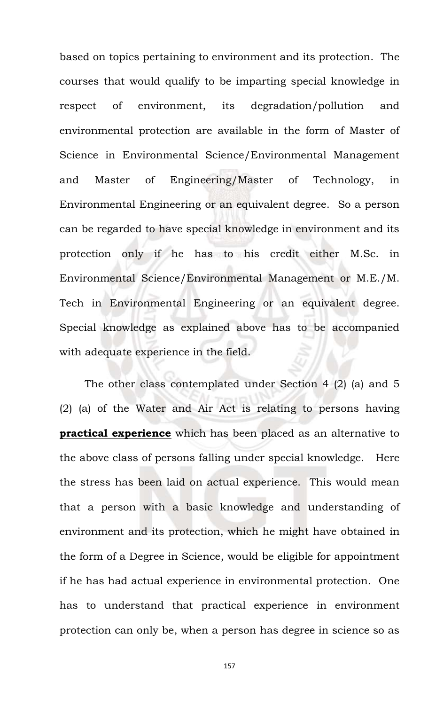based on topics pertaining to environment and its protection. The courses that would qualify to be imparting special knowledge in respect of environment, its degradation/pollution and environmental protection are available in the form of Master of Science in Environmental Science/Environmental Management and Master of Engineering/Master of Technology, in Environmental Engineering or an equivalent degree. So a person can be regarded to have special knowledge in environment and its protection only if he has to his credit either M.Sc. in Environmental Science/Environmental Management or M.E./M. Tech in Environmental Engineering or an equivalent degree. Special knowledge as explained above has to be accompanied with adequate experience in the field.

The other class contemplated under Section 4 (2) (a) and 5 (2) (a) of the Water and Air Act is relating to persons having **practical experience** which has been placed as an alternative to the above class of persons falling under special knowledge. Here the stress has been laid on actual experience. This would mean that a person with a basic knowledge and understanding of environment and its protection, which he might have obtained in the form of a Degree in Science, would be eligible for appointment if he has had actual experience in environmental protection. One has to understand that practical experience in environment protection can only be, when a person has degree in science so as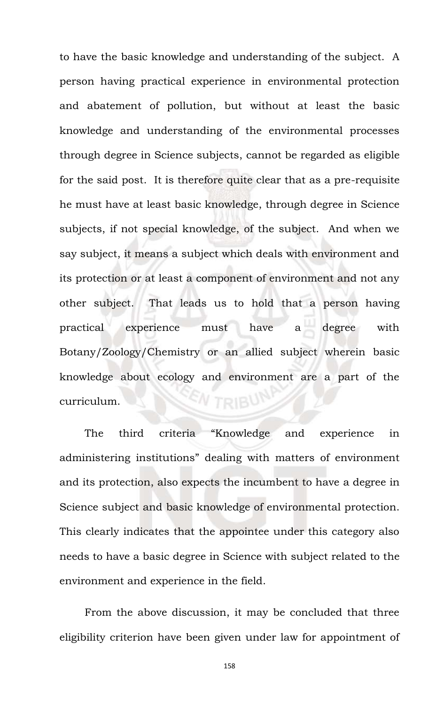to have the basic knowledge and understanding of the subject. A person having practical experience in environmental protection and abatement of pollution, but without at least the basic knowledge and understanding of the environmental processes through degree in Science subjects, cannot be regarded as eligible for the said post. It is therefore quite clear that as a pre-requisite he must have at least basic knowledge, through degree in Science subjects, if not special knowledge, of the subject. And when we say subject, it means a subject which deals with environment and its protection or at least a component of environment and not any other subject. That leads us to hold that a person having practical experience must have a degree with Botany/Zoology/Chemistry or an allied subject wherein basic knowledge about ecology and environment are a part of the TRIBU curriculum.

The third criteria "Knowledge and experience in administering institutions" dealing with matters of environment and its protection, also expects the incumbent to have a degree in Science subject and basic knowledge of environmental protection. This clearly indicates that the appointee under this category also needs to have a basic degree in Science with subject related to the environment and experience in the field.

From the above discussion, it may be concluded that three eligibility criterion have been given under law for appointment of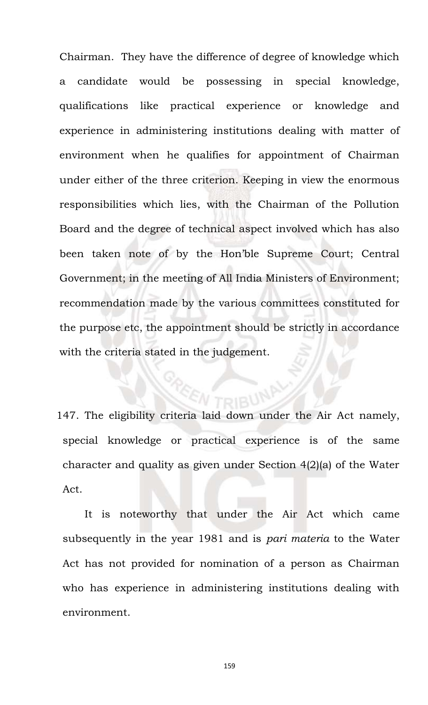Chairman. They have the difference of degree of knowledge which a candidate would be possessing in special knowledge, qualifications like practical experience or knowledge and experience in administering institutions dealing with matter of environment when he qualifies for appointment of Chairman under either of the three criterion. Keeping in view the enormous responsibilities which lies, with the Chairman of the Pollution Board and the degree of technical aspect involved which has also been taken note of by the Hon'ble Supreme Court; Central Government; in the meeting of All India Ministers of Environment; recommendation made by the various committees constituted for the purpose etc, the appointment should be strictly in accordance with the criteria stated in the judgement.

147. The eligibility criteria laid down under the Air Act namely, special knowledge or practical experience is of the same character and quality as given under Section 4(2)(a) of the Water Act.

ANN

It is noteworthy that under the Air Act which came subsequently in the year 1981 and is *pari materia* to the Water Act has not provided for nomination of a person as Chairman who has experience in administering institutions dealing with environment.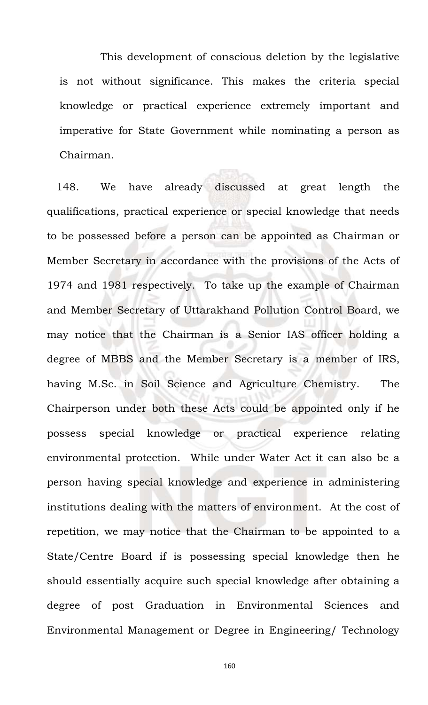This development of conscious deletion by the legislative is not without significance. This makes the criteria special knowledge or practical experience extremely important and imperative for State Government while nominating a person as Chairman.

148. We have already discussed at great length the qualifications, practical experience or special knowledge that needs to be possessed before a person can be appointed as Chairman or Member Secretary in accordance with the provisions of the Acts of 1974 and 1981 respectively. To take up the example of Chairman and Member Secretary of Uttarakhand Pollution Control Board, we may notice that the Chairman is a Senior IAS officer holding a degree of MBBS and the Member Secretary is a member of IRS, having M.Sc. in Soil Science and Agriculture Chemistry. The Chairperson under both these Acts could be appointed only if he possess special knowledge or practical experience relating environmental protection. While under Water Act it can also be a person having special knowledge and experience in administering institutions dealing with the matters of environment. At the cost of repetition, we may notice that the Chairman to be appointed to a State/Centre Board if is possessing special knowledge then he should essentially acquire such special knowledge after obtaining a degree of post Graduation in Environmental Sciences and Environmental Management or Degree in Engineering/ Technology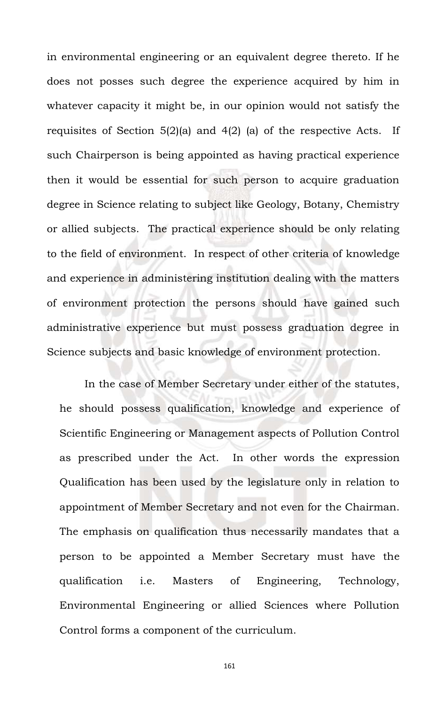in environmental engineering or an equivalent degree thereto. If he does not posses such degree the experience acquired by him in whatever capacity it might be, in our opinion would not satisfy the requisites of Section  $5(2)(a)$  and  $4(2)(a)$  of the respective Acts. If such Chairperson is being appointed as having practical experience then it would be essential for such person to acquire graduation degree in Science relating to subject like Geology, Botany, Chemistry or allied subjects. The practical experience should be only relating to the field of environment. In respect of other criteria of knowledge and experience in administering institution dealing with the matters of environment protection the persons should have gained such administrative experience but must possess graduation degree in Science subjects and basic knowledge of environment protection.

In the case of Member Secretary under either of the statutes, he should possess qualification, knowledge and experience of Scientific Engineering or Management aspects of Pollution Control as prescribed under the Act. In other words the expression Qualification has been used by the legislature only in relation to appointment of Member Secretary and not even for the Chairman. The emphasis on qualification thus necessarily mandates that a person to be appointed a Member Secretary must have the qualification i.e. Masters of Engineering, Technology, Environmental Engineering or allied Sciences where Pollution Control forms a component of the curriculum.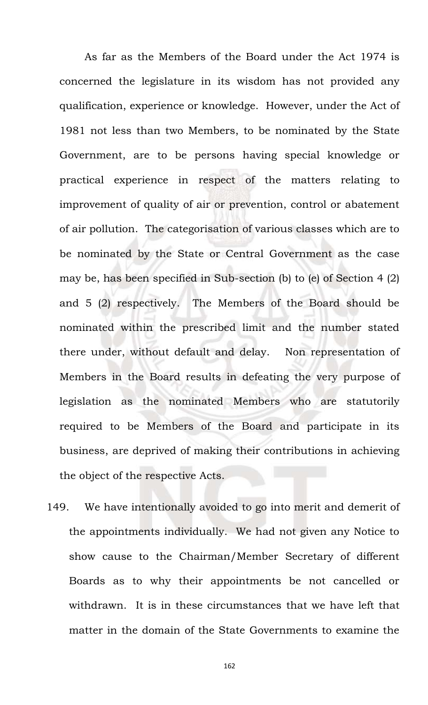As far as the Members of the Board under the Act 1974 is concerned the legislature in its wisdom has not provided any qualification, experience or knowledge. However, under the Act of 1981 not less than two Members, to be nominated by the State Government, are to be persons having special knowledge or practical experience in respect of the matters relating to improvement of quality of air or prevention, control or abatement of air pollution. The categorisation of various classes which are to be nominated by the State or Central Government as the case may be, has been specified in Sub-section (b) to (e) of Section 4 (2) and 5 (2) respectively. The Members of the Board should be nominated within the prescribed limit and the number stated there under, without default and delay. Non representation of Members in the Board results in defeating the very purpose of legislation as the nominated Members who are statutorily required to be Members of the Board and participate in its business, are deprived of making their contributions in achieving the object of the respective Acts.

149. We have intentionally avoided to go into merit and demerit of the appointments individually. We had not given any Notice to show cause to the Chairman/Member Secretary of different Boards as to why their appointments be not cancelled or withdrawn. It is in these circumstances that we have left that matter in the domain of the State Governments to examine the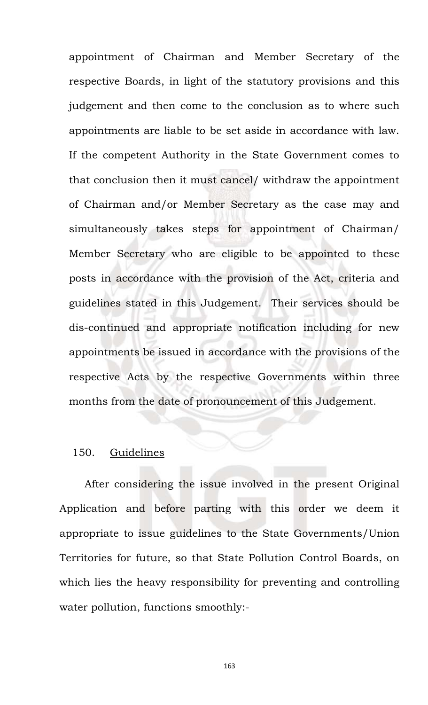appointment of Chairman and Member Secretary of the respective Boards, in light of the statutory provisions and this judgement and then come to the conclusion as to where such appointments are liable to be set aside in accordance with law. If the competent Authority in the State Government comes to that conclusion then it must cancel/ withdraw the appointment of Chairman and/or Member Secretary as the case may and simultaneously takes steps for appointment of Chairman/ Member Secretary who are eligible to be appointed to these posts in accordance with the provision of the Act, criteria and guidelines stated in this Judgement. Their services should be dis-continued and appropriate notification including for new appointments be issued in accordance with the provisions of the respective Acts by the respective Governments within three months from the date of pronouncement of this Judgement.

## 150. Guidelines

After considering the issue involved in the present Original Application and before parting with this order we deem it appropriate to issue guidelines to the State Governments/Union Territories for future, so that State Pollution Control Boards, on which lies the heavy responsibility for preventing and controlling water pollution, functions smoothly:-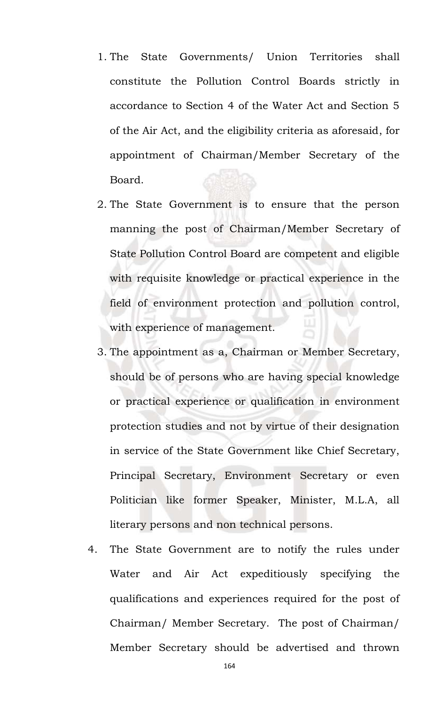- 1. The State Governments/ Union Territories shall constitute the Pollution Control Boards strictly in accordance to Section 4 of the Water Act and Section 5 of the Air Act, and the eligibility criteria as aforesaid, for appointment of Chairman/Member Secretary of the Board.
- 2. The State Government is to ensure that the person manning the post of Chairman/Member Secretary of State Pollution Control Board are competent and eligible with requisite knowledge or practical experience in the field of environment protection and pollution control, with experience of management.
- 3. The appointment as a, Chairman or Member Secretary, should be of persons who are having special knowledge or practical experience or qualification in environment protection studies and not by virtue of their designation in service of the State Government like Chief Secretary, Principal Secretary, Environment Secretary or even Politician like former Speaker, Minister, M.L.A, all literary persons and non technical persons.
- 4. The State Government are to notify the rules under Water and Air Act expeditiously specifying the qualifications and experiences required for the post of Chairman/ Member Secretary. The post of Chairman/ Member Secretary should be advertised and thrown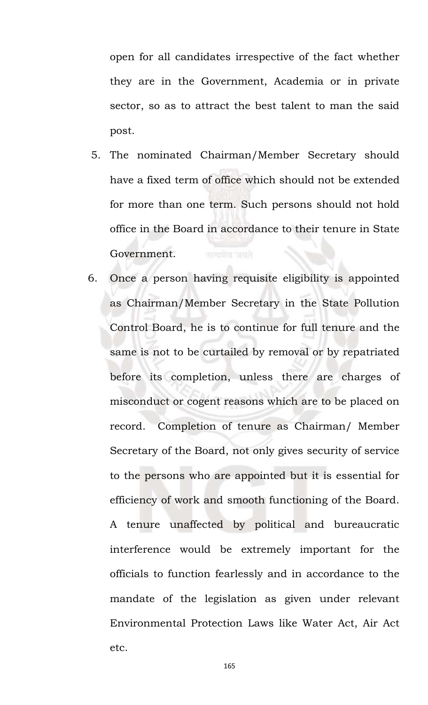open for all candidates irrespective of the fact whether they are in the Government, Academia or in private sector, so as to attract the best talent to man the said post.

- 5. The nominated Chairman/Member Secretary should have a fixed term of office which should not be extended for more than one term. Such persons should not hold office in the Board in accordance to their tenure in State Government.
- 6. Once a person having requisite eligibility is appointed as Chairman/Member Secretary in the State Pollution Control Board, he is to continue for full tenure and the same is not to be curtailed by removal or by repatriated before its completion, unless there are charges of misconduct or cogent reasons which are to be placed on record. Completion of tenure as Chairman/ Member Secretary of the Board, not only gives security of service to the persons who are appointed but it is essential for efficiency of work and smooth functioning of the Board. A tenure unaffected by political and bureaucratic interference would be extremely important for the officials to function fearlessly and in accordance to the mandate of the legislation as given under relevant Environmental Protection Laws like Water Act, Air Act etc.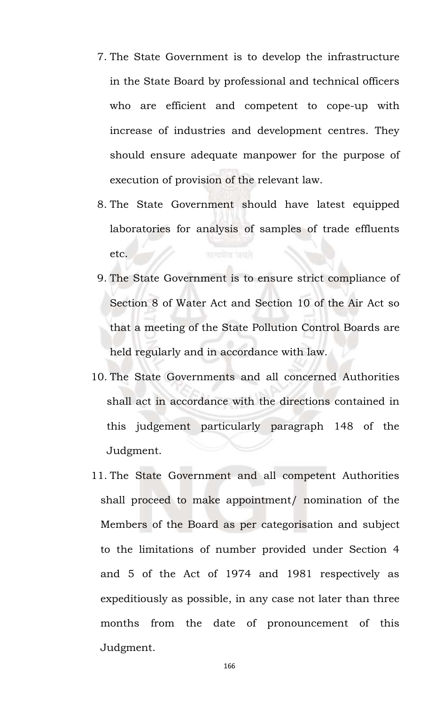- 7. The State Government is to develop the infrastructure in the State Board by professional and technical officers who are efficient and competent to cope-up with increase of industries and development centres. They should ensure adequate manpower for the purpose of execution of provision of the relevant law.
- 8. The State Government should have latest equipped laboratories for analysis of samples of trade effluents etc.
- 9. The State Government is to ensure strict compliance of Section 8 of Water Act and Section 10 of the Air Act so that a meeting of the State Pollution Control Boards are held regularly and in accordance with law.
- 10. The State Governments and all concerned Authorities shall act in accordance with the directions contained in this judgement particularly paragraph 148 of the Judgment.
- 11. The State Government and all competent Authorities shall proceed to make appointment/ nomination of the Members of the Board as per categorisation and subject to the limitations of number provided under Section 4 and 5 of the Act of 1974 and 1981 respectively as expeditiously as possible, in any case not later than three months from the date of pronouncement of this Judgment.